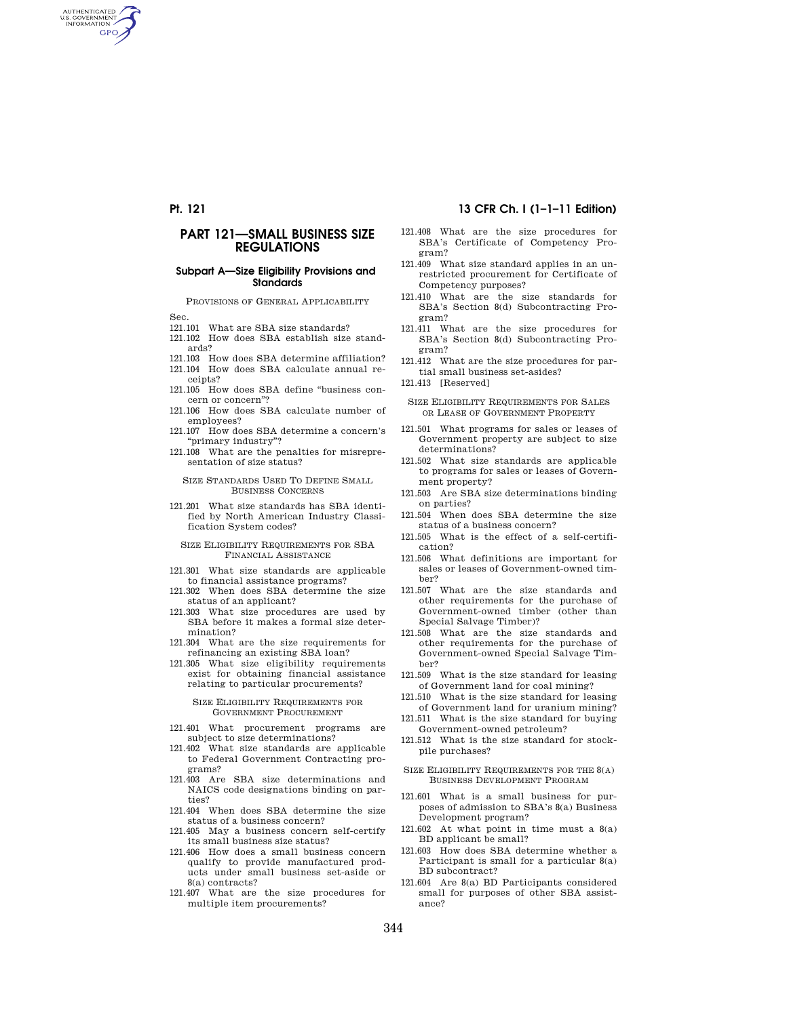AUTHENTICATED<br>U.S. GOVERNMENT<br>INFORMATION **GPO** 

## **PART 121—SMALL BUSINESS SIZE REGULATIONS**

### **Subpart A—Size Eligibility Provisions and Standards**

PROVISIONS OF GENERAL APPLICABILITY

- Sec.
- 121.101 What are SBA size standards?
- 121.102 How does SBA establish size standards?
- 121.103 How does SBA determine affiliation? 121.104 How does SBA calculate annual re-
- ceipts? 121.105 How does SBA define ''business con-
- cern or concern''?
- 121.106 How does SBA calculate number of employees?
- 121.107 How does SBA determine a concern's ''primary industry''?
- 121.108 What are the penalties for misrepresentation of size status?

#### SIZE STANDARDS USED TO DEFINE SMALL BUSINESS CONCERNS

121.201 What size standards has SBA identified by North American Industry Classification System codes?

#### SIZE ELIGIBILITY REQUIREMENTS FOR SBA FINANCIAL ASSISTANCE

- 121.301 What size standards are applicable to financial assistance programs?
- 121.302 When does SBA determine the size status of an applicant?
- 121.303 What size procedures are used by SBA before it makes a formal size determination?
- 121.304 What are the size requirements for refinancing an existing SBA loan?
- 121.305 What size eligibility requirements exist for obtaining financial assistance relating to particular procurements?

## SIZE ELIGIBILITY REQUIREMENTS FOR GOVERNMENT PROCUREMENT

- 121.401 What procurement programs are subject to size determinations?
- 121.402 What size standards are applicable to Federal Government Contracting programs?
- 121.403 Are SBA size determinations and NAICS code designations binding on parties?
- 121.404 When does SBA determine the size status of a business concern?
- 121.405 May a business concern self-certify its small business size status?
- 121.406 How does a small business concern qualify to provide manufactured products under small business set-aside or 8(a) contracts?
- 121.407 What are the size procedures for multiple item procurements?

## **Pt. 121 13 CFR Ch. I (1–1–11 Edition)**

- 121.408 What are the size procedures for SBA's Certificate of Competency Program?
- 121.409 What size standard applies in an unrestricted procurement for Certificate of Competency purposes?
- 121.410 What are the size standards for SBA's Section 8(d) Subcontracting Program?
- 121.411 What are the size procedures for SBA's Section 8(d) Subcontracting Program?
- 121.412 What are the size procedures for partial small business set-asides?
- 121.413 [Reserved]
- SIZE ELIGIBILITY REQUIREMENTS FOR SALES OR LEASE OF GOVERNMENT PROPERTY
- 121.501 What programs for sales or leases of Government property are subject to size determinations?
- 121.502 What size standards are applicable to programs for sales or leases of Government property?
- 121.503 Are SBA size determinations binding on parties?
- 121.504 When does SBA determine the size status of a business concern?
- 121.505 What is the effect of a self-certification?
- 121.506 What definitions are important for sales or leases of Government-owned timber?
- 121.507 What are the size standards and other requirements for the purchase of Government-owned timber (other than Special Salvage Timber)?
- 121.508 What are the size standards and other requirements for the purchase of Government-owned Special Salvage Timber?
- 121.509 What is the size standard for leasing of Government land for coal mining?
- 121.510 What is the size standard for leasing of Government land for uranium mining?
- 121.511 What is the size standard for buying Government-owned petroleum?
- 121.512 What is the size standard for stockpile purchases?
- SIZE ELIGIBILITY REQUIREMENTS FOR THE 8(A) BUSINESS DEVELOPMENT PROGRAM
- 121.601 What is a small business for purposes of admission to SBA's 8(a) Business Development program?
- $121.602$  At what point in time must a  $8(a)$ BD applicant be small?
- 121.603 How does SBA determine whether a Participant is small for a particular 8(a) BD subcontract?
- 121.604 Are 8(a) BD Participants considered small for purposes of other SBA assistance?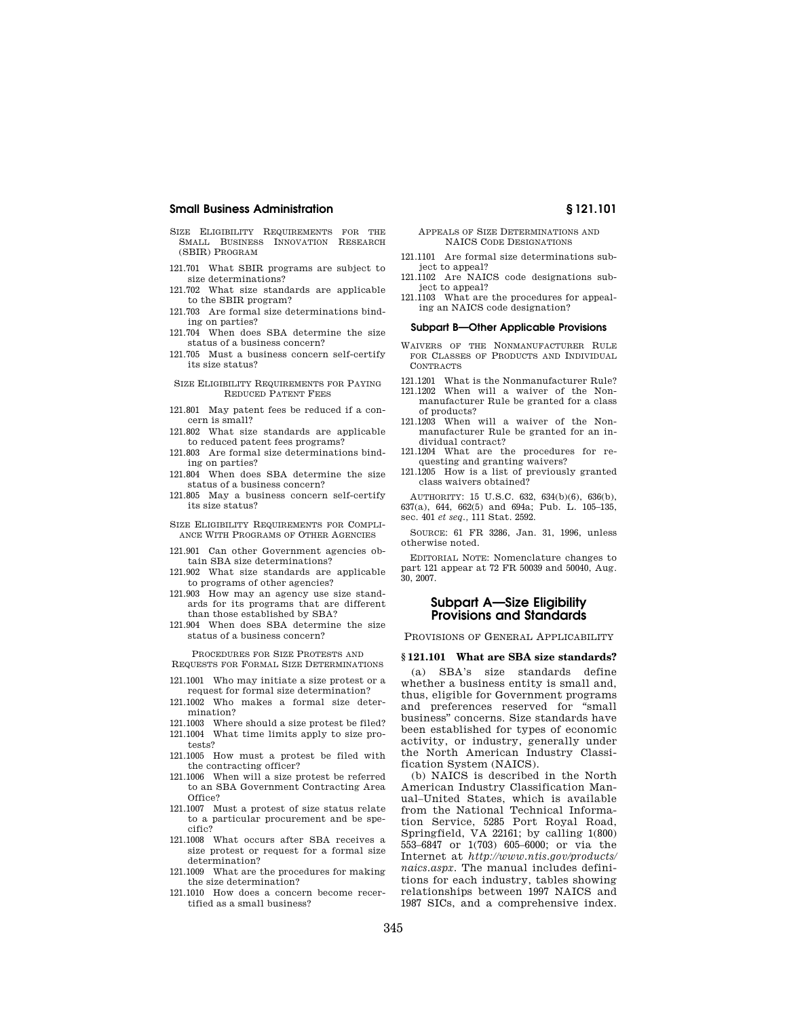- SIZE ELIGIBILITY REQUIREMENTS FOR THE SMALL BUSINESS INNOVATION RESEARCH (SBIR) PROGRAM
- 121.701 What SBIR programs are subject to size determinations?
- 121.702 What size standards are applicable to the SBIR program?
- 121.703 Are formal size determinations binding on parties?
- 121.704 When does SBA determine the size status of a business concern?
- 121.705 Must a business concern self-certify its size status?
- SIZE ELIGIBILITY REQUIREMENTS FOR PAYING REDUCED PATENT FEES
- 121.801 May patent fees be reduced if a concern is small?
- 121.802 What size standards are applicable to reduced patent fees programs?
- 121.803 Are formal size determinations binding on parties?
- 121.804 When does SBA determine the size status of a business concern?
- 121.805 May a business concern self-certify its size status?
- SIZE ELIGIBILITY REQUIREMENTS FOR COMPLI-ANCE WITH PROGRAMS OF OTHER AGENCIES
- 121.901 Can other Government agencies obtain SBA size determinations?
- 121.902 What size standards are applicable to programs of other agencies?
- 121.903 How may an agency use size standards for its programs that are different than those established by SBA?
- 121.904 When does SBA determine the size status of a business concern?

PROCEDURES FOR SIZE PROTESTS AND REQUESTS FOR FORMAL SIZE DETERMINATIONS

- 121.1001 Who may initiate a size protest or a request for formal size determination?
- 121.1002 Who makes a formal size determination?
- 121.1003 Where should a size protest be filed?
- 121.1004 What time limits apply to size protests?
- 121.1005 How must a protest be filed with the contracting officer?
- 121.1006 When will a size protest be referred to an SBA Government Contracting Area Office?
- 121.1007 Must a protest of size status relate to a particular procurement and be specific?
- 121.1008 What occurs after SBA receives a size protest or request for a formal size determination?
- 121.1009 What are the procedures for making the size determination?
- 121.1010 How does a concern become recertified as a small business?

#### APPEALS OF SIZE DETERMINATIONS AND NAICS CODE DESIGNATIONS

- 121.1101 Are formal size determinations subject to appeal?
- 121.1102 Are NAICS code designations subject to appeal?
- 121.1103 What are the procedures for appealing an NAICS code designation?

#### **Subpart B—Other Applicable Provisions**

- WAIVERS OF THE NONMANUFACTURER RULE FOR CLASSES OF PRODUCTS AND INDIVIDUAL CONTRACTS
- 121.1201 What is the Nonmanufacturer Rule?
- 121.1202 When will a waiver of the Nonmanufacturer Rule be granted for a class of products?
- 121.1203 When will a waiver of the Nonmanufacturer Rule be granted for an individual contract?
- 121.1204 What are the procedures for requesting and granting waivers?
- 121.1205 How is a list of previously granted class waivers obtained?

AUTHORITY: 15 U.S.C. 632, 634(b)(6), 636(b), 637(a), 644, 662(5) and 694a; Pub. L. 105–135, sec. 401 *et seq.,* 111 Stat. 2592.

SOURCE: 61 FR 3286, Jan. 31, 1996, unless otherwise noted.

EDITORIAL NOTE: Nomenclature changes to part 121 appear at 72 FR 50039 and 50040, Aug. 30, 2007.

## **Subpart A—Size Eligibility Provisions and Standards**

PROVISIONS OF GENERAL APPLICABILITY

## **§ 121.101 What are SBA size standards?**

(a) SBA's size standards define whether a business entity is small and, thus, eligible for Government programs and preferences reserved for ''small business'' concerns. Size standards have been established for types of economic activity, or industry, generally under the North American Industry Classification System (NAICS).

(b) NAICS is described in the North American Industry Classification Manual–United States, which is available from the National Technical Information Service, 5285 Port Royal Road, Springfield, VA 22161; by calling 1(800) 553–6847 or 1(703) 605–6000; or via the Internet at *http://www.ntis.gov/products/ naics.aspx.* The manual includes definitions for each industry, tables showing relationships between 1997 NAICS and 1987 SICs, and a comprehensive index.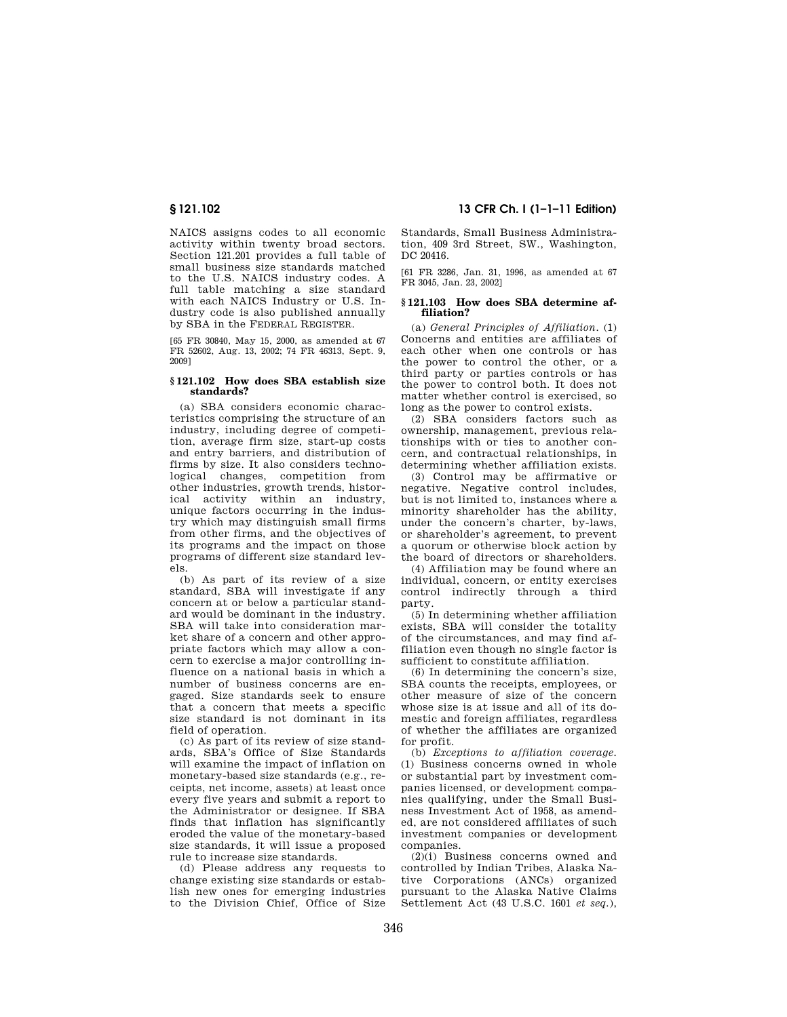NAICS assigns codes to all economic activity within twenty broad sectors. Section 121.201 provides a full table of small business size standards matched to the U.S. NAICS industry codes. A full table matching a size standard with each NAICS Industry or U.S. Industry code is also published annually by SBA in the FEDERAL REGISTER.

[65 FR 30840, May 15, 2000, as amended at 67 FR 52602, Aug. 13, 2002; 74 FR 46313, Sept. 9, 2009]

#### **§ 121.102 How does SBA establish size standards?**

(a) SBA considers economic characteristics comprising the structure of an industry, including degree of competition, average firm size, start-up costs and entry barriers, and distribution of firms by size. It also considers technological changes, competition from other industries, growth trends, historical activity within an industry, unique factors occurring in the industry which may distinguish small firms from other firms, and the objectives of its programs and the impact on those programs of different size standard levels.

(b) As part of its review of a size standard, SBA will investigate if any concern at or below a particular standard would be dominant in the industry. SBA will take into consideration market share of a concern and other appropriate factors which may allow a concern to exercise a major controlling influence on a national basis in which a number of business concerns are engaged. Size standards seek to ensure that a concern that meets a specific size standard is not dominant in its field of operation.

(c) As part of its review of size standards, SBA's Office of Size Standards will examine the impact of inflation on monetary-based size standards (e.g., receipts, net income, assets) at least once every five years and submit a report to the Administrator or designee. If SBA finds that inflation has significantly eroded the value of the monetary-based size standards, it will issue a proposed rule to increase size standards.

(d) Please address any requests to change existing size standards or establish new ones for emerging industries to the Division Chief, Office of Size

**§ 121.102 13 CFR Ch. I (1–1–11 Edition)** 

Standards, Small Business Administration, 409 3rd Street, SW., Washington, DC 20416.

[61 FR 3286, Jan. 31, 1996, as amended at 67 FR 3045, Jan. 23, 2002]

## **§ 121.103 How does SBA determine affiliation?**

(a) *General Principles of Affiliation.* (1) Concerns and entities are affiliates of each other when one controls or has the power to control the other, or a third party or parties controls or has the power to control both. It does not matter whether control is exercised, so long as the power to control exists.

(2) SBA considers factors such as ownership, management, previous relationships with or ties to another concern, and contractual relationships, in determining whether affiliation exists.

(3) Control may be affirmative or negative. Negative control includes, but is not limited to, instances where a minority shareholder has the ability, under the concern's charter, by-laws, or shareholder's agreement, to prevent a quorum or otherwise block action by the board of directors or shareholders.

(4) Affiliation may be found where an individual, concern, or entity exercises control indirectly through a third party.

(5) In determining whether affiliation exists, SBA will consider the totality of the circumstances, and may find affiliation even though no single factor is sufficient to constitute affiliation.

(6) In determining the concern's size, SBA counts the receipts, employees, or other measure of size of the concern whose size is at issue and all of its domestic and foreign affiliates, regardless of whether the affiliates are organized for profit.

(b) *Exceptions to affiliation coverage.*  (1) Business concerns owned in whole or substantial part by investment companies licensed, or development companies qualifying, under the Small Business Investment Act of 1958, as amended, are not considered affiliates of such investment companies or development companies.

(2)(i) Business concerns owned and controlled by Indian Tribes, Alaska Native Corporations (ANCs) organized pursuant to the Alaska Native Claims Settlement Act (43 U.S.C. 1601 *et seq.*),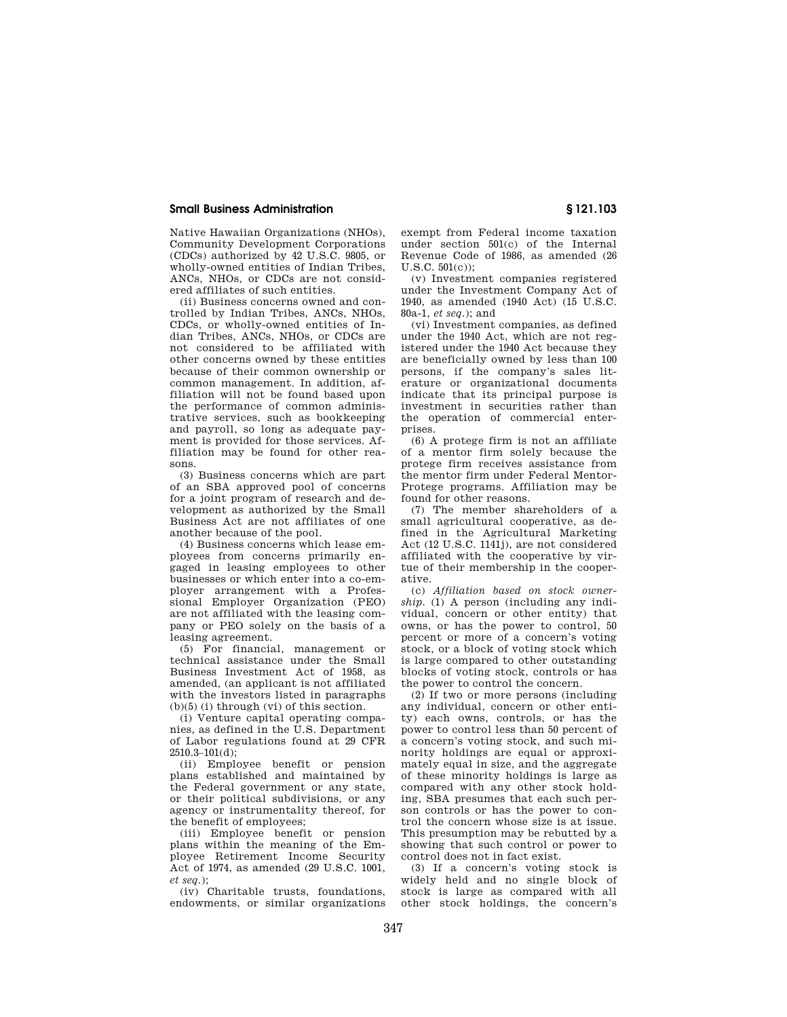Native Hawaiian Organizations (NHOs), Community Development Corporations (CDCs) authorized by 42 U.S.C. 9805, or wholly-owned entities of Indian Tribes, ANCs, NHOs, or CDCs are not considered affiliates of such entities.

(ii) Business concerns owned and controlled by Indian Tribes, ANCs, NHOs, CDCs, or wholly-owned entities of Indian Tribes, ANCs, NHOs, or CDCs are not considered to be affiliated with other concerns owned by these entities because of their common ownership or common management. In addition, affiliation will not be found based upon the performance of common administrative services, such as bookkeeping and payroll, so long as adequate payment is provided for those services. Affiliation may be found for other reasons.

(3) Business concerns which are part of an SBA approved pool of concerns for a joint program of research and development as authorized by the Small Business Act are not affiliates of one another because of the pool.

(4) Business concerns which lease employees from concerns primarily engaged in leasing employees to other businesses or which enter into a co-employer arrangement with a Professional Employer Organization (PEO) are not affiliated with the leasing company or PEO solely on the basis of a leasing agreement.

(5) For financial, management or technical assistance under the Small Business Investment Act of 1958, as amended, (an applicant is not affiliated with the investors listed in paragraphs  $(b)(5)$  (i) through (vi) of this section.

(i) Venture capital operating companies, as defined in the U.S. Department of Labor regulations found at 29 CFR  $2510.3 - 101(d)$ ;

(ii) Employee benefit or pension plans established and maintained by the Federal government or any state, or their political subdivisions, or any agency or instrumentality thereof, for the benefit of employees;

(iii) Employee benefit or pension plans within the meaning of the Employee Retirement Income Security Act of 1974, as amended (29 U.S.C. 1001, *et seq*.);

(iv) Charitable trusts, foundations, endowments, or similar organizations

exempt from Federal income taxation under section 501(c) of the Internal Revenue Code of 1986, as amended (26 U.S.C. 501(c));

(v) Investment companies registered under the Investment Company Act of 1940, as amended (1940 Act) (15 U.S.C. 80a-1, *et seq*.); and

(vi) Investment companies, as defined under the 1940 Act, which are not registered under the 1940 Act because they are beneficially owned by less than 100 persons, if the company's sales literature or organizational documents indicate that its principal purpose is investment in securities rather than the operation of commercial enterprises.

(6) A protege firm is not an affiliate of a mentor firm solely because the protege firm receives assistance from the mentor firm under Federal Mentor-Protege programs. Affiliation may be found for other reasons.

(7) The member shareholders of a small agricultural cooperative, as defined in the Agricultural Marketing Act (12 U.S.C. 1141j), are not considered affiliated with the cooperative by virtue of their membership in the cooperative.

(c) *Affiliation based on stock ownership.* (1) A person (including any individual, concern or other entity) that owns, or has the power to control, 50 percent or more of a concern's voting stock, or a block of voting stock which is large compared to other outstanding blocks of voting stock, controls or has the power to control the concern.

(2) If two or more persons (including any individual, concern or other entity) each owns, controls, or has the power to control less than 50 percent of a concern's voting stock, and such minority holdings are equal or approximately equal in size, and the aggregate of these minority holdings is large as compared with any other stock holding, SBA presumes that each such person controls or has the power to control the concern whose size is at issue. This presumption may be rebutted by a showing that such control or power to control does not in fact exist.

(3) If a concern's voting stock is widely held and no single block of stock is large as compared with all other stock holdings, the concern's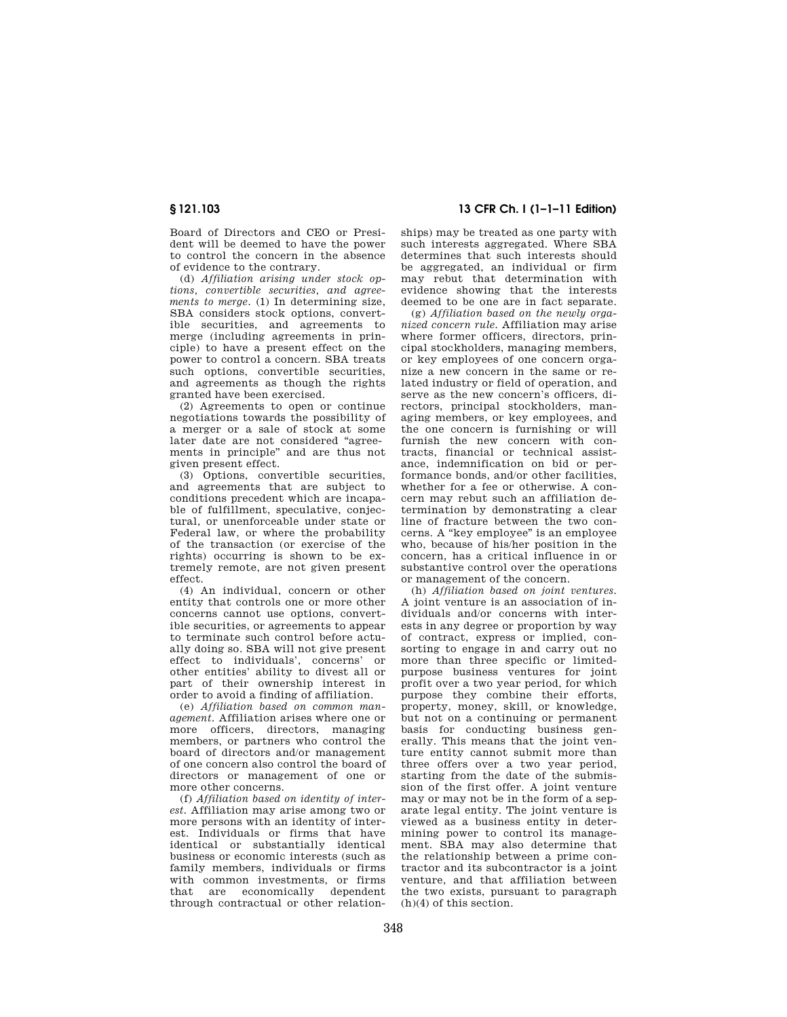Board of Directors and CEO or President will be deemed to have the power to control the concern in the absence of evidence to the contrary.

(d) *Affiliation arising under stock options, convertible securities, and agreements to merge.* (1) In determining size, SBA considers stock options, convertible securities, and agreements to merge (including agreements in principle) to have a present effect on the power to control a concern. SBA treats such options, convertible securities and agreements as though the rights granted have been exercised.

(2) Agreements to open or continue negotiations towards the possibility of a merger or a sale of stock at some later date are not considered "agreements in principle'' and are thus not given present effect.

(3) Options, convertible securities, and agreements that are subject to conditions precedent which are incapable of fulfillment, speculative, conjectural, or unenforceable under state or Federal law, or where the probability of the transaction (or exercise of the rights) occurring is shown to be extremely remote, are not given present effect.

(4) An individual, concern or other entity that controls one or more other concerns cannot use options, convertible securities, or agreements to appear to terminate such control before actually doing so. SBA will not give present effect to individuals', concerns' or other entities' ability to divest all or part of their ownership interest in order to avoid a finding of affiliation.

(e) *Affiliation based on common management.* Affiliation arises where one or more officers, directors, managing members, or partners who control the board of directors and/or management of one concern also control the board of directors or management of one or more other concerns.

(f) *Affiliation based on identity of interest.* Affiliation may arise among two or more persons with an identity of interest. Individuals or firms that have identical or substantially identical business or economic interests (such as family members, individuals or firms with common investments, or firms that are economically dependent through contractual or other relation-

## **§ 121.103 13 CFR Ch. I (1–1–11 Edition)**

ships) may be treated as one party with such interests aggregated. Where SBA determines that such interests should be aggregated, an individual or firm may rebut that determination with evidence showing that the interests deemed to be one are in fact separate.

(g) *Affiliation based on the newly organized concern rule.* Affiliation may arise where former officers, directors, principal stockholders, managing members, or key employees of one concern organize a new concern in the same or related industry or field of operation, and serve as the new concern's officers, directors, principal stockholders, managing members, or key employees, and the one concern is furnishing or will furnish the new concern with contracts, financial or technical assistance, indemnification on bid or performance bonds, and/or other facilities, whether for a fee or otherwise. A concern may rebut such an affiliation determination by demonstrating a clear line of fracture between the two concerns. A ''key employee'' is an employee who, because of his/her position in the concern, has a critical influence in or substantive control over the operations or management of the concern.

(h) *Affiliation based on joint ventures.*  A joint venture is an association of individuals and/or concerns with interests in any degree or proportion by way of contract, express or implied, consorting to engage in and carry out no more than three specific or limitedpurpose business ventures for joint profit over a two year period, for which purpose they combine their efforts, property, money, skill, or knowledge, but not on a continuing or permanent basis for conducting business generally. This means that the joint venture entity cannot submit more than three offers over a two year period, starting from the date of the submission of the first offer. A joint venture may or may not be in the form of a separate legal entity. The joint venture is viewed as a business entity in determining power to control its management. SBA may also determine that the relationship between a prime contractor and its subcontractor is a joint venture, and that affiliation between the two exists, pursuant to paragraph (h)(4) of this section.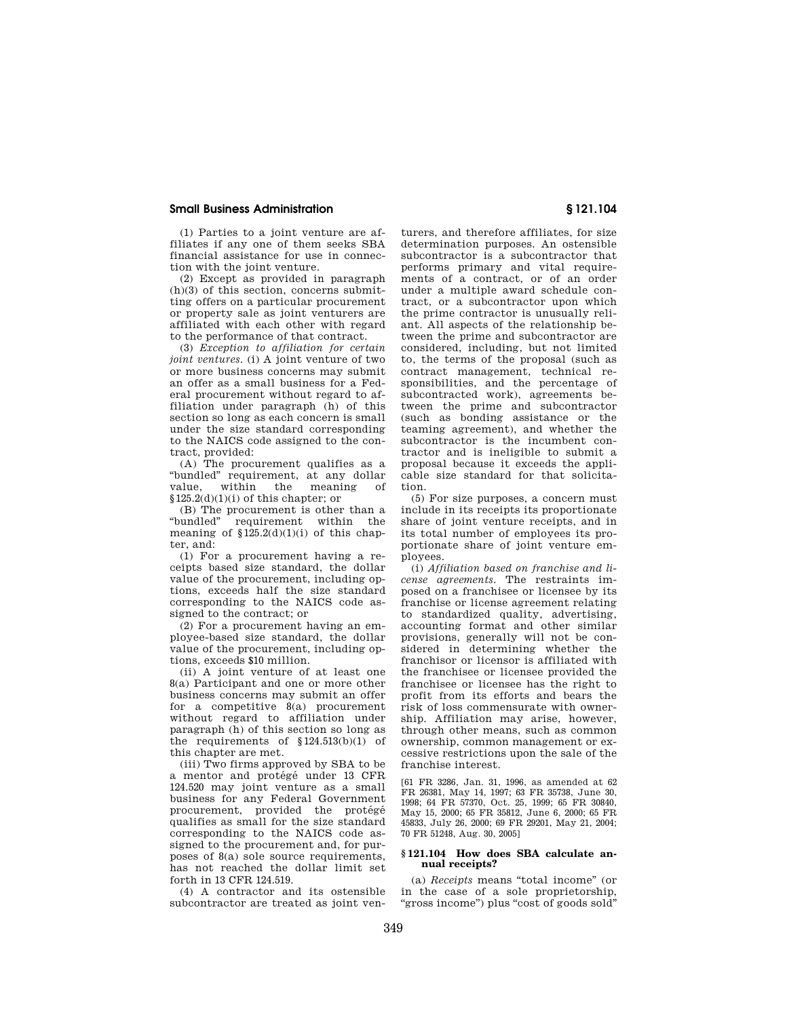(1) Parties to a joint venture are affiliates if any one of them seeks SBA financial assistance for use in connection with the joint venture.

(2) Except as provided in paragraph (h)(3) of this section, concerns submitting offers on a particular procurement or property sale as joint venturers are affiliated with each other with regard to the performance of that contract.

(3) *Exception to affiliation for certain joint ventures.* (i) A joint venture of two or more business concerns may submit an offer as a small business for a Federal procurement without regard to affiliation under paragraph (h) of this section so long as each concern is small under the size standard corresponding to the NAICS code assigned to the contract, provided:

(A) The procurement qualifies as a ''bundled'' requirement, at any dollar value, within the meaning of §125.2(d)(1)(i) of this chapter; or

(B) The procurement is other than a "bundled" requirement within the requirement within the meaning of  $$125.2(d)(1)(i)$  of this chapter, and:

(1) For a procurement having a receipts based size standard, the dollar value of the procurement, including options, exceeds half the size standard corresponding to the NAICS code assigned to the contract; or

(2) For a procurement having an employee-based size standard, the dollar value of the procurement, including options, exceeds \$10 million.

(ii) A joint venture of at least one 8(a) Participant and one or more other business concerns may submit an offer for a competitive 8(a) procurement without regard to affiliation under paragraph (h) of this section so long as the requirements of §124.513(b)(1) of this chapter are met.

(iii) Two firms approved by SBA to be a mentor and protégé under 13 CFR 124.520 may joint venture as a small business for any Federal Government procurement, provided the protégé qualifies as small for the size standard corresponding to the NAICS code assigned to the procurement and, for purposes of 8(a) sole source requirements, has not reached the dollar limit set forth in 13 CFR 124.519.

(4) A contractor and its ostensible subcontractor are treated as joint ven-

turers, and therefore affiliates, for size determination purposes. An ostensible subcontractor is a subcontractor that performs primary and vital requirements of a contract, or of an order under a multiple award schedule contract, or a subcontractor upon which the prime contractor is unusually reliant. All aspects of the relationship between the prime and subcontractor are considered, including, but not limited to, the terms of the proposal (such as contract management, technical responsibilities, and the percentage of subcontracted work), agreements between the prime and subcontractor (such as bonding assistance or the teaming agreement), and whether the subcontractor is the incumbent contractor and is ineligible to submit a proposal because it exceeds the applicable size standard for that solicitation.

(5) For size purposes, a concern must include in its receipts its proportionate share of joint venture receipts, and in its total number of employees its proportionate share of joint venture employees.

(i) *Affiliation based on franchise and license agreements.* The restraints imposed on a franchisee or licensee by its franchise or license agreement relating to standardized quality, advertising, accounting format and other similar provisions, generally will not be considered in determining whether the franchisor or licensor is affiliated with the franchisee or licensee provided the franchisee or licensee has the right to profit from its efforts and bears the risk of loss commensurate with ownership. Affiliation may arise, however, through other means, such as common ownership, common management or excessive restrictions upon the sale of the franchise interest.

[61 FR 3286, Jan. 31, 1996, as amended at 62 FR 26381, May 14, 1997; 63 FR 35738, June 30, 1998; 64 FR 57370, Oct. 25, 1999; 65 FR 30840, May 15, 2000; 65 FR 35812, June 6, 2000; 65 FR 45833, July 26, 2000; 69 FR 29201, May 21, 2004; 70 FR 51248, Aug. 30, 2005]

#### **§ 121.104 How does SBA calculate annual receipts?**

(a) *Receipts* means ''total income'' (or in the case of a sole proprietorship, ''gross income'') plus ''cost of goods sold''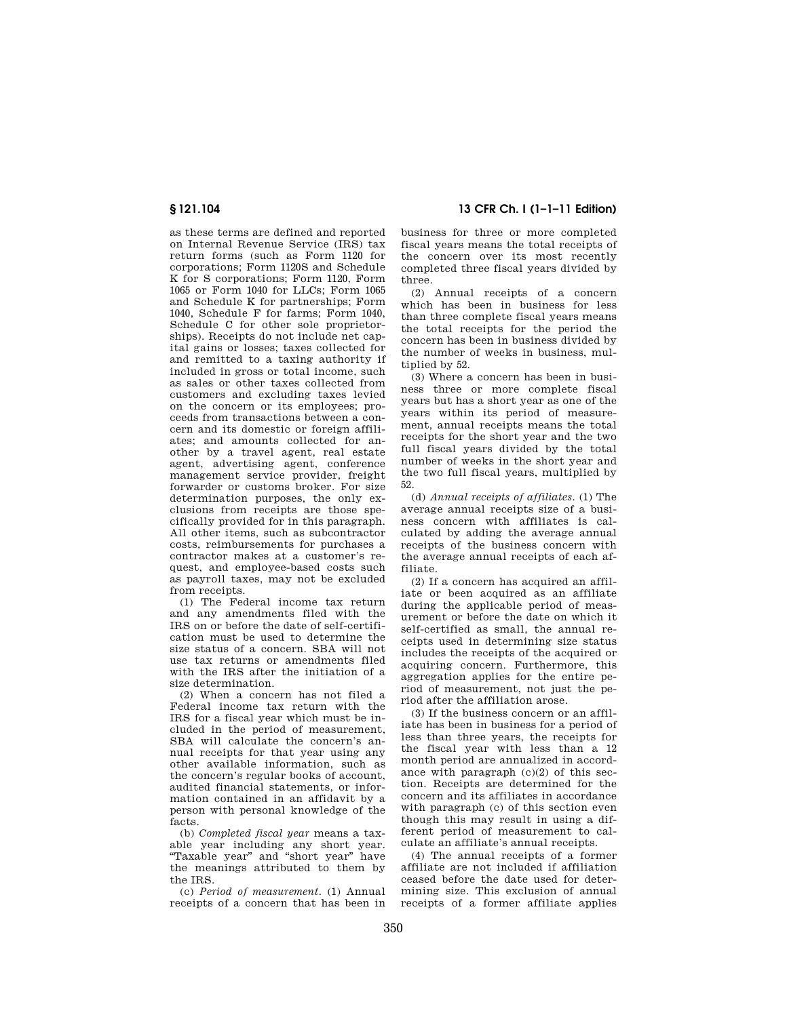as these terms are defined and reported on Internal Revenue Service (IRS) tax return forms (such as Form 1120 for corporations; Form 1120S and Schedule K for S corporations; Form 1120, Form 1065 or Form 1040 for LLCs; Form 1065 and Schedule K for partnerships; Form 1040, Schedule F for farms; Form 1040, Schedule C for other sole proprietorships). Receipts do not include net capital gains or losses; taxes collected for and remitted to a taxing authority if included in gross or total income, such as sales or other taxes collected from customers and excluding taxes levied on the concern or its employees; proceeds from transactions between a concern and its domestic or foreign affiliates; and amounts collected for another by a travel agent, real estate agent, advertising agent, conference management service provider, freight forwarder or customs broker. For size determination purposes, the only exclusions from receipts are those specifically provided for in this paragraph. All other items, such as subcontractor costs, reimbursements for purchases a contractor makes at a customer's request, and employee-based costs such as payroll taxes, may not be excluded from receipts.

(1) The Federal income tax return and any amendments filed with the IRS on or before the date of self-certification must be used to determine the size status of a concern. SBA will not use tax returns or amendments filed with the IRS after the initiation of a size determination.

(2) When a concern has not filed a Federal income tax return with the IRS for a fiscal year which must be included in the period of measurement, SBA will calculate the concern's annual receipts for that year using any other available information, such as the concern's regular books of account, audited financial statements, or information contained in an affidavit by a person with personal knowledge of the facts.

(b) *Completed fiscal year* means a taxable year including any short year. ''Taxable year'' and ''short year'' have the meanings attributed to them by the IRS.

(c) *Period of measurement.* (1) Annual receipts of a concern that has been in

**§ 121.104 13 CFR Ch. I (1–1–11 Edition)** 

business for three or more completed fiscal years means the total receipts of the concern over its most recently completed three fiscal years divided by three.

(2) Annual receipts of a concern which has been in business for less than three complete fiscal years means the total receipts for the period the concern has been in business divided by the number of weeks in business, multiplied by 52.

(3) Where a concern has been in business three or more complete fiscal years but has a short year as one of the years within its period of measurement, annual receipts means the total receipts for the short year and the two full fiscal years divided by the total number of weeks in the short year and the two full fiscal years, multiplied by 52.

(d) *Annual receipts of affiliates.* (1) The average annual receipts size of a business concern with affiliates is calculated by adding the average annual receipts of the business concern with the average annual receipts of each affiliate.

(2) If a concern has acquired an affiliate or been acquired as an affiliate during the applicable period of measurement or before the date on which it self-certified as small, the annual receipts used in determining size status includes the receipts of the acquired or acquiring concern. Furthermore, this aggregation applies for the entire period of measurement, not just the period after the affiliation arose.

(3) If the business concern or an affiliate has been in business for a period of less than three years, the receipts for the fiscal year with less than a 12 month period are annualized in accordance with paragraph (c)(2) of this section. Receipts are determined for the concern and its affiliates in accordance with paragraph (c) of this section even though this may result in using a different period of measurement to calculate an affiliate's annual receipts.

(4) The annual receipts of a former affiliate are not included if affiliation ceased before the date used for determining size. This exclusion of annual receipts of a former affiliate applies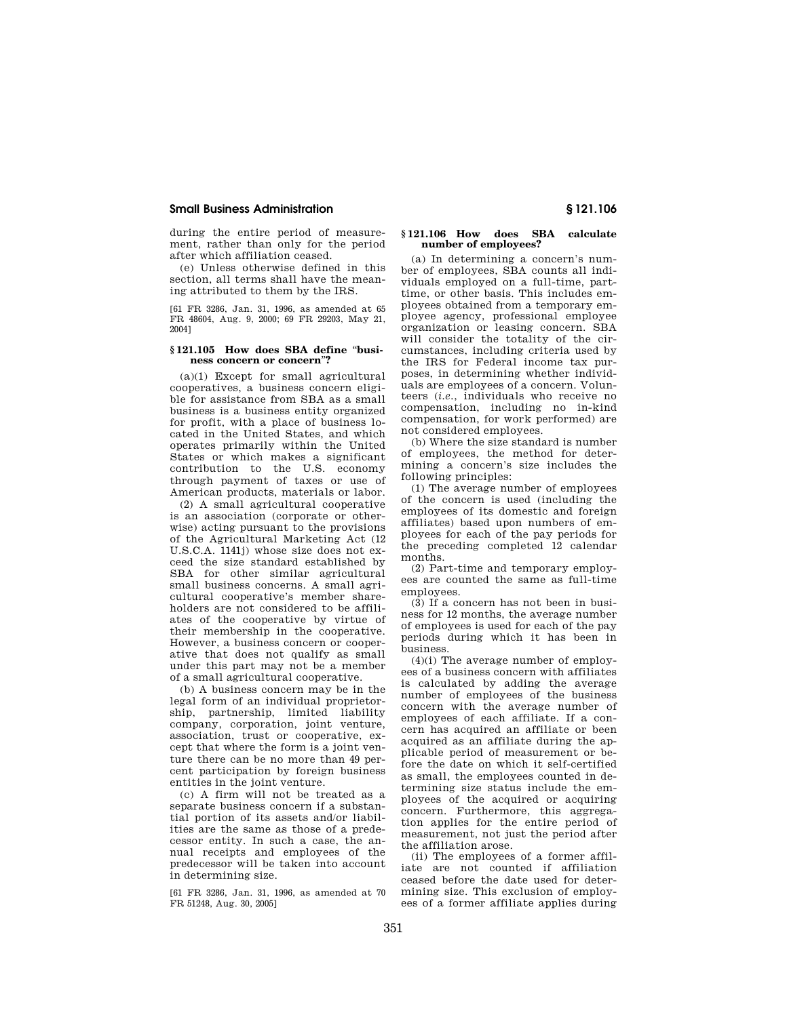during the entire period of measurement, rather than only for the period after which affiliation ceased.

(e) Unless otherwise defined in this section, all terms shall have the meaning attributed to them by the IRS.

[61 FR 3286, Jan. 31, 1996, as amended at 65 FR 48604, Aug. 9, 2000; 69 FR 29203, May 21, 2004]

## **§ 121.105 How does SBA define** ''**business concern or concern**''**?**

(a)(1) Except for small agricultural cooperatives, a business concern eligible for assistance from SBA as a small business is a business entity organized for profit, with a place of business located in the United States, and which operates primarily within the United States or which makes a significant contribution to the U.S. economy through payment of taxes or use of American products, materials or labor.

(2) A small agricultural cooperative is an association (corporate or otherwise) acting pursuant to the provisions of the Agricultural Marketing Act (12 U.S.C.A. 1141j) whose size does not exceed the size standard established by SBA for other similar agricultural small business concerns. A small agricultural cooperative's member shareholders are not considered to be affiliates of the cooperative by virtue of their membership in the cooperative. However, a business concern or cooperative that does not qualify as small under this part may not be a member of a small agricultural cooperative.

(b) A business concern may be in the legal form of an individual proprietorship, partnership, limited liability company, corporation, joint venture, association, trust or cooperative, except that where the form is a joint venture there can be no more than 49 percent participation by foreign business entities in the joint venture.

(c) A firm will not be treated as a separate business concern if a substantial portion of its assets and/or liabilities are the same as those of a predecessor entity. In such a case, the annual receipts and employees of the predecessor will be taken into account in determining size.

[61 FR 3286, Jan. 31, 1996, as amended at 70 FR 51248, Aug. 30, 2005]

### **§ 121.106 How does SBA calculate number of employees?**

(a) In determining a concern's number of employees, SBA counts all individuals employed on a full-time, parttime, or other basis. This includes employees obtained from a temporary employee agency, professional employee organization or leasing concern. SBA will consider the totality of the circumstances, including criteria used by the IRS for Federal income tax purposes, in determining whether individuals are employees of a concern. Volunteers (*i.e.*, individuals who receive no compensation, including no in-kind compensation, for work performed) are not considered employees.

(b) Where the size standard is number of employees, the method for determining a concern's size includes the following principles:

(1) The average number of employees of the concern is used (including the employees of its domestic and foreign affiliates) based upon numbers of employees for each of the pay periods for the preceding completed 12 calendar months.

(2) Part-time and temporary employees are counted the same as full-time employees.

(3) If a concern has not been in business for 12 months, the average number of employees is used for each of the pay periods during which it has been in business.

(4)(i) The average number of employees of a business concern with affiliates is calculated by adding the average number of employees of the business concern with the average number of employees of each affiliate. If a concern has acquired an affiliate or been acquired as an affiliate during the applicable period of measurement or before the date on which it self-certified as small, the employees counted in determining size status include the employees of the acquired or acquiring concern. Furthermore, this aggregation applies for the entire period of measurement, not just the period after the affiliation arose.

(ii) The employees of a former affiliate are not counted if affiliation ceased before the date used for determining size. This exclusion of employees of a former affiliate applies during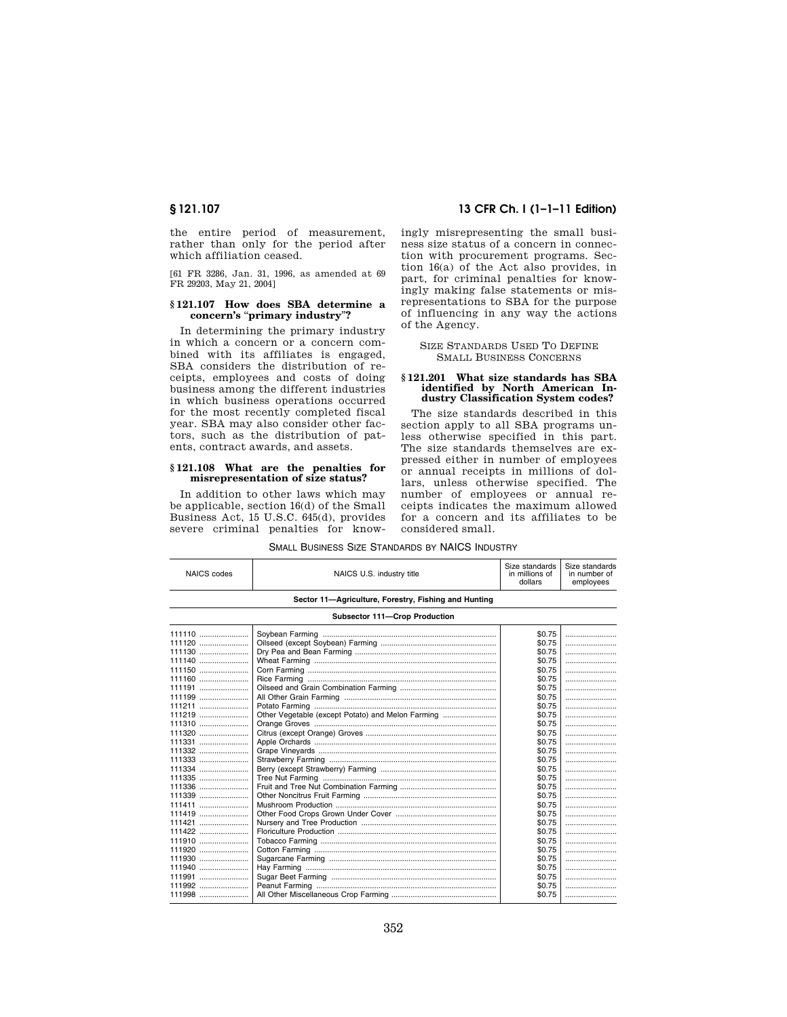the entire period of measurement, rather than only for the period after which affiliation ceased.

[61 FR 3286, Jan. 31, 1996, as amended at 69 FR 29203, May 21, 2004]

### **§ 121.107 How does SBA determine a concern's** ''**primary industry**''**?**

In determining the primary industry in which a concern or a concern combined with its affiliates is engaged, SBA considers the distribution of receipts, employees and costs of doing business among the different industries in which business operations occurred for the most recently completed fiscal year. SBA may also consider other factors, such as the distribution of patents, contract awards, and assets.

#### **§ 121.108 What are the penalties for misrepresentation of size status?**

In addition to other laws which may be applicable, section 16(d) of the Small Business Act, 15 U.S.C. 645(d), provides severe criminal penalties for know-

## **§ 121.107 13 CFR Ch. I (1–1–11 Edition)**

ingly misrepresenting the small business size status of a concern in connection with procurement programs. Section 16(a) of the Act also provides, in part, for criminal penalties for knowingly making false statements or misrepresentations to SBA for the purpose of influencing in any way the actions of the Agency.

SIZE STANDARDS USED TO DEFINE SMALL BUSINESS CONCERNS

#### **§ 121.201 What size standards has SBA identified by North American Industry Classification System codes?**

The size standards described in this section apply to all SBA programs unless otherwise specified in this part. The size standards themselves are expressed either in number of employees or annual receipts in millions of dollars, unless otherwise specified. The number of employees or annual receipts indicates the maximum allowed for a concern and its affiliates to be considered small.

NAICS codes **NAICS** U.S. industry title Size standards in millions of dollars Size standards in number of employees **Sector 11—Agriculture, Forestry, Fishing and Hunting Subsector 111—Crop Production**  111110 ....................... Soybean Farming ................................................................................. \$0.75 ........................ 111120 ....................... Oilseed (except Soybean) Farming ...................................................... \$0.75 ........................ 111130 ....................... Dry Pea and Bean Farming .................................................................. \$0.75 ........................ 111140 ....................... Wheat Farming ..................................................................................... \$0.75 ........................ 111150 ....................... Corn Farming ........................................................................................ \$0.75 ........................ 111160 ....................... Rice Farming ........................................................................................ \$0.75 ........................ 111191 ....................... Oilseed and Grain Combination Farming ............................................. \$0.75 ........................ 111199 ....................... All Other Grain Farming ....................................................................... \$0.75 ........................ 111211 ....................... Potato Farming ..................................................................................... \$0.75 ........................ 111219 ....................... Other Vegetable (except Potato) and Melon Farming ......................... \$0.75 ........................ 111310 ....................... Orange Groves ..................................................................................... \$0.75 ........................ 111320 ....................... Citrus (except Orange) Groves ............................................................. \$0.75 ........................ Apple Orchards .. 111332 ....................... Grape Vineyards ................................................................................... \$0.75 ........................ 111333 ....................... Strawberry Farming .............................................................................. \$0.75 ........................ Berry (except Strawberry) Farming .... 111335 ....................... Tree Nut Farming ................................................................................. \$0.75 ........................ 111336 ....................... Fruit and Tree Nut Combination Farming ............................................. \$0.75 ........................ 111339 ....................... Other Noncitrus Fruit Farming .............................................................. \$0.75 ........................ 111411 ....................... Mushroom Production ........................................................................... \$0.75 ........................ 111419 ....................... Other Food Crops Grown Under Cover ............................................... \$0.75 ........................ Nursery and Tree Production ...... 111422 ....................... Floriculture Production .......................................................................... \$0.75 ........................ 111910 ....................... Tobacco Farming .................................................................................. \$0.75 ........................ 111920 ....................... Cotton Farming ..................................................................................... \$0.75 ........................ 111930 ....................... Sugarcane Farming .............................................................................. \$0.75 ........................ 111940 ....................... Hay Farming ......................................................................................... \$0.75 ........................ 111991 ....................... Sugar Beet Farming ............................................................................. \$0.75 ........................ 111992 ....................... Peanut Farming .................................................................................... \$0.75 ........................ 111998 ....................... All Other Miscellaneous Crop Farming ................................................. \$0.75 ........................

| <b>SMALL BUSINESS SIZE STANDARDS BY NAICS INDUSTRY</b> |  |
|--------------------------------------------------------|--|
|--------------------------------------------------------|--|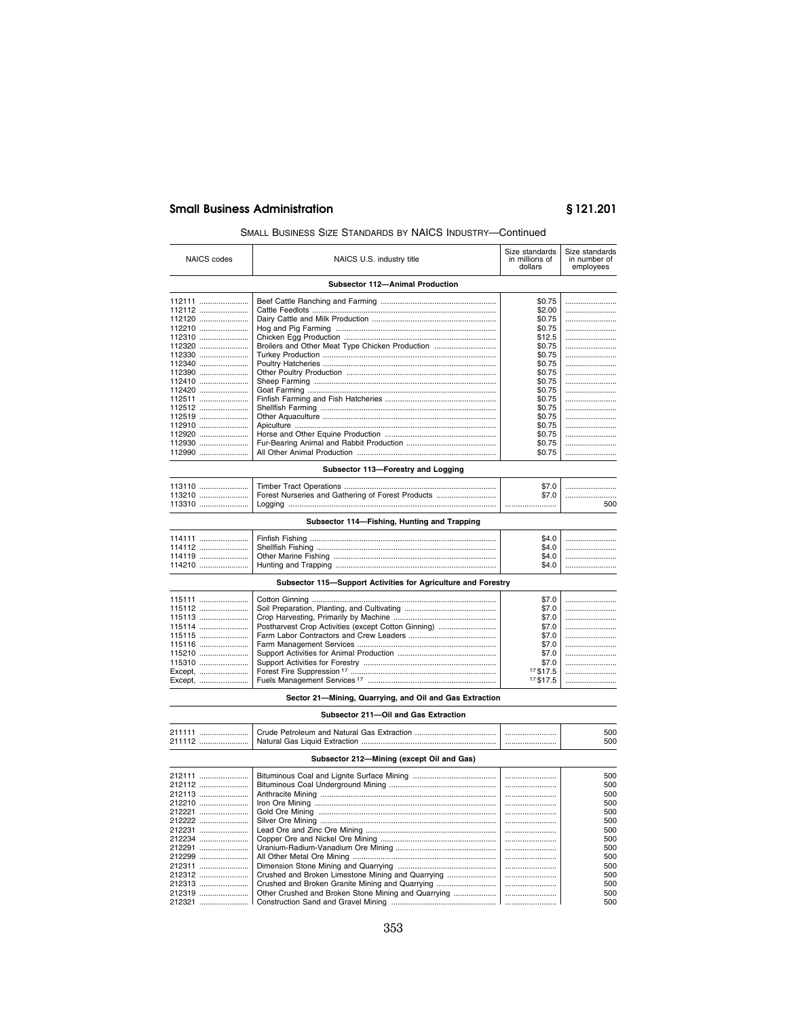## **Small Business Administration**

# §121.201

## SMALL BUSINESS SIZE STANDARDS BY NAICS INDUSTRY-Continued

| <b>NAICS</b> codes | NAICS U.S. industry title                                     | Size standards<br>in millions of<br>dollars | Size standards<br>in number of<br>employees |
|--------------------|---------------------------------------------------------------|---------------------------------------------|---------------------------------------------|
|                    | Subsector 112-Animal Production                               |                                             |                                             |
| 112111<br>112112   |                                                               | \$0.75<br>\$2.00                            |                                             |
| 112120             |                                                               | \$0.75                                      |                                             |
| 112210             |                                                               | \$0.75                                      |                                             |
| 112310             |                                                               | \$12.5                                      |                                             |
| 112320             | Broilers and Other Meat Type Chicken Production               | \$0.75                                      |                                             |
| 112330             |                                                               | \$0.75                                      |                                             |
| 112340             |                                                               | \$0.75                                      |                                             |
| 112390             |                                                               | \$0.75                                      |                                             |
| 112410             |                                                               | \$0.75                                      |                                             |
| 112420             |                                                               | \$0.75                                      |                                             |
| 112511             |                                                               | \$0.75                                      |                                             |
| 112512             |                                                               | \$0.75                                      |                                             |
| $112519$           |                                                               | \$0.75                                      |                                             |
| 112910             |                                                               | \$0.75                                      |                                             |
| 112920             |                                                               | \$0.75                                      |                                             |
| 112930             |                                                               | \$0.75                                      |                                             |
| 112990             |                                                               | \$0.75                                      |                                             |
|                    |                                                               |                                             |                                             |
|                    | Subsector 113-Forestry and Logging                            |                                             |                                             |
| 113110             |                                                               | \$7.0                                       |                                             |
| 113210             | Forest Nurseries and Gathering of Forest Products             | \$7.0                                       |                                             |
| 113310             |                                                               |                                             | 500                                         |
|                    | Subsector 114-Fishing, Hunting and Trapping                   |                                             |                                             |
|                    |                                                               |                                             |                                             |
| $114111$           |                                                               | \$4.0                                       |                                             |
| 114112             |                                                               | \$4.0                                       |                                             |
| 114119             |                                                               | \$4.0                                       |                                             |
| 114210             |                                                               | \$4.0                                       |                                             |
|                    | Subsector 115-Support Activities for Agriculture and Forestry |                                             |                                             |
| 115111             |                                                               |                                             |                                             |
|                    |                                                               | \$7.0                                       |                                             |
| 115112             |                                                               | \$7.0                                       |                                             |
| 115113             |                                                               | \$7.0                                       |                                             |
| 115114             | Postharvest Crop Activities (except Cotton Ginning)           | \$7.0                                       |                                             |
| 115115             |                                                               | \$7.0                                       |                                             |
| 115116             |                                                               | \$7.0                                       |                                             |
| 115210             |                                                               | \$7.0                                       |                                             |
| 115310             |                                                               | \$7.0                                       |                                             |
| Except,            |                                                               | 17\$17.5                                    |                                             |
| Except,            |                                                               | 17 \$17.5                                   |                                             |

Sector 21-Mining, Quarrying, and Oil and Gas Extraction

## Subsector 211-Oil and Gas Extraction

| Crude Petroleum and Natural Gas Extraction<br>2111<br>Natural Gas Liquid Extraction.<br>211112 |  | 500<br>500 |
|------------------------------------------------------------------------------------------------|--|------------|
|------------------------------------------------------------------------------------------------|--|------------|

# Subsector 212-Mining (except Oil and Gas)

| 212111 |                                                     | 500     |
|--------|-----------------------------------------------------|---------|
| 212112 |                                                     | 500     |
| 212113 |                                                     | 500     |
| 212210 |                                                     | 500     |
| 212221 |                                                     | 500     |
| 212222 |                                                     | 500     |
| 212231 |                                                     | <br>500 |
| 212234 |                                                     | 500     |
| 212291 |                                                     | 500     |
| 212299 |                                                     | 500     |
| 212311 |                                                     | 500     |
| 212312 | Crushed and Broken Limestone Mining and Quarrying   | 500     |
| 212313 | Crushed and Broken Granite Mining and Quarrying     | <br>500 |
| 212319 | Other Crushed and Broken Stone Mining and Quarrying | 500     |
|        |                                                     | 500     |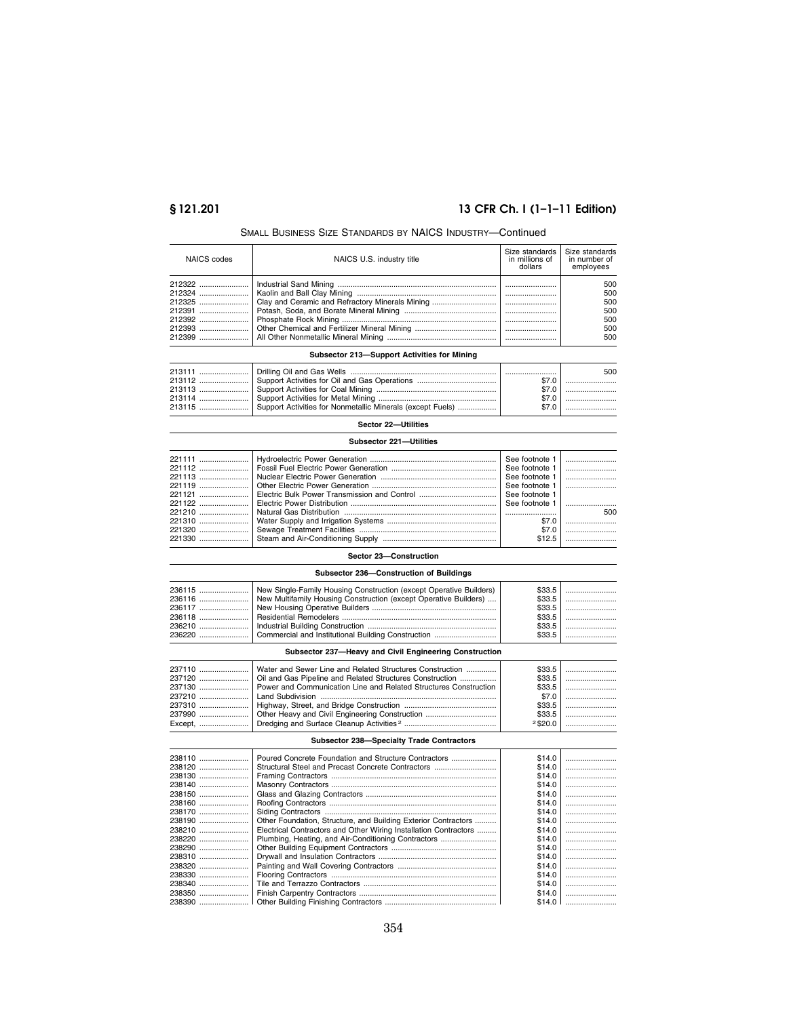# **§ 121.201 13 CFR Ch. I (1–1–11 Edition)**

## SMALL BUSINESS SIZE STANDARDS BY NAICS INDUSTRY—Continued

| NAICS codes | NAICS U.S. industry title | Size standards<br>in millions of<br>dollars | Size standards<br>in number of<br>employees |
|-------------|---------------------------|---------------------------------------------|---------------------------------------------|
|             |                           |                                             | 500                                         |
|             |                           |                                             | 500                                         |
|             |                           |                                             | 500                                         |
|             |                           |                                             | 500                                         |
|             |                           |                                             | 500                                         |
|             |                           |                                             | 500                                         |
|             |                           |                                             | 500                                         |

## **Subsector 213—Support Activities for Mining**

|                                                                    |       | 500 |
|--------------------------------------------------------------------|-------|-----|
|                                                                    |       |     |
|                                                                    | \$7.0 |     |
|                                                                    | \$7.0 |     |
| 213115  Support Activities for Nonmetallic Minerals (except Fuels) | \$7.0 |     |

# **Sector 22—Utilities**

| Subsector 221-Utilities |                                                      |                |     |
|-------------------------|------------------------------------------------------|----------------|-----|
|                         |                                                      | See footnote 1 |     |
|                         |                                                      | See footnote 1 |     |
|                         |                                                      | See footnote 1 |     |
|                         |                                                      | See footnote 1 |     |
|                         | 221121  Electric Bulk Power Transmission and Control | See footnote 1 |     |
|                         |                                                      | See footnote 1 |     |
|                         |                                                      |                | 500 |
|                         |                                                      | \$7.0          |     |
|                         |                                                      | \$7.0          |     |
|                         |                                                      | \$12.5         |     |

## **Sector 23—Construction**

## **Subsector 236—Construction of Buildings**

|  | 236115  New Single-Family Housing Construction (except Operative Builders)<br>236116  New Multifamily Housing Construction (except Operative Builders) | \$33.5<br>\$33.5 |
|--|--------------------------------------------------------------------------------------------------------------------------------------------------------|------------------|

| 237120   Oil and Gas Pipeline and Related Structures Construction |            |
|-------------------------------------------------------------------|------------|
|                                                                   |            |
|                                                                   |            |
|                                                                   |            |
|                                                                   |            |
|                                                                   | $2$ \$20.0 |

## **Subsector 238—Specialty Trade Contractors**

| 238110 | Poured Concrete Foundation and Structure Contractors             | \$14.0 |  |
|--------|------------------------------------------------------------------|--------|--|
| 238120 | Structural Steel and Precast Concrete Contractors                | \$14.0 |  |
| 238130 |                                                                  | \$14.0 |  |
| 238140 |                                                                  | \$14.0 |  |
| 238150 |                                                                  | \$14.0 |  |
| 238160 |                                                                  | \$14.0 |  |
| 238170 |                                                                  | \$14.0 |  |
| 238190 | Other Foundation, Structure, and Building Exterior Contractors   | \$14.0 |  |
| 238210 | Electrical Contractors and Other Wiring Installation Contractors | \$14.0 |  |
| 238220 | Plumbing, Heating, and Air-Conditioning Contractors              | \$14.0 |  |
| 238290 |                                                                  | \$14.0 |  |
| 238310 |                                                                  | \$14.0 |  |
| 238320 |                                                                  | \$14.0 |  |
| 238330 |                                                                  | \$14.0 |  |
| 238340 |                                                                  | \$14.0 |  |
| 238350 |                                                                  | \$14.0 |  |
|        |                                                                  | \$14.0 |  |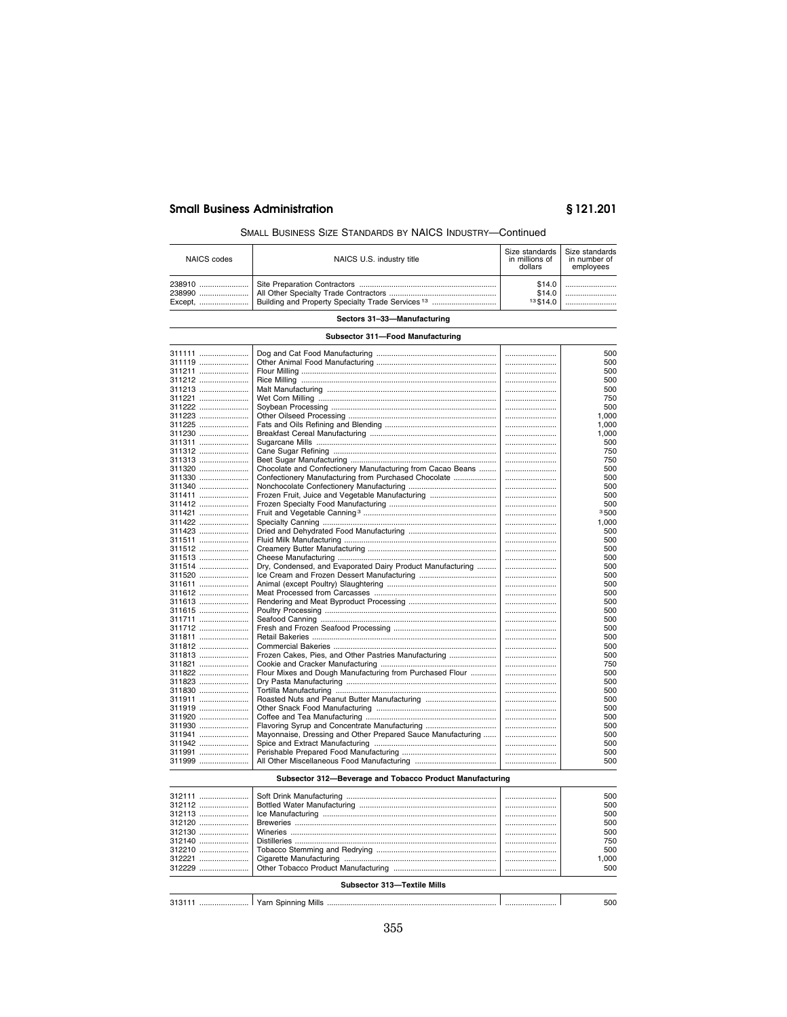## **Small Business Administration**

# §121.201

500

## SMALL BUSINESS SIZE STANDARDS BY NAICS INDUSTRY-Continued

| NAICS codes                 | NAICS U.S. industry title | Size standards   Size standards<br>in millions of<br>dollars | in number of<br>employees |
|-----------------------------|---------------------------|--------------------------------------------------------------|---------------------------|
| 238990                      |                           | \$14.0<br>\$14.0<br>13,514.0                                 |                           |
| Sectors 31-33-Manufacturing |                           |                                                              |                           |

# Subsector 311-Food Manufacturing

| 311111           |                                                             | 500        |
|------------------|-------------------------------------------------------------|------------|
| 311119           |                                                             | 500        |
| 311211           |                                                             | 500        |
| 311212           |                                                             | 500        |
| 311213           |                                                             | 500        |
| 311221           |                                                             | 750        |
| 311222           |                                                             | 500        |
| 311223           |                                                             | 1.000      |
| 311225           |                                                             | 1,000      |
| 311230           |                                                             | 1,000      |
| 311311           |                                                             | 500        |
| 311312           |                                                             | 750        |
| 311313           |                                                             | 750        |
| 311320           | Chocolate and Confectionery Manufacturing from Cacao Beans  | <br>500    |
| 311330           | Confectionery Manufacturing from Purchased Chocolate        | 500        |
| 311340           |                                                             | 500        |
| 311411           | Frozen Fruit, Juice and Vegetable Manufacturing             | 500        |
| 311412           |                                                             | 500        |
| 311421           |                                                             | 3500       |
| 311422           |                                                             | 1,000      |
| 311423           |                                                             | 500        |
| 311511           |                                                             | 500        |
| 311512           |                                                             | 500        |
| 311513           |                                                             | 500        |
| 311514<br>311520 | Dry, Condensed, and Evaporated Dairy Product Manufacturing  | 500<br>500 |
| 311611           |                                                             | 500        |
| 311612           |                                                             | 500        |
| 311613           |                                                             | 500        |
| 311615           |                                                             | 500        |
| 311711           |                                                             | 500        |
| 311712           |                                                             | 500        |
| 311811           |                                                             | 500        |
| 311812           |                                                             | 500        |
| 311813           | Frozen Cakes, Pies, and Other Pastries Manufacturing        | 500        |
| 311821           |                                                             | 750        |
| 311822           | Flour Mixes and Dough Manufacturing from Purchased Flour    | <br>500    |
| 311823           |                                                             | 500        |
| 311830           |                                                             | 500        |
| 311911           |                                                             | 500        |
| 311919           |                                                             | 500        |
| 311920           |                                                             | 500        |
| 311930           | Flavoring Syrup and Concentrate Manufacturing               | 500        |
| 311941           | Mayonnaise, Dressing and Other Prepared Sauce Manufacturing | 500        |
| 311942           |                                                             | 500        |
| 311991           |                                                             | 500        |
| 311999           |                                                             | 500        |
|                  |                                                             |            |

## Subsector 312-Beverage and Tobacco Product Manufacturing

| 312111                      |  |  | 500  |
|-----------------------------|--|--|------|
| 312112                      |  |  | 500  |
| 312113                      |  |  | 500  |
| 312120                      |  |  | 500  |
| 312130                      |  |  | 500  |
| 312140                      |  |  | 750  |
| 312210                      |  |  | 500  |
| 312221                      |  |  | .000 |
| 312229                      |  |  | 500  |
| Subsector 313-Textile Mills |  |  |      |

313111 ........................ Yarn Spinning Mills ........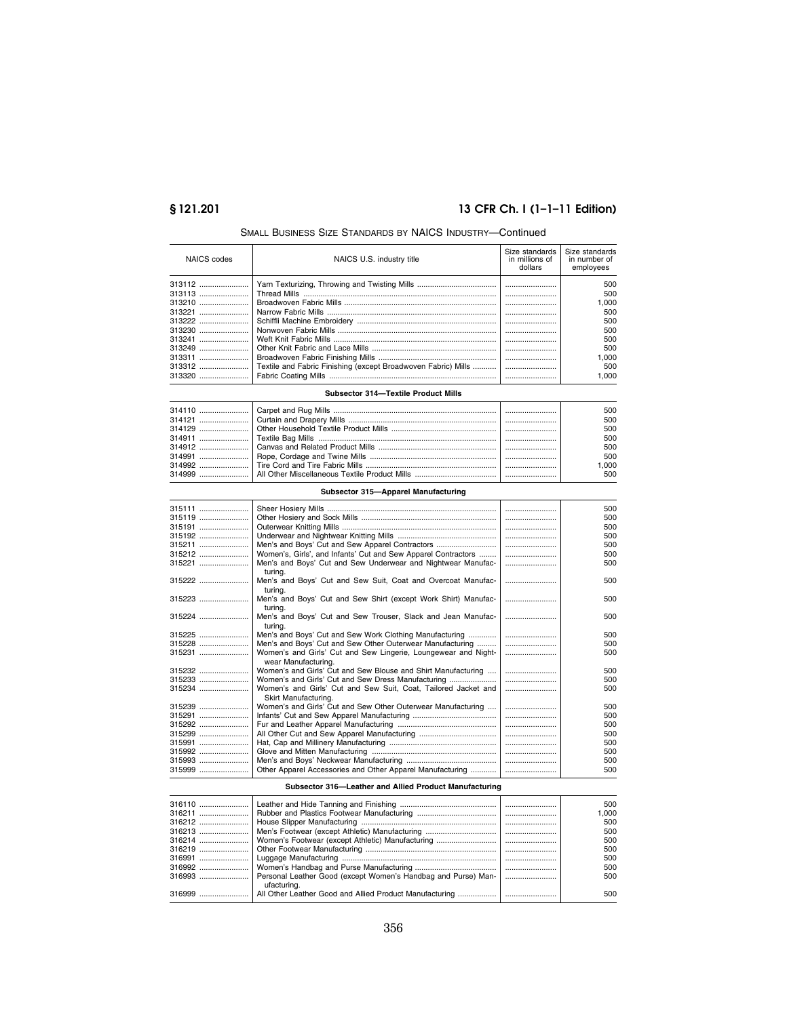# **§ 121.201 13 CFR Ch. I (1–1–11 Edition)**

| NAICS codes | NAICS U.S. industry title                                     | Size standards<br>in millions of<br>dollars | Size standards<br>in number of<br>employees |
|-------------|---------------------------------------------------------------|---------------------------------------------|---------------------------------------------|
|             |                                                               |                                             | 500                                         |
| 313113      |                                                               |                                             | 500                                         |
| 313210      |                                                               |                                             | 1.000                                       |
|             |                                                               |                                             | 500                                         |
| 313222      |                                                               |                                             | 500                                         |
| 313230      |                                                               |                                             | 500                                         |
| 313241      |                                                               |                                             | 500                                         |
| 313249      |                                                               |                                             | 500                                         |
| 313311      |                                                               |                                             | 1.000                                       |
| 313312      | Textile and Fabric Finishing (except Broadwoven Fabric) Mills |                                             | 500                                         |
| 313320      |                                                               |                                             | 1.000                                       |
|             | Subsector 314-Textile Product Mills                           |                                             |                                             |

## SMALL BUSINESS SIZE STANDARDS BY NAICS INDUSTRY—Continued

| <u>Juvaccio JIT Callic I Iougul Milla</u> |  |  |       |
|-------------------------------------------|--|--|-------|
|                                           |  |  | 500   |
|                                           |  |  | 500   |
|                                           |  |  | 500   |
|                                           |  |  | 500   |
|                                           |  |  | 500   |
|                                           |  |  | 500   |
|                                           |  |  | 1.000 |
|                                           |  |  | 500   |

## **Subsector 315—Apparel Manufacturing**

| 315111 |                                                                                        | 500     |
|--------|----------------------------------------------------------------------------------------|---------|
| 315119 |                                                                                        | 500     |
| 315191 |                                                                                        | 500     |
| 315192 |                                                                                        | 500     |
| 315211 | Men's and Boys' Cut and Sew Apparel Contractors                                        | 500     |
| 315212 | Women's, Girls', and Infants' Cut and Sew Apparel Contractors                          | 500     |
| 315221 | Men's and Boys' Cut and Sew Underwear and Nightwear Manufac-<br>turing.                | 500     |
| 315222 | Men's and Boys' Cut and Sew Suit, Coat and Overcoat Manufac-<br>turing.                | 500     |
| 315223 | Men's and Boys' Cut and Sew Shirt (except Work Shirt) Manufac-<br>turina.              | 500     |
| 315224 | Men's and Boys' Cut and Sew Trouser, Slack and Jean Manufac-<br>turing.                | 500     |
| 315225 | Men's and Boys' Cut and Sew Work Clothing Manufacturing                                | 500     |
| 315228 | Men's and Boys' Cut and Sew Other Outerwear Manufacturing                              | 500     |
| 315231 | Women's and Girls' Cut and Sew Lingerie, Loungewear and Night-<br>wear Manufacturing.  | <br>500 |
|        | Women's and Girls' Cut and Sew Blouse and Shirt Manufacturing                          | 500     |
| 315233 |                                                                                        | <br>500 |
| 315234 | Women's and Girls' Cut and Sew Suit, Coat, Tailored Jacket and<br>Skirt Manufacturing. | 500     |
|        | Women's and Girls' Cut and Sew Other Outerwear Manufacturing                           | 500     |
| 315291 |                                                                                        | 500     |
| 315292 |                                                                                        | 500     |
| 315299 |                                                                                        | 500     |
| 315991 |                                                                                        | 500     |
|        |                                                                                        | 500     |
| 315993 |                                                                                        | 500     |
| 315999 | Other Apparel Accessories and Other Apparel Manufacturing                              | 500     |

## **Subsector 316—Leather and Allied Product Manufacturing**

| 316110 |                                                               | 500   |
|--------|---------------------------------------------------------------|-------|
| 316211 |                                                               | 1.000 |
| 316212 |                                                               | 500   |
| 316213 |                                                               | 500   |
| 316214 |                                                               | 500   |
|        |                                                               | 500   |
| 316991 |                                                               | 500   |
| 316992 |                                                               | 500   |
| 316993 | Personal Leather Good (except Women's Handbag and Purse) Man- | 500   |
|        | ufacturing.                                                   |       |
|        |                                                               | 500   |
|        |                                                               |       |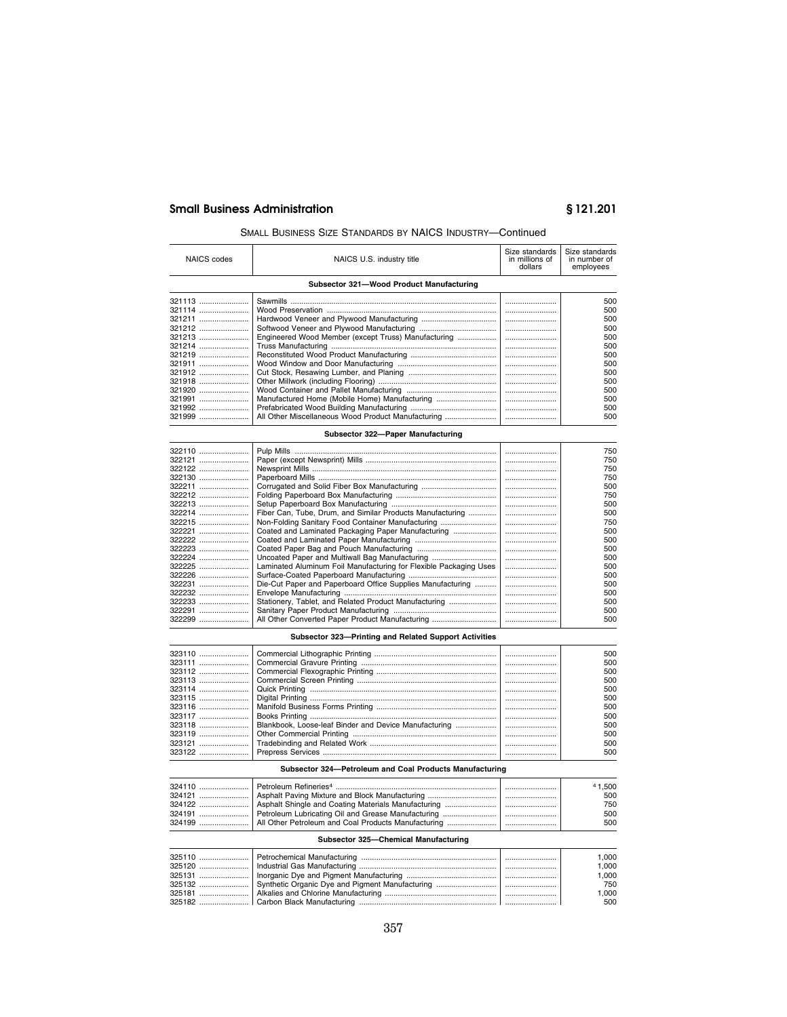## SMALL BUSINESS SIZE STANDARDS BY NAICS INDUSTRY—Continued

| <b>NAICS</b> codes | NAICS U.S. industry title                                         | Size standards<br>in millions of<br>dollars | Size standards<br>in number of<br>employees |
|--------------------|-------------------------------------------------------------------|---------------------------------------------|---------------------------------------------|
|                    | Subsector 321-Wood Product Manufacturing                          |                                             |                                             |
| 321113             |                                                                   |                                             | 500                                         |
| 321114             |                                                                   |                                             | 500                                         |
| 321211             |                                                                   |                                             | 500                                         |
| 321212             |                                                                   |                                             | 500                                         |
| 321213             | Engineered Wood Member (except Truss) Manufacturing               |                                             | 500                                         |
| 321214             |                                                                   |                                             | 500                                         |
| 321219             |                                                                   |                                             | 500                                         |
| 321911             |                                                                   |                                             | 500                                         |
| 321912             |                                                                   |                                             | 500                                         |
| 321918             |                                                                   |                                             | 500                                         |
| 321920             |                                                                   |                                             | 500                                         |
| 321991             | Manufactured Home (Mobile Home) Manufacturing                     |                                             | 500                                         |
| 321992             |                                                                   |                                             | 500                                         |
| 321999             | All Other Miscellaneous Wood Product Manufacturing                |                                             | 500                                         |
|                    |                                                                   |                                             |                                             |
|                    | Subsector 322-Paper Manufacturing                                 |                                             |                                             |
| 322110             |                                                                   |                                             | 750                                         |
| 322121             |                                                                   |                                             | 750                                         |
| 322122             |                                                                   |                                             | 750                                         |
| 322130             |                                                                   |                                             | 750                                         |
| 322211             | Corrugated and Solid Fiber Box Manufacturing                      |                                             | 500                                         |
| 322212             |                                                                   |                                             | 750                                         |
| 322213             |                                                                   |                                             | 500                                         |
| 322214             | Fiber Can, Tube, Drum, and Similar Products Manufacturing         |                                             | 500                                         |
| 322215             | Non-Folding Sanitary Food Container Manufacturing                 |                                             | 750                                         |
| 322221             | Coated and Laminated Packaging Paper Manufacturing                |                                             | 500                                         |
| 322222             |                                                                   |                                             | 500                                         |
| 322223             |                                                                   |                                             | 500                                         |
| 322224             | Uncoated Paper and Multiwall Bag Manufacturing                    |                                             | 500                                         |
| 322225             | Laminated Aluminum Foil Manufacturing for Flexible Packaging Uses |                                             | 500                                         |
| 322226             |                                                                   |                                             | 500                                         |
|                    |                                                                   |                                             |                                             |
|                    | Die-Cut Paper and Paperboard Office Supplies Manufacturing        |                                             | 500                                         |
| 322232             |                                                                   |                                             | 500                                         |
| 322233             | Stationery, Tablet, and Related Product Manufacturing             |                                             | 500                                         |
| 322291             |                                                                   |                                             | 500                                         |
| 322299             | All Other Converted Paper Product Manufacturing                   |                                             | 500                                         |
|                    | Subsector 323-Printing and Related Support Activities             |                                             |                                             |
| 323110             |                                                                   |                                             | 500                                         |
| 323111             |                                                                   |                                             | 500                                         |
| 323112             |                                                                   |                                             | 500                                         |
| 323113             |                                                                   |                                             | 500                                         |
| 323114             |                                                                   |                                             | 500                                         |
| 323115             |                                                                   |                                             | 500                                         |
| 323116             |                                                                   |                                             | 500                                         |
| 323117             |                                                                   |                                             | 500                                         |
| 323118             | Blankbook, Loose-leaf Binder and Device Manufacturing             |                                             | 500                                         |
| 323119             |                                                                   |                                             | 500                                         |
| 323121             |                                                                   |                                             | 500                                         |
| 323122             |                                                                   |                                             | 500                                         |
|                    |                                                                   |                                             |                                             |
|                    | Subsector 324-Petroleum and Coal Products Manufacturing           |                                             |                                             |
| 324110             | Petroleum Refineries <sup>4</sup> .                               |                                             | 41.500                                      |

|        | 324110    Petroleum Refineries <sup>4</sup>                   | 41.500 |
|--------|---------------------------------------------------------------|--------|
| 324121 |                                                               | 500    |
| 324122 | Asphalt Shingle and Coating Materials Manufacturing           | 750    |
|        | 324191    Petroleum Lubricating Oil and Grease Manufacturing  | 500    |
|        | 324199    All Other Petroleum and Coal Products Manufacturing | 500    |
|        |                                                               |        |

## **Subsector 325—Chemical Manufacturing**

|        |  | 1.000 |
|--------|--|-------|
|        |  | 1.000 |
| 325131 |  | 1.000 |
|        |  | 750   |
|        |  | 000.  |
|        |  | 500   |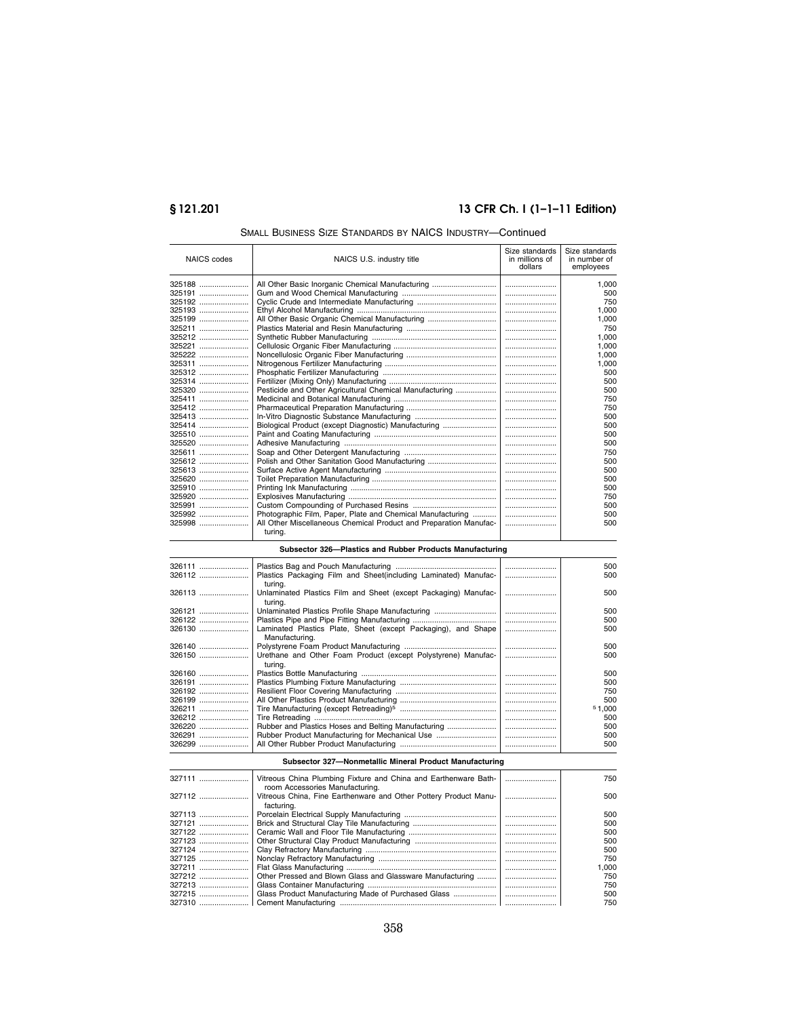# **§ 121.201 13 CFR Ch. I (1–1–11 Edition)**

| NAICS codes      | NAICS U.S. industry title                                                                          | Size standards<br>in millions of<br>dollars | Size standards<br>in number of<br>employees |
|------------------|----------------------------------------------------------------------------------------------------|---------------------------------------------|---------------------------------------------|
| 325188           | All Other Basic Inorganic Chemical Manufacturing                                                   |                                             | 1,000                                       |
| 325191           |                                                                                                    |                                             | 500                                         |
| 325192           |                                                                                                    |                                             | 750                                         |
| 325193           |                                                                                                    |                                             | 1,000                                       |
| 325199           | All Other Basic Organic Chemical Manufacturing                                                     |                                             | 1,000                                       |
| 325211           |                                                                                                    |                                             | 750                                         |
| 325212           |                                                                                                    |                                             | 1.000                                       |
| 325221           |                                                                                                    |                                             | 1,000<br>1,000                              |
| 325222<br>325311 |                                                                                                    |                                             | 1,000                                       |
| 325312           |                                                                                                    |                                             | 500                                         |
| 325314           |                                                                                                    |                                             | 500                                         |
| 325320           |                                                                                                    |                                             | 500                                         |
| 325411           |                                                                                                    |                                             | 750                                         |
| 325412           |                                                                                                    |                                             | 750                                         |
| 325413           |                                                                                                    |                                             | 500                                         |
| 325414           | Biological Product (except Diagnostic) Manufacturing                                               |                                             | 500                                         |
| 325510           |                                                                                                    |                                             | 500                                         |
| 325520<br>325611 |                                                                                                    |                                             | 500<br>750                                  |
| 325612           | Polish and Other Sanitation Good Manufacturing                                                     |                                             | 500                                         |
| 325613           |                                                                                                    |                                             | 500                                         |
| 325620           |                                                                                                    |                                             | 500                                         |
| 325910           |                                                                                                    |                                             | 500                                         |
| 325920           |                                                                                                    |                                             | 750                                         |
| 325991           |                                                                                                    |                                             | 500                                         |
| 325992           | Photographic Film, Paper, Plate and Chemical Manufacturing                                         |                                             | 500                                         |
| 325998           | All Other Miscellaneous Chemical Product and Preparation Manufac-<br>turing.                       |                                             | 500                                         |
|                  | Subsector 326-Plastics and Rubber Products Manufacturing                                           |                                             |                                             |
|                  |                                                                                                    |                                             | 500                                         |
| 326112           | Plastics Packaging Film and Sheet(including Laminated) Manufac-<br>turing.                         |                                             | 500                                         |
| 326113           | Unlaminated Plastics Film and Sheet (except Packaging) Manufac-<br>turing.                         |                                             | 500                                         |
| 326121           | Unlaminated Plastics Profile Shape Manufacturing                                                   |                                             | 500                                         |
| 326122           |                                                                                                    |                                             | 500                                         |
| 326130           | Laminated Plastics Plate, Sheet (except Packaging), and Shape<br>Manufacturing.                    |                                             | 500                                         |
| 326140           |                                                                                                    |                                             | 500                                         |
| 326150           | Urethane and Other Foam Product (except Polystyrene) Manufac-<br>turing.                           |                                             | 500                                         |
| 326160           |                                                                                                    |                                             | 500                                         |
| 326191           |                                                                                                    |                                             | 500                                         |
| 326192           |                                                                                                    | <br>                                        | 750                                         |
| 326199<br>326211 |                                                                                                    |                                             | 500<br>51,000                               |
| 326212           |                                                                                                    |                                             | 500                                         |
| 326220           | Rubber and Plastics Hoses and Belting Manufacturing                                                |                                             | 500                                         |
| 326291           | Rubber Product Manufacturing for Mechanical Use                                                    |                                             | 500                                         |
| 326299           |                                                                                                    |                                             | 500                                         |
|                  | Subsector 327-Nonmetallic Mineral Product Manufacturing                                            |                                             |                                             |
| 327111           | Vitreous China Plumbing Fixture and China and Earthenware Bath-<br>room Accessories Manufacturing. |                                             | 750                                         |
| 327112           | Vitreous China, Fine Earthenware and Other Pottery Product Manu-<br>facturing.                     |                                             | 500                                         |
| 327113           |                                                                                                    |                                             | 500                                         |
| 327121           |                                                                                                    |                                             | 500                                         |
| 327122           |                                                                                                    |                                             | 500                                         |
| 327123<br>327124 |                                                                                                    | <br>                                        | 500<br>500                                  |
| 327125           |                                                                                                    |                                             | 750                                         |
| 327211           |                                                                                                    |                                             | 1,000                                       |
| 327212           | Other Pressed and Blown Glass and Glassware Manufacturing                                          |                                             | 750                                         |
| 327213           |                                                                                                    |                                             | 750                                         |
| 327215           | Glass Product Manufacturing Made of Purchased Glass                                                |                                             | 500                                         |
| 327310           |                                                                                                    |                                             | 750                                         |

# SMALL BUSINESS SIZE STANDARDS BY NAICS INDUSTRY—Continued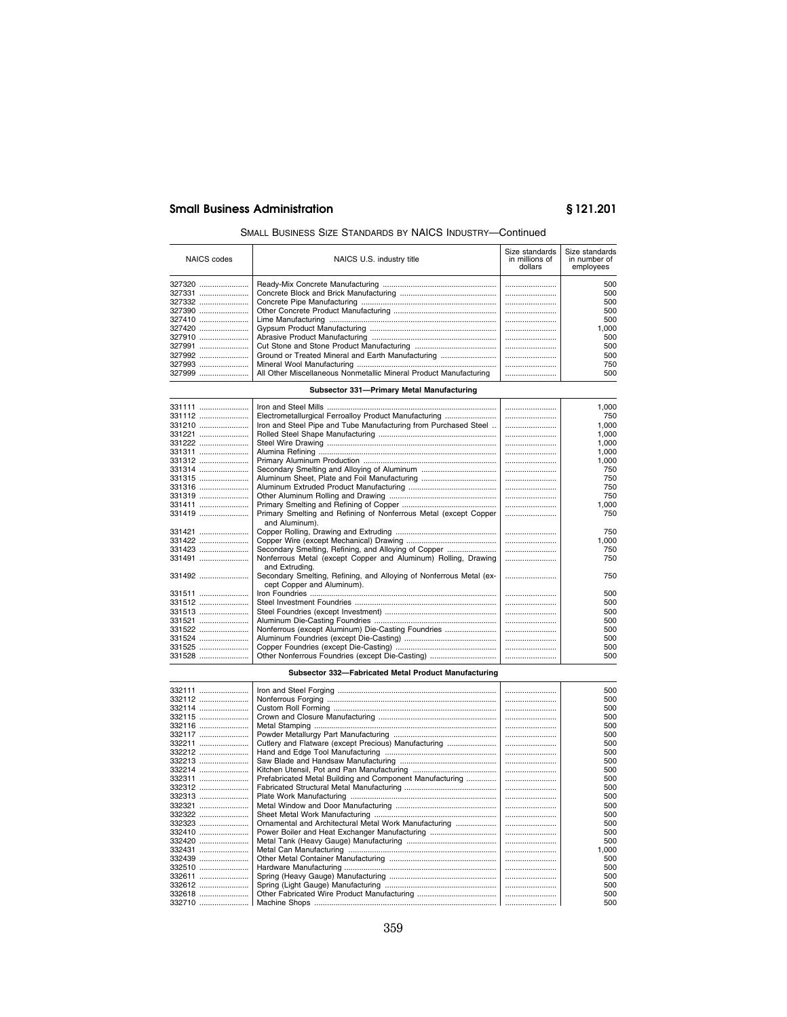## SMALL BUSINESS SIZE STANDARDS BY NAICS INDUSTRY—Continued

| NAICS codes | NAICS U.S. industry title                                         | Size standards<br>in millions of<br>dollars | Size standards<br>in number of<br>employees |
|-------------|-------------------------------------------------------------------|---------------------------------------------|---------------------------------------------|
| 327320      |                                                                   |                                             | 500                                         |
| 327331      |                                                                   |                                             | 500                                         |
| 327332      |                                                                   |                                             | 500                                         |
| 327390      |                                                                   |                                             | 500                                         |
| 327410      |                                                                   |                                             | 500                                         |
|             |                                                                   |                                             | 1.000                                       |
| 327910      |                                                                   |                                             | 500                                         |
| 327991      |                                                                   |                                             | 500                                         |
| 327992      | Ground or Treated Mineral and Earth Manufacturing                 |                                             | 500                                         |
| 327993      |                                                                   |                                             | 750                                         |
| 327999      | All Other Miscellaneous Nonmetallic Mineral Product Manufacturing |                                             | 500                                         |

## **Subsector 331—Primary Metal Manufacturing**

|                                                                                                   |                                                                      | 1.000 |
|---------------------------------------------------------------------------------------------------|----------------------------------------------------------------------|-------|
| Electrometallurgical Ferroalloy Product Manufacturing                                             |                                                                      | 750   |
| Iron and Steel Pipe and Tube Manufacturing from Purchased Steel                                   |                                                                      | 1.000 |
|                                                                                                   |                                                                      | 1.000 |
|                                                                                                   |                                                                      | 1.000 |
|                                                                                                   |                                                                      | 1.000 |
|                                                                                                   |                                                                      | 1,000 |
|                                                                                                   |                                                                      | 750   |
|                                                                                                   |                                                                      | 750   |
|                                                                                                   |                                                                      | 750   |
|                                                                                                   |                                                                      | 750   |
|                                                                                                   |                                                                      | 1,000 |
| Primary Smelting and Refining of Nonferrous Metal (except Copper<br>and Aluminum).                |                                                                      | 750   |
|                                                                                                   |                                                                      | 750   |
|                                                                                                   |                                                                      | 1.000 |
| Secondary Smelting, Refining, and Alloying of Copper                                              |                                                                      | 750   |
| Nonferrous Metal (except Copper and Aluminum) Rolling, Drawing                                    |                                                                      | 750   |
| Secondary Smelting, Refining, and Alloying of Nonferrous Metal (ex-<br>cept Copper and Aluminum). |                                                                      | 750   |
|                                                                                                   |                                                                      | 500   |
|                                                                                                   |                                                                      | 500   |
|                                                                                                   |                                                                      | 500   |
|                                                                                                   |                                                                      | 500   |
|                                                                                                   |                                                                      | 500   |
|                                                                                                   |                                                                      | 500   |
|                                                                                                   |                                                                      | 500   |
| Other Nonferrous Foundries (except Die-Casting)                                                   |                                                                      | 500   |
|                                                                                                   | and Extruding.<br>Nonferrous (except Aluminum) Die-Casting Foundries |       |

## **Subsector 332—Fabricated Metal Product Manufacturing**

| 332111 |                                                          | 500       |
|--------|----------------------------------------------------------|-----------|
| 332112 |                                                          | 500       |
| 332114 |                                                          | <br>500   |
| 332115 |                                                          | 500       |
| 332116 |                                                          | <br>500   |
| 332117 |                                                          | <br>500   |
| 332211 | Cutlery and Flatware (except Precious) Manufacturing     | <br>500   |
| 332212 |                                                          | 500       |
| 332213 |                                                          | 500       |
| 332214 |                                                          | 500       |
| 332311 | Prefabricated Metal Building and Component Manufacturing | <br>500   |
| 332312 |                                                          | <br>500   |
| 332313 |                                                          | <br>500   |
| 332321 |                                                          | 500       |
| 332322 |                                                          | <br>500   |
| 332323 | Ornamental and Architectural Metal Work Manufacturing    | <br>500   |
|        | Power Boiler and Heat Exchanger Manufacturing            | 500       |
| 332420 |                                                          | 500       |
|        |                                                          | <br>1,000 |
| 332439 |                                                          | <br>500   |
| 332510 |                                                          | <br>500   |
| 332611 |                                                          | <br>500   |
| 332612 |                                                          | 500       |
| 332618 |                                                          | 500       |
|        |                                                          |           |
| 332710 |                                                          | 500       |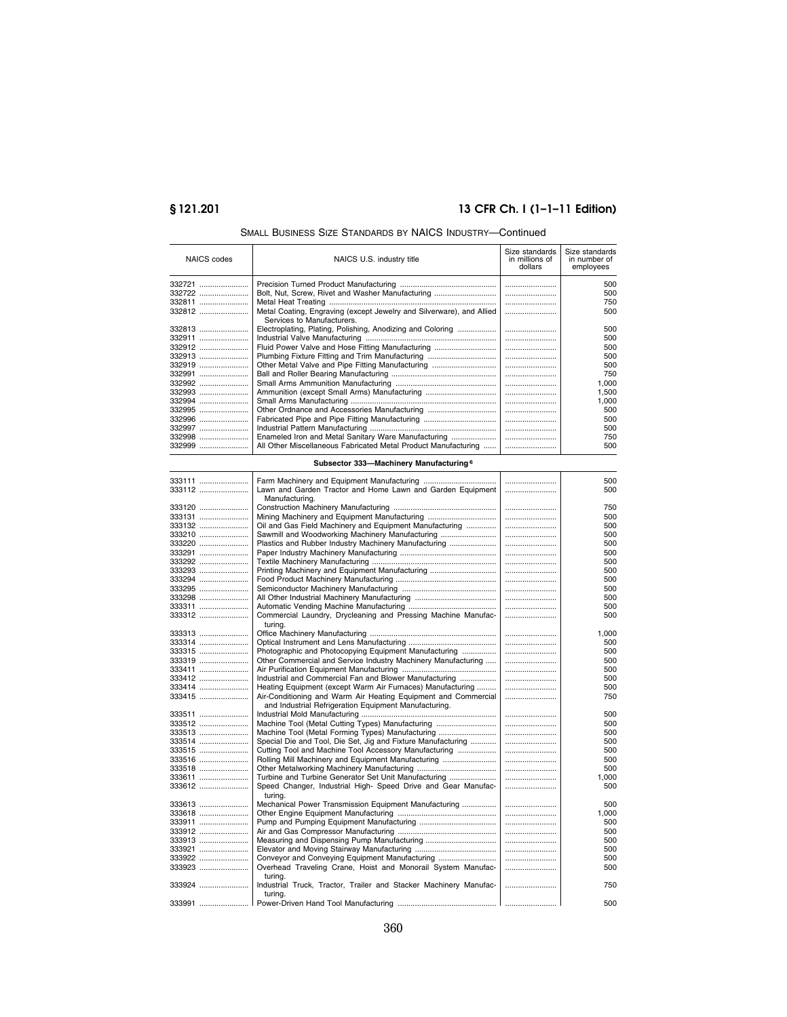# **§ 121.201 13 CFR Ch. I (1–1–11 Edition)**

| <b>NAICS</b> codes | NAICS U.S. industry title                                                                                               | Size standards<br>in millions of<br>dollars | Size standards<br>in number of<br>employees |
|--------------------|-------------------------------------------------------------------------------------------------------------------------|---------------------------------------------|---------------------------------------------|
| 332721             |                                                                                                                         |                                             | 500                                         |
| 332722             | Bolt, Nut, Screw, Rivet and Washer Manufacturing                                                                        |                                             | 500                                         |
| 332811             |                                                                                                                         |                                             | 750                                         |
| 332812             | Metal Coating, Engraving (except Jewelry and Silverware), and Allied<br>Services to Manufacturers.                      |                                             | 500                                         |
| 332813             | Electroplating, Plating, Polishing, Anodizing and Coloring                                                              |                                             | 500                                         |
| 332911             |                                                                                                                         |                                             | 500                                         |
| 332912             | Fluid Power Valve and Hose Fitting Manufacturing                                                                        |                                             | 500                                         |
| 332913             | Plumbing Fixture Fitting and Trim Manufacturing                                                                         |                                             | 500                                         |
| 332919             | Other Metal Valve and Pipe Fitting Manufacturing                                                                        |                                             | 500                                         |
| 332991             |                                                                                                                         |                                             | 750                                         |
| 332992             |                                                                                                                         |                                             | 1,000                                       |
| 332993             | Ammunition (except Small Arms) Manufacturing                                                                            |                                             | 1,500                                       |
| 332994             |                                                                                                                         |                                             | 1,000                                       |
| 332995             | Other Ordnance and Accessories Manufacturing                                                                            |                                             | 500                                         |
| 332996             | Fabricated Pipe and Pipe Fitting Manufacturing                                                                          |                                             | 500                                         |
| 332997             |                                                                                                                         |                                             | 500                                         |
| 332998             | Enameled Iron and Metal Sanitary Ware Manufacturing                                                                     |                                             | 750                                         |
| 332999             | All Other Miscellaneous Fabricated Metal Product Manufacturing                                                          |                                             | 500                                         |
|                    | Subsector 333-Machinery Manufacturing <sup>6</sup>                                                                      |                                             |                                             |
| 333111             |                                                                                                                         |                                             | 500                                         |
| 333112             | Lawn and Garden Tractor and Home Lawn and Garden Equipment                                                              |                                             | 500                                         |
| 333120             | Manufacturing.                                                                                                          |                                             | 750                                         |
| 333131             | Mining Machinery and Equipment Manufacturing                                                                            |                                             | 500                                         |
| 333132             | Oil and Gas Field Machinery and Equipment Manufacturing                                                                 |                                             | 500                                         |
| 333210             | Sawmill and Woodworking Machinery Manufacturing                                                                         |                                             | 500                                         |
| 333220             | Plastics and Rubber Industry Machinery Manufacturing                                                                    |                                             | 500                                         |
| 333291             |                                                                                                                         |                                             | 500                                         |
| 333292             |                                                                                                                         |                                             | 500                                         |
| 333293             | Printing Machinery and Equipment Manufacturing                                                                          |                                             | 500                                         |
| 333294             |                                                                                                                         |                                             | 500                                         |
| 333295             |                                                                                                                         |                                             | 500                                         |
| 333298             |                                                                                                                         |                                             | 500                                         |
| 333311             |                                                                                                                         |                                             | 500                                         |
| 333312             | Commercial Laundry, Drycleaning and Pressing Machine Manufac-<br>turing.                                                |                                             | 500                                         |
| 333313             |                                                                                                                         |                                             | 1,000                                       |
| 333314             |                                                                                                                         |                                             | 500                                         |
| 333315             | Photographic and Photocopying Equipment Manufacturing                                                                   |                                             | 500                                         |
| 333319             | Other Commercial and Service Industry Machinery Manufacturing                                                           |                                             | 500                                         |
| 333411             |                                                                                                                         |                                             | 500                                         |
| 333412             | Industrial and Commercial Fan and Blower Manufacturing                                                                  |                                             | 500                                         |
| 333414             | Heating Equipment (except Warm Air Furnaces) Manufacturing                                                              |                                             | 500                                         |
| 333415             | Air-Conditioning and Warm Air Heating Equipment and Commercial<br>and Industrial Refrigeration Equipment Manufacturing. |                                             | 750                                         |
| 333511             |                                                                                                                         |                                             | 500                                         |
| 333512             | Machine Tool (Metal Cutting Types) Manufacturing                                                                        |                                             | 500                                         |
| 333513             | Machine Tool (Metal Forming Types) Manufacturing                                                                        |                                             | 500                                         |
| 333514             | Special Die and Tool, Die Set, Jig and Fixture Manufacturing                                                            |                                             | 500                                         |
| 333515             | Cutting Tool and Machine Tool Accessory Manufacturing                                                                   |                                             | 500                                         |
| 333516             | Rolling Mill Machinery and Equipment Manufacturing                                                                      |                                             | 500                                         |
| 333518             |                                                                                                                         |                                             | 500                                         |
| 333611             | Turbine and Turbine Generator Set Unit Manufacturing                                                                    |                                             | 1,000                                       |
| 333612             | Speed Changer, Industrial High- Speed Drive and Gear Manufac-<br>turing.                                                |                                             | 500                                         |
| 333613             | Mechanical Power Transmission Equipment Manufacturing                                                                   |                                             | 500                                         |
| 333618             |                                                                                                                         |                                             | 1,000                                       |
| 333911             |                                                                                                                         |                                             | 500                                         |
| 333912             |                                                                                                                         |                                             | 500                                         |
| 333913             |                                                                                                                         |                                             | 500                                         |
| 333921             |                                                                                                                         |                                             | 500                                         |
| 333922             | Conveyor and Conveying Equipment Manufacturing                                                                          |                                             | 500                                         |
| 333923             | Overhead Traveling Crane, Hoist and Monorail System Manufac-<br>turing.                                                 |                                             | 500                                         |
| 333924             | Industrial Truck, Tractor, Trailer and Stacker Machinery Manufac-<br>turing.                                            |                                             | 750                                         |
| 333991             | Power-Driven Hand Tool Manufacturing                                                                                    |                                             | 500                                         |

## SMALL BUSINESS SIZE STANDARDS BY NAICS INDUSTRY—Continued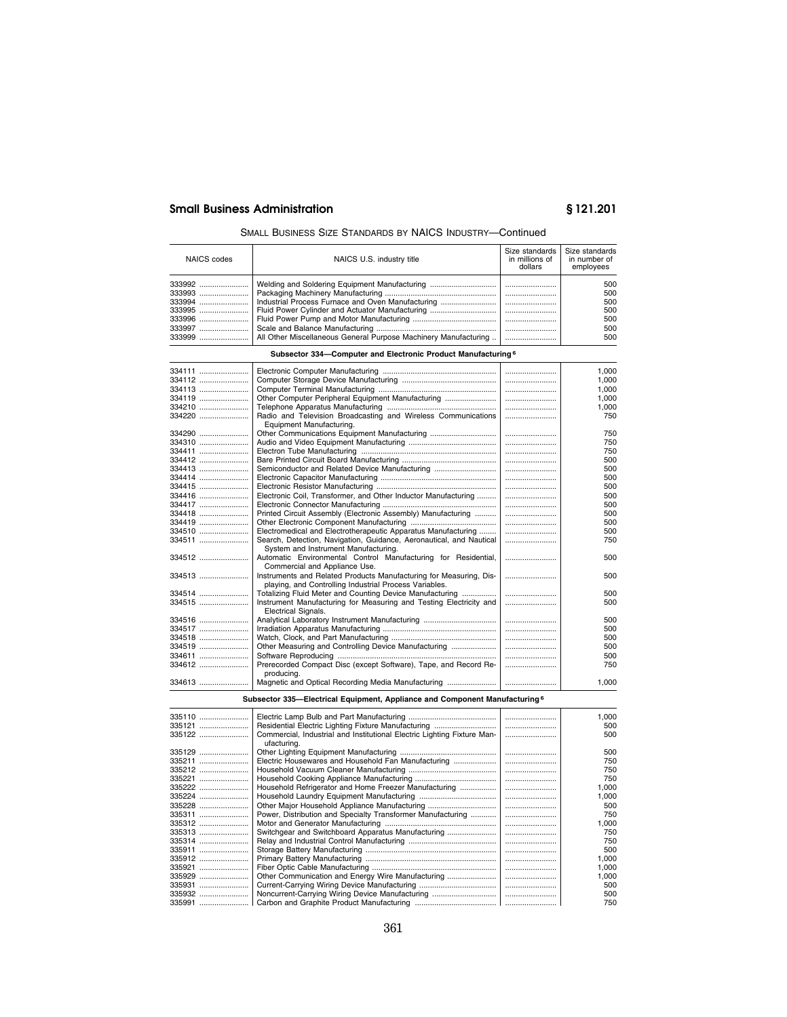## SMALL BUSINESS SIZE STANDARDS BY NAICS INDUSTRY—Continued

| NAICS codes | NAICS U.S. industry title                                       | Size standards<br>in millions of<br>dollars | Size standards<br>in number of<br>employees |
|-------------|-----------------------------------------------------------------|---------------------------------------------|---------------------------------------------|
| 333992      | Welding and Soldering Equipment Manufacturing                   |                                             | 500                                         |
| $333993$    |                                                                 |                                             | 500                                         |
| 333994      |                                                                 |                                             | 500                                         |
| 333995      |                                                                 |                                             | 500                                         |
| 333996      |                                                                 |                                             | 500                                         |
| 333997      |                                                                 |                                             | 500                                         |
|             | All Other Miscellaneous General Purpose Machinery Manufacturing |                                             | 500                                         |

## **Subsector 334—Computer and Electronic Product Manufacturing 6**

| 334111 |                                                                     | 1.000   |
|--------|---------------------------------------------------------------------|---------|
| 334112 |                                                                     | 1.000   |
| 334113 |                                                                     | 1.000   |
| 334119 | Other Computer Peripheral Equipment Manufacturing                   | 1,000   |
| 334210 |                                                                     | 1,000   |
| 334220 | Radio and Television Broadcasting and Wireless Communications       | <br>750 |
|        | Equipment Manufacturing.                                            |         |
| 334290 |                                                                     | 750     |
| 334310 |                                                                     | 750     |
| 334411 |                                                                     | 750     |
| 334412 |                                                                     | 500     |
| 334413 | Semiconductor and Related Device Manufacturing                      | 500     |
| 334414 |                                                                     | <br>500 |
| 334415 |                                                                     | 500     |
| 334416 | Electronic Coil, Transformer, and Other Inductor Manufacturing      | 500     |
| 334417 |                                                                     | 500     |
| 334418 | Printed Circuit Assembly (Electronic Assembly) Manufacturing        | 500     |
| 334419 |                                                                     | 500     |
| 334510 | Electromedical and Electrotherapeutic Apparatus Manufacturing       | <br>500 |
| 334511 | Search, Detection, Navigation, Guidance, Aeronautical, and Nautical | 750     |
|        | System and Instrument Manufacturing.                                |         |
| 334512 | Automatic Environmental Control Manufacturing for Residential,      | 500     |
|        | Commercial and Appliance Use.                                       |         |
| 334513 | Instruments and Related Products Manufacturing for Measuring, Dis-  | <br>500 |
|        | playing, and Controlling Industrial Process Variables.              |         |
| 334514 | Totalizing Fluid Meter and Counting Device Manufacturing            | 500     |
| 334515 | Instrument Manufacturing for Measuring and Testing Electricity and  | 500     |
|        | <b>Electrical Signals.</b>                                          |         |
| 334516 |                                                                     | 500     |
| 334517 |                                                                     | 500     |
| 334518 |                                                                     | 500     |
| 334519 | Other Measuring and Controlling Device Manufacturing                | 500     |
| 334611 |                                                                     | 500     |
| 334612 | Prerecorded Compact Disc (except Software), Tape, and Record Re-    | <br>750 |
|        | producing.                                                          |         |
| 334613 |                                                                     | 1.000   |
|        |                                                                     |         |

**Subsector 335—Electrical Equipment, Appliance and Component Manufacturing 6**

| 335110 |                                                                                        | <br>1.000 |
|--------|----------------------------------------------------------------------------------------|-----------|
| 335121 |                                                                                        | <br>500   |
| 335122 | Commercial, Industrial and Institutional Electric Lighting Fixture Man-<br>ufacturing. | <br>500   |
| 335129 |                                                                                        | <br>500   |
| 335211 | Electric Housewares and Household Fan Manufacturing                                    | <br>750   |
| 335212 |                                                                                        | <br>750   |
| 335221 |                                                                                        | <br>750   |
| 335222 | Household Refrigerator and Home Freezer Manufacturing                                  | <br>1.000 |
| 335224 |                                                                                        | <br>1,000 |
| 335228 | Other Major Household Appliance Manufacturing                                          | <br>500   |
| 335311 | Power, Distribution and Specialty Transformer Manufacturing                            | <br>750   |
| 335312 |                                                                                        | <br>1,000 |
| 335313 | Switchgear and Switchboard Apparatus Manufacturing                                     | <br>750   |
| 335314 |                                                                                        | <br>750   |
| 335911 |                                                                                        | <br>500   |
| 335912 |                                                                                        | <br>1.000 |
| 335921 |                                                                                        | <br>1,000 |
| 335929 | Other Communication and Energy Wire Manufacturing                                      | 1.000     |
| 335931 |                                                                                        | <br>500   |
| 335932 | Noncurrent-Carrying Wiring Device Manufacturing                                        | 500       |
| 335991 |                                                                                        | 750       |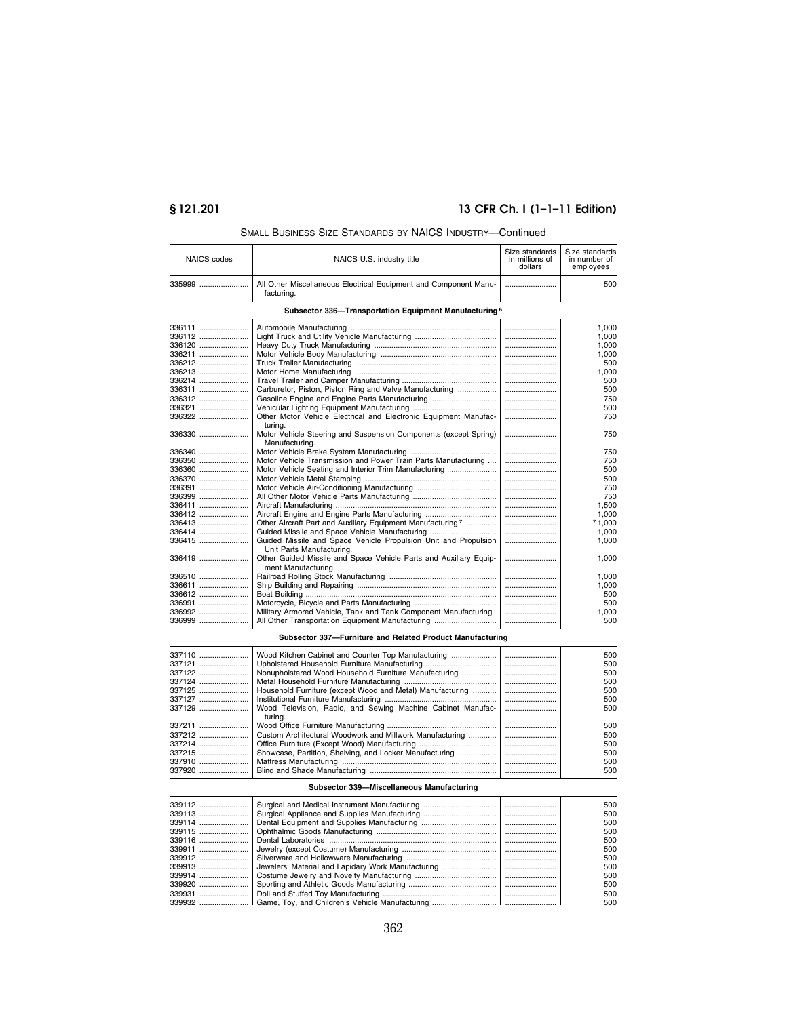# **§ 121.201 13 CFR Ch. I (1–1–11 Edition)**

| <b>NAICS</b> codes | NAICS U.S. industry title                                                      | Size standards<br>in millions of | Size standards<br>in number of |
|--------------------|--------------------------------------------------------------------------------|----------------------------------|--------------------------------|
|                    |                                                                                | dollars                          | employees                      |
| 335999             | All Other Miscellaneous Electrical Equipment and Component Manu-<br>facturing. |                                  | 500                            |
|                    | Subsector 336-Transportation Equipment Manufacturing <sup>6</sup>              |                                  |                                |
| 336111             |                                                                                |                                  | 1,000                          |
| 336112             |                                                                                |                                  | 1,000                          |
| 336120             |                                                                                |                                  | 1,000                          |
| 336211             |                                                                                |                                  | 1.000                          |
| 336212             |                                                                                |                                  | 500                            |
| 336213             |                                                                                |                                  | 1,000                          |
| 336214             |                                                                                |                                  | 500                            |
| 336311             | Carburetor, Piston, Piston Ring and Valve Manufacturing                        |                                  | 500                            |
| 336312             | Gasoline Engine and Engine Parts Manufacturing                                 |                                  | 750                            |
| 336321             |                                                                                |                                  | 500                            |
| 336322             | Other Motor Vehicle Electrical and Electronic Equipment Manufac-               |                                  | 750                            |
|                    | turing.                                                                        |                                  |                                |
| 336330             | Motor Vehicle Steering and Suspension Components (except Spring)               |                                  | 750                            |
|                    | Manufacturing.                                                                 |                                  |                                |
| 336340             |                                                                                |                                  | 750                            |
| 336350             | Motor Vehicle Transmission and Power Train Parts Manufacturing                 |                                  | 750                            |
| 336360             | Motor Vehicle Seating and Interior Trim Manufacturing                          |                                  | 500                            |
| 336370             |                                                                                |                                  | 500                            |
| 336391             |                                                                                |                                  | 750                            |
| 336399             |                                                                                |                                  | 750                            |
| 336411             |                                                                                |                                  | 1,500                          |
| 336412             | Aircraft Engine and Engine Parts Manufacturing                                 |                                  | 1,000                          |
| 336413             | Other Aircraft Part and Auxiliary Equipment Manufacturing <sup>7</sup>         |                                  | 71.000                         |
| 336414             | Guided Missile and Space Vehicle Manufacturing                                 |                                  | 1,000                          |
| 336415             | Guided Missile and Space Vehicle Propulsion Unit and Propulsion                |                                  | 1,000                          |
|                    | Unit Parts Manufacturing.                                                      |                                  |                                |
| 336419             | Other Guided Missile and Space Vehicle Parts and Auxiliary Equip-              |                                  | 1,000                          |
|                    | ment Manufacturing.                                                            |                                  |                                |
| 336510             |                                                                                |                                  | 1,000                          |
| 336611             |                                                                                |                                  | 1,000                          |
| 336612             |                                                                                |                                  | 500                            |
| 336991             |                                                                                |                                  | 500                            |
| 336992             | Military Armored Vehicle, Tank and Tank Component Manufacturing                |                                  | 1,000                          |
| 336999             | All Other Transportation Equipment Manufacturing                               |                                  | 500                            |
|                    |                                                                                |                                  |                                |
|                    | Subsector 337-Furniture and Related Product Manufacturing                      |                                  |                                |
| 337110             | Wood Kitchen Cabinet and Counter Top Manufacturing                             |                                  | 500                            |
| 337121             | Upholstered Household Furniture Manufacturing                                  |                                  | 500                            |
| 337122             | Nonupholstered Wood Household Furniture Manufacturing                          |                                  | 500                            |
| 337124             |                                                                                |                                  | 500                            |
| 337125             | Household Furniture (except Wood and Metal) Manufacturing                      |                                  | 500                            |
| 337127             |                                                                                |                                  | 500                            |
| 227120             | Wood Tolovicion, Radio, and Sowing Machine Cabinet Manufac-                    |                                  | 500                            |

## SMALL BUSINESS SIZE STANDARDS BY NAICS INDUSTRY—Continued

| 337110 |                                                             | 500     |
|--------|-------------------------------------------------------------|---------|
| 337121 |                                                             | 500     |
| 337122 | Nonupholstered Wood Household Furniture Manufacturing       | <br>500 |
| 337124 |                                                             | 500     |
| 337125 | Household Furniture (except Wood and Metal) Manufacturing   | 500     |
| 337127 |                                                             | 500     |
| 337129 | Wood Television, Radio, and Sewing Machine Cabinet Manufac- | 500     |
|        | turina.                                                     |         |
| 337211 |                                                             | 500     |
| 337212 | Custom Architectural Woodwork and Millwork Manufacturing    | 500     |
| 337214 |                                                             | 500     |
| 337215 |                                                             | 500     |
| 337910 |                                                             | 500     |
|        |                                                             | 500     |
|        |                                                             |         |

## **Subsector 339—Miscellaneous Manufacturing**

| 339112 |  | 500 |
|--------|--|-----|
|        |  | 500 |
| 339114 |  | 500 |
|        |  | 500 |
|        |  | 500 |
|        |  | 500 |
|        |  | 500 |
| 339913 |  | 500 |
|        |  | 500 |
| 339920 |  | 500 |
| 339931 |  | 500 |
|        |  | 500 |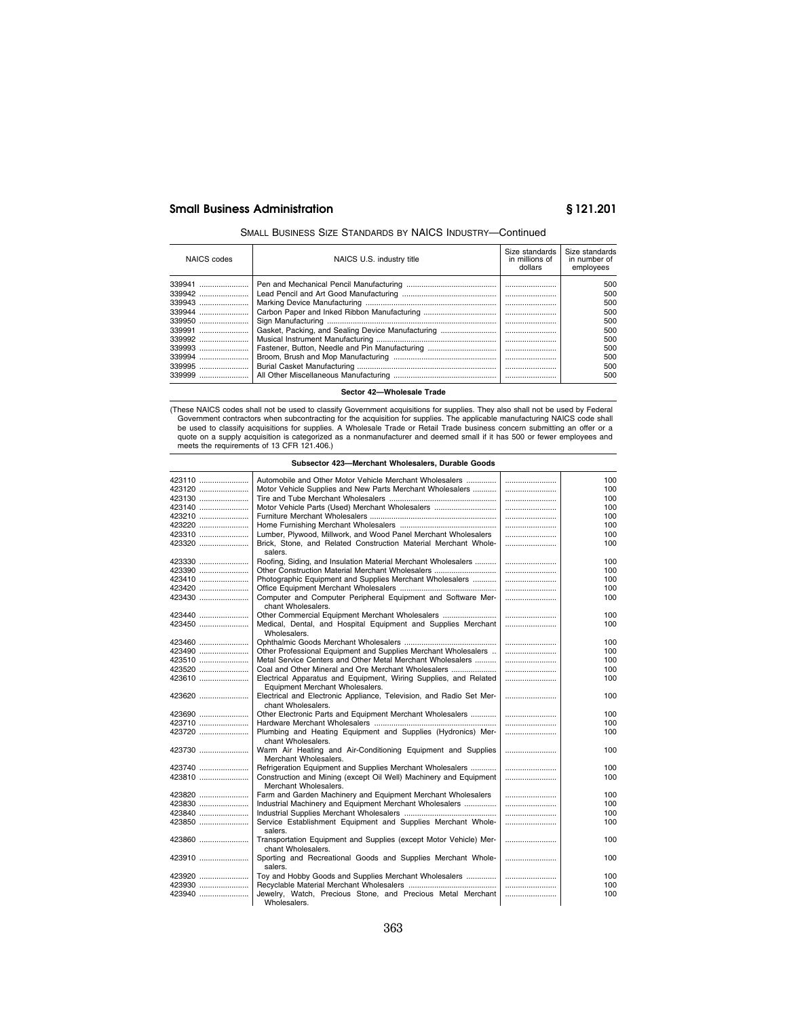## SMALL BUSINESS SIZE STANDARDS BY NAICS INDUSTRY—Continued

| NAICS codes | NAICS U.S. industry title                         | Size standards<br>in millions of<br>dollars | Size standards<br>in number of<br>employees |
|-------------|---------------------------------------------------|---------------------------------------------|---------------------------------------------|
| 339941      |                                                   |                                             | 500                                         |
| 339942      |                                                   |                                             | 500                                         |
| 339943      |                                                   |                                             | 500                                         |
| 339944      |                                                   |                                             | 500                                         |
| 339950      |                                                   |                                             | 500                                         |
| 339991      | Gasket, Packing, and Sealing Device Manufacturing |                                             | 500                                         |
| 339992      |                                                   |                                             | 500                                         |
| 339993      | Fastener, Button, Needle and Pin Manufacturing    |                                             | 500                                         |
| 339994      |                                                   |                                             | 500                                         |
| 339995      |                                                   |                                             | 500                                         |
|             |                                                   |                                             | 500                                         |

**Sector 42—Wholesale Trade** 

(These NAICS codes shall not be used to classify Government acquisitions for supplies. They also shall not be used by Federal Government contractors when subcontracting for the acquisition for supplies. The applicable manu

| Subsector 423-Merchant Wholesalers, Durable Goods |                                                                                           |  |     |
|---------------------------------------------------|-------------------------------------------------------------------------------------------|--|-----|
| 423110                                            | Automobile and Other Motor Vehicle Merchant Wholesalers                                   |  | 100 |
| 423120                                            | Motor Vehicle Supplies and New Parts Merchant Wholesalers                                 |  | 100 |
| 423130                                            |                                                                                           |  | 100 |
| 423140                                            | Motor Vehicle Parts (Used) Merchant Wholesalers                                           |  | 100 |
| 423210                                            |                                                                                           |  | 100 |
| 423220                                            |                                                                                           |  | 100 |
| 423310                                            | Lumber, Plywood, Millwork, and Wood Panel Merchant Wholesalers                            |  | 100 |
| 423320                                            | Brick, Stone, and Related Construction Material Merchant Whole-<br>salers.                |  | 100 |
| 423330                                            | Roofing, Siding, and Insulation Material Merchant Wholesalers                             |  | 100 |
| 423390                                            | Other Construction Material Merchant Wholesalers                                          |  | 100 |
| 423410                                            | Photographic Equipment and Supplies Merchant Wholesalers                                  |  | 100 |
| 423420                                            |                                                                                           |  | 100 |
| 423430                                            | Computer and Computer Peripheral Equipment and Software Mer-<br>chant Wholesalers.        |  | 100 |
| 423440                                            | Other Commercial Equipment Merchant Wholesalers                                           |  | 100 |
| 423450                                            | Medical, Dental, and Hospital Equipment and Supplies Merchant                             |  | 100 |
|                                                   | Wholesalers.                                                                              |  |     |
| 423460                                            |                                                                                           |  | 100 |
| 423490                                            | Other Professional Equipment and Supplies Merchant Wholesalers                            |  | 100 |
| 423510                                            | Metal Service Centers and Other Metal Merchant Wholesalers                                |  | 100 |
| 423520                                            | Coal and Other Mineral and Ore Merchant Wholesalers                                       |  | 100 |
| 423610                                            | Electrical Apparatus and Equipment, Wiring Supplies, and Related                          |  | 100 |
|                                                   | Equipment Merchant Wholesalers.                                                           |  |     |
| 423620                                            | Electrical and Electronic Appliance, Television, and Radio Set Mer-<br>chant Wholesalers. |  | 100 |
| 423690                                            | Other Electronic Parts and Equipment Merchant Wholesalers                                 |  | 100 |
| 423710                                            |                                                                                           |  | 100 |
| 423720                                            | Plumbing and Heating Equipment and Supplies (Hydronics) Mer-                              |  | 100 |
|                                                   | chant Wholesalers.                                                                        |  |     |
| 423730                                            | Warm Air Heating and Air-Conditioning Equipment and Supplies                              |  | 100 |
|                                                   | Merchant Wholesalers.                                                                     |  |     |
| 423740                                            | Refrigeration Equipment and Supplies Merchant Wholesalers                                 |  | 100 |
| $423810$                                          | Construction and Mining (except Oil Well) Machinery and Equipment                         |  | 100 |
|                                                   | Merchant Wholesalers.                                                                     |  |     |
| 423820                                            | Farm and Garden Machinery and Equipment Merchant Wholesalers                              |  | 100 |
| 423830                                            | Industrial Machinery and Equipment Merchant Wholesalers                                   |  | 100 |
| 423840                                            |                                                                                           |  | 100 |
| 423850                                            | Service Establishment Equipment and Supplies Merchant Whole-<br>salers.                   |  | 100 |
| 423860                                            | Transportation Equipment and Supplies (except Motor Vehicle) Mer-<br>chant Wholesalers.   |  | 100 |
| 423910                                            | Sporting and Recreational Goods and Supplies Merchant Whole-<br>salers.                   |  | 100 |
| 423920                                            | Toy and Hobby Goods and Supplies Merchant Wholesalers                                     |  | 100 |
| 423930                                            |                                                                                           |  | 100 |
| 423940                                            | Jewelry, Watch, Precious Stone, and Precious Metal Merchant<br>Wholesalers.               |  | 100 |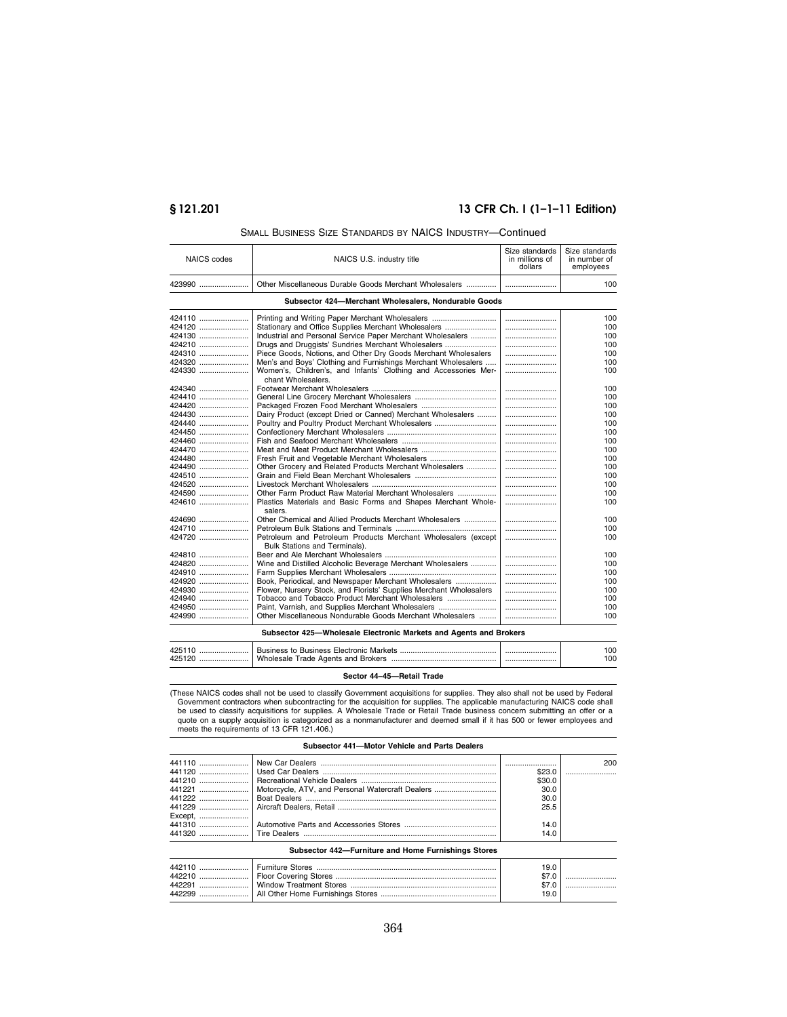## **§ 121.201 13 CFR Ch. I (1–1–11 Edition)**

| <b>NAICS</b> codes | NAICS U.S. industry title                                          | Size standards<br>in millions of<br>dollars | Size standards<br>in number of<br>employees |
|--------------------|--------------------------------------------------------------------|---------------------------------------------|---------------------------------------------|
| 423990             | Other Miscellaneous Durable Goods Merchant Wholesalers             |                                             | 100                                         |
|                    | Subsector 424-Merchant Wholesalers, Nondurable Goods               |                                             |                                             |
| 424110             | Printing and Writing Paper Merchant Wholesalers                    |                                             | 100                                         |
| 424120             | Stationary and Office Supplies Merchant Wholesalers                |                                             | 100                                         |
| 424130             | Industrial and Personal Service Paper Merchant Wholesalers         |                                             | 100                                         |
| 424210             | Drugs and Druggists' Sundries Merchant Wholesalers                 |                                             | 100                                         |
| 424310             | Piece Goods, Notions, and Other Dry Goods Merchant Wholesalers     |                                             | 100                                         |
| 424320             | Men's and Boys' Clothing and Furnishings Merchant Wholesalers      |                                             | 100                                         |
| 424330             | Women's, Children's, and Infants' Clothing and Accessories Mer-    |                                             | 100                                         |
|                    | chant Wholesalers.                                                 |                                             |                                             |
| 424340             |                                                                    |                                             | 100                                         |
| 424410             |                                                                    |                                             | 100                                         |
| 424420             |                                                                    |                                             | 100                                         |
| 424430             | Dairy Product (except Dried or Canned) Merchant Wholesalers        |                                             | 100                                         |
| 424440             | Poultry and Poultry Product Merchant Wholesalers                   |                                             | 100                                         |
| 424450             |                                                                    |                                             | 100                                         |
| 424460             |                                                                    |                                             | 100                                         |
| 424470             |                                                                    |                                             | 100                                         |
|                    |                                                                    |                                             |                                             |
| 424480             | Fresh Fruit and Vegetable Merchant Wholesalers                     |                                             | 100                                         |
| 424490             | Other Grocery and Related Products Merchant Wholesalers            |                                             | 100                                         |
| 424510             |                                                                    |                                             | 100                                         |
| 424520             |                                                                    |                                             | 100                                         |
| 424590             | Other Farm Product Raw Material Merchant Wholesalers               |                                             | 100                                         |
| 424610             | Plastics Materials and Basic Forms and Shapes Merchant Whole-      |                                             | 100                                         |
|                    | salers.                                                            |                                             |                                             |
| 424690             | Other Chemical and Allied Products Merchant Wholesalers            |                                             | 100                                         |
| 424710             |                                                                    |                                             | 100                                         |
| 424720             | Petroleum and Petroleum Products Merchant Wholesalers (except      |                                             | 100                                         |
|                    | Bulk Stations and Terminals).                                      |                                             |                                             |
| 424810             |                                                                    |                                             | 100                                         |
| 424820             | Wine and Distilled Alcoholic Beverage Merchant Wholesalers         |                                             | 100                                         |
| 424910             |                                                                    |                                             | 100                                         |
| 424920             | Book, Periodical, and Newspaper Merchant Wholesalers               |                                             | 100                                         |
| 424930             | Flower, Nursery Stock, and Florists' Supplies Merchant Wholesalers |                                             | 100                                         |
| 424940             | Tobacco and Tobacco Product Merchant Wholesalers                   |                                             | 100                                         |
| 424950             | Paint, Varnish, and Supplies Merchant Wholesalers                  |                                             | 100                                         |
| 424990             | Other Miscellaneous Nondurable Goods Merchant Wholesalers          |                                             | 100                                         |
|                    |                                                                    |                                             |                                             |

## SMALL BUSINESS SIZE STANDARDS BY NAICS INDUSTRY—Continued

#### **Subsector 425—Wholesale Electronic Markets and Agents and Brokers**

| 425110 | Business to Business Electronic Markets | 00  |
|--------|-----------------------------------------|-----|
| 425120 | Wholesale Trade Agents and Brokers      | 100 |

## **Sector 44–45—Retail Trade**

These NAICS codes shall not be used to classify Government acquisitions for supplies. They also shall not be used by Federal)(<br>Government contractors when subcontracting for the acquisition for supplies. The applicable man quote on a supply acquisition is categorized as a nonmanufacturer and deemed small if it has 500 or fewer employees and meets the requirements of 13 CFR 121.406.)

## **Subsector 441—Motor Vehicle and Parts Dealers**  441110 ....................... New Car Dealers .................................................................................. ........................ 200 441120 ....................... Used Car Dealers ................................................................................. \$23.0 ........................ 441210 ....................... Recreational Vehicle Dealers ............................................................... \$30.0 441221 ....................... Motorcycle, ATV, and Personal Watercraft Dealers ............................. 30.0 441222 ....................... Boat Dealers ......................................................................................... 30.0 Aircraft Dealers, Retail .......................................................................... 25.5 441229 ....................... Except,<br>441310 441310 ....................... Automotive Parts and Accessories Stores ........................................... 14.0 441320 ....................... Tire Dealers .......................................................................................... 14.0 **Subsector 442—Furniture and Home Furnishings Stores**

|  | 19.0<br>19.0 |  |
|--|--------------|--|
|  |              |  |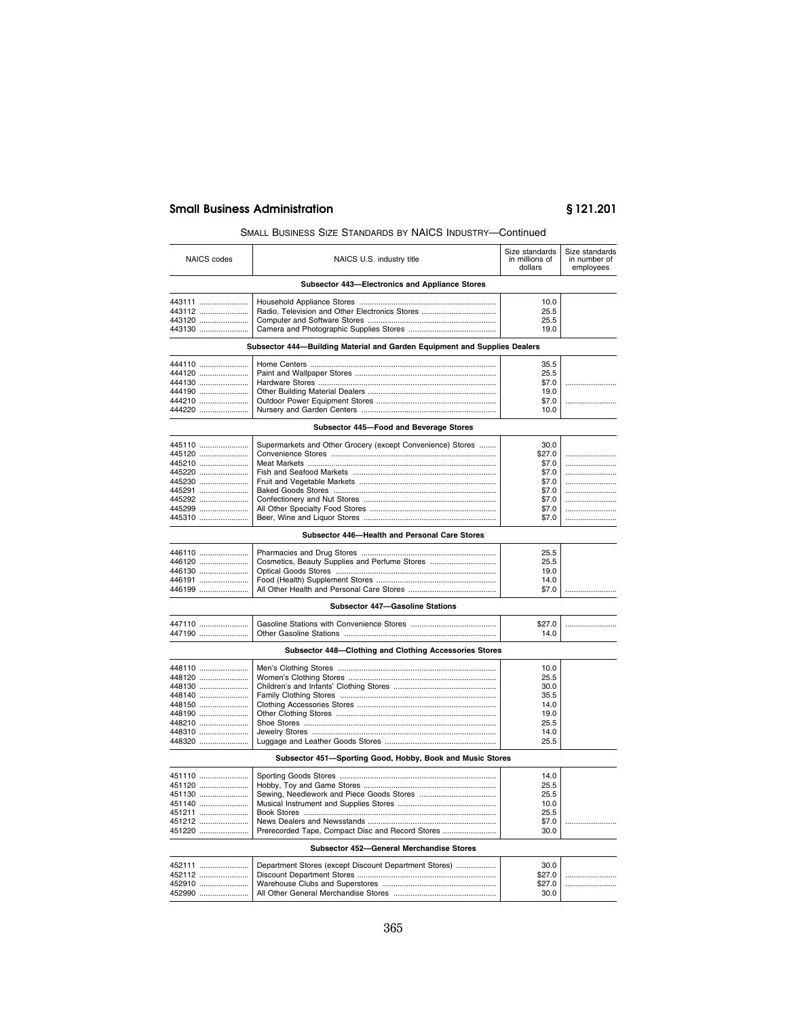## SMALL BUSINESS SIZE STANDARDS BY NAICS INDUSTRY—Continued

| <b>NAICS</b> codes | NAICS U.S. industry title                                                 | Size standards<br>in millions of<br>dollars | Size standards<br>in number of<br>employees |
|--------------------|---------------------------------------------------------------------------|---------------------------------------------|---------------------------------------------|
|                    | Subsector 443-Electronics and Appliance Stores                            |                                             |                                             |
| 443111             |                                                                           | 10.0                                        |                                             |
| 443112             | Radio, Television and Other Electronics Stores                            | 25.5                                        |                                             |
| 443120             |                                                                           | 25.5                                        |                                             |
| 443130             |                                                                           | 19.0                                        |                                             |
|                    | Subsector 444-Building Material and Garden Equipment and Supplies Dealers |                                             |                                             |
|                    |                                                                           |                                             |                                             |
| 444110             |                                                                           | 35.5                                        |                                             |
| 444120             |                                                                           | 25.5                                        |                                             |
| 444130             |                                                                           | \$7.0                                       | .                                           |
| 444190             |                                                                           | 19.0                                        |                                             |
| 444210<br>444220   |                                                                           | \$7.0<br>10.0                               | .                                           |
|                    |                                                                           |                                             |                                             |
|                    | Subsector 445-Food and Beverage Stores                                    |                                             |                                             |
| 445110             | Supermarkets and Other Grocery (except Convenience) Stores                | 30.0                                        |                                             |
| 445120             |                                                                           | \$27.0                                      |                                             |
| 445210             |                                                                           | \$7.0                                       |                                             |
| 445220             |                                                                           | \$7.0                                       |                                             |
| 445230             |                                                                           | \$7.0                                       |                                             |
| 445291             |                                                                           | \$7.0                                       |                                             |
| 445292             |                                                                           | \$7.0                                       |                                             |
| 445299             |                                                                           | \$7.0                                       |                                             |
| 445310             |                                                                           | \$7.0                                       |                                             |
|                    | Subsector 446-Health and Personal Care Stores                             |                                             |                                             |
| 446110             |                                                                           | 25.5                                        |                                             |
| 446120             | Cosmetics, Beauty Supplies and Perfume Stores                             | 25.5                                        |                                             |
| 446130             |                                                                           | 19.0                                        |                                             |
| 446191             |                                                                           | 14.0                                        |                                             |
| 446199             |                                                                           | \$7.0                                       | .                                           |
|                    | <b>Subsector 447-Gasoline Stations</b>                                    |                                             |                                             |
| 447110             |                                                                           | \$27.0                                      |                                             |
| 447190             |                                                                           | 14.0                                        |                                             |
|                    | Subsector 448-Clothing and Clothing Accessories Stores                    |                                             |                                             |
| 448110             |                                                                           | 10.0                                        |                                             |
| 448120             |                                                                           | 25.5                                        |                                             |
| 448130             |                                                                           | 30.0                                        |                                             |
| 448140             |                                                                           | 35.5                                        |                                             |
| 448150             |                                                                           | 14.0                                        |                                             |
| 448190             |                                                                           | 19.0                                        |                                             |
| 448210             |                                                                           | 25.5                                        |                                             |
| 448310             |                                                                           | 14.0                                        |                                             |
| 448320             |                                                                           | 25.5                                        |                                             |
|                    | Subsector 451-Sporting Good, Hobby, Book and Music Stores                 |                                             |                                             |
| 451110             |                                                                           | 14.0                                        |                                             |
| 451120             |                                                                           | 25.5                                        |                                             |
| 451130             |                                                                           | 25.5                                        |                                             |
| 451140             |                                                                           | 10.0                                        |                                             |
| 451211             |                                                                           | 25.5                                        |                                             |
| 451212             |                                                                           | \$7.0                                       | .                                           |
| 451220             | Prerecorded Tape, Compact Disc and Record Stores                          | 30.0                                        |                                             |
|                    | Subsector 452-General Merchandise Stores                                  |                                             |                                             |
| 452111             | Department Stores (except Discount Department Stores)                     | 30.0                                        |                                             |
| 452112             |                                                                           | \$27.0                                      |                                             |
| 452910             |                                                                           | \$27.0                                      |                                             |
| 452990             |                                                                           | 30.0                                        |                                             |
|                    |                                                                           |                                             |                                             |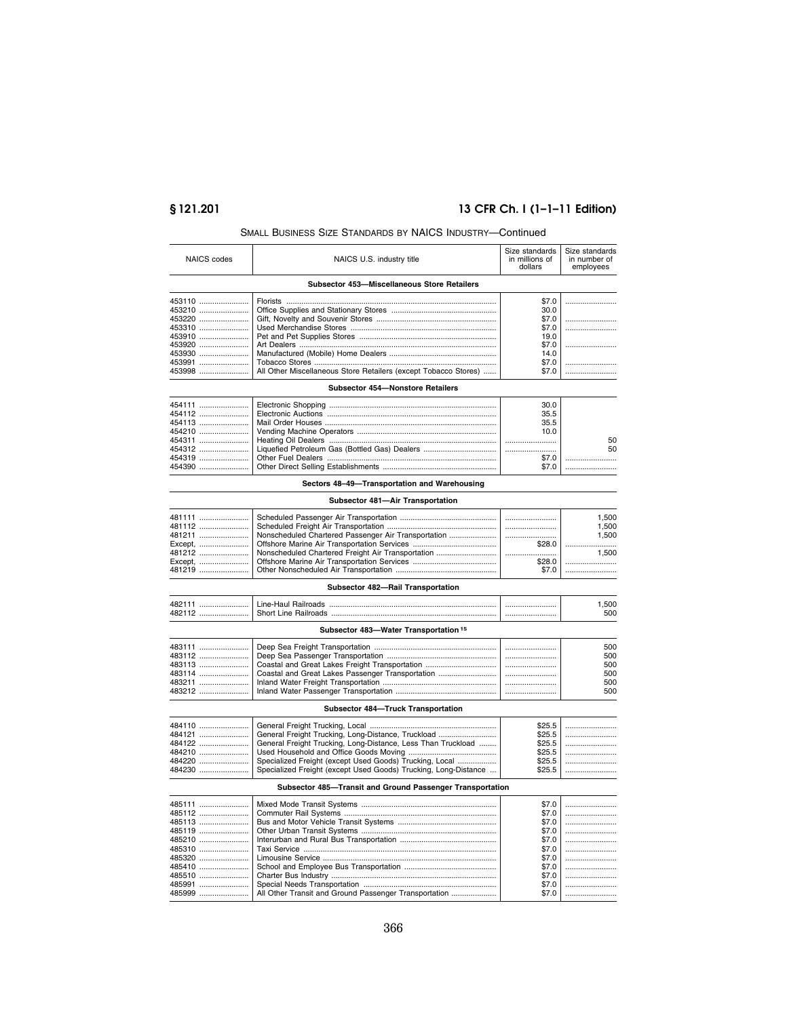# **§ 121.201 13 CFR Ch. I (1–1–11 Edition)**

|                  | SMALL BUSINESS SIZE STANDARDS BY NAICS INDUSTRY—Continued       |                                             |                                             |
|------------------|-----------------------------------------------------------------|---------------------------------------------|---------------------------------------------|
| NAICS codes      | NAICS U.S. industry title                                       | Size standards<br>in millions of<br>dollars | Size standards<br>in number of<br>employees |
|                  | Subsector 453-Miscellaneous Store Retailers                     |                                             |                                             |
|                  |                                                                 |                                             |                                             |
| 453110           |                                                                 | \$7.0                                       |                                             |
| 453210           |                                                                 | 30.0                                        |                                             |
| 453220           |                                                                 | \$7.0                                       |                                             |
| 453310           |                                                                 | \$7.0                                       |                                             |
| 453910<br>453920 |                                                                 | 19.0<br>\$7.0                               |                                             |
|                  |                                                                 | 14.0                                        |                                             |
| 453930<br>453991 |                                                                 | \$7.0                                       |                                             |
| 453998           | All Other Miscellaneous Store Retailers (except Tobacco Stores) | \$7.0                                       |                                             |
|                  | Subsector 454-Nonstore Retailers                                |                                             |                                             |
| 454111           |                                                                 | 30.0                                        |                                             |
| 454112           |                                                                 | 35.5                                        |                                             |
| 454113           |                                                                 | 35.5                                        |                                             |
| 454210           |                                                                 | 10.0                                        |                                             |
| 454311           |                                                                 |                                             | 50                                          |
| 454312           | Liquefied Petroleum Gas (Bottled Gas) Dealers                   |                                             | 50                                          |
| 454319           |                                                                 | \$7.0                                       |                                             |
| 454390           |                                                                 | \$7.0                                       |                                             |
|                  |                                                                 |                                             |                                             |
|                  | Sectors 48-49-Transportation and Warehousing                    |                                             |                                             |
|                  | Subsector 481-Air Transportation                                |                                             |                                             |
| 481111           |                                                                 |                                             | 1,500                                       |
| 481112           |                                                                 |                                             | 1,500                                       |
| 481211           | Nonscheduled Chartered Passenger Air Transportation             |                                             | 1,500                                       |
| Except,          |                                                                 | \$28.0                                      |                                             |
| 481212           | Nonscheduled Chartered Freight Air Transportation               |                                             | 1,500                                       |
| Except,          |                                                                 | \$28.0                                      |                                             |
| 481219           |                                                                 | \$7.0                                       |                                             |
|                  | Subsector 482-Rail Transportation                               |                                             |                                             |
| 482111           |                                                                 |                                             |                                             |
| 482112           |                                                                 |                                             | 1,500<br>500                                |
|                  |                                                                 |                                             |                                             |
|                  | Subsector 483-Water Transportation <sup>15</sup>                |                                             |                                             |
| 483111           |                                                                 |                                             | 500                                         |
| 483112           |                                                                 |                                             | 500                                         |
| 483113           | Coastal and Great Lakes Freight Transportation                  |                                             | 500                                         |
| 483114           | Coastal and Great Lakes Passenger Transportation                |                                             | 500                                         |
| 483211           |                                                                 |                                             | 500                                         |
| 483212           |                                                                 |                                             | 500                                         |
|                  |                                                                 |                                             |                                             |
|                  | Subsector 484-Truck Transportation                              |                                             |                                             |
| 484110           |                                                                 | \$25.5                                      |                                             |
| 484121           | General Freight Trucking, Long-Distance, Truckload              | \$25.5                                      |                                             |
| 484122           | General Freight Trucking, Long-Distance, Less Than Truckload    | \$25.5                                      |                                             |
| 484210           |                                                                 | \$25.5                                      |                                             |
| 484220           | Specialized Freight (except Used Goods) Trucking, Local         | \$25.5                                      |                                             |
| 484230           | Specialized Freight (except Used Goods) Trucking, Long-Distance | \$25.5                                      |                                             |
|                  | Subsector 485-Transit and Ground Passenger Transportation       |                                             |                                             |
| 485111           |                                                                 | \$7.0                                       |                                             |
|                  |                                                                 |                                             |                                             |
| 485112           |                                                                 | \$7.0                                       |                                             |
| 485113           |                                                                 | \$7.0                                       |                                             |
| 485119           |                                                                 | \$7.0                                       |                                             |
| 485210           |                                                                 | \$7.0                                       |                                             |
| 485310           |                                                                 | \$7.0                                       |                                             |
| 485320           |                                                                 | \$7.0                                       |                                             |
| 485410           |                                                                 | \$7.0                                       |                                             |
| 485510           |                                                                 | \$7.0                                       |                                             |
| 485991           |                                                                 | \$7.0                                       |                                             |
| 485999           | All Other Transit and Ground Passenger Transportation           | \$7.0                                       |                                             |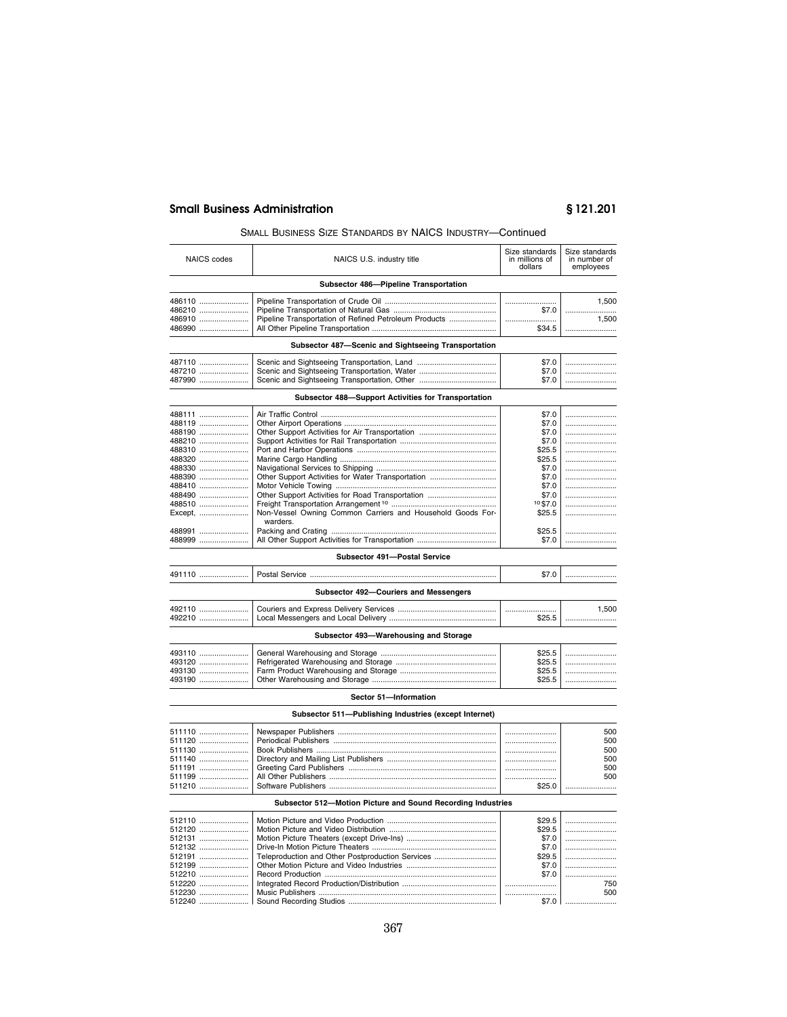## SMALL BUSINESS SIZE STANDARDS BY NAICS INDUSTRY—Continued

| <b>NAICS</b> codes | NAICS U.S. industry title                                   | Size standards<br>in millions of<br>dollars | Size standards<br>in number of<br>employees |
|--------------------|-------------------------------------------------------------|---------------------------------------------|---------------------------------------------|
|                    | Subsector 486-Pipeline Transportation                       |                                             |                                             |
| 486110             |                                                             |                                             | 1,500                                       |
| 486210             |                                                             | \$7.0                                       |                                             |
| 486910             |                                                             |                                             | 1,500                                       |
| 486990             |                                                             | \$34.5                                      |                                             |
|                    | Subsector 487-Scenic and Sightseeing Transportation         |                                             |                                             |
| 487110             |                                                             | \$7.0                                       |                                             |
| 487210<br>487990   |                                                             | \$7.0<br>\$7.0                              |                                             |
|                    |                                                             |                                             |                                             |
|                    | Subsector 488-Support Activities for Transportation         |                                             |                                             |
| 488111             |                                                             | \$7.0                                       |                                             |
| 488119             |                                                             | \$7.0                                       |                                             |
| 488190             |                                                             | \$7.0                                       |                                             |
| 488210             |                                                             | \$7.0                                       |                                             |
| 488310             |                                                             | \$25.5                                      |                                             |
| 488320             |                                                             | \$25.5                                      |                                             |
| 488330             |                                                             | \$7.0                                       |                                             |
| 488390             |                                                             | \$7.0                                       |                                             |
| 488410             |                                                             | \$7.0                                       |                                             |
| 488490<br>488510   |                                                             | \$7.0<br>10\$7.0                            | <br>                                        |
| Except,            | Non-Vessel Owning Common Carriers and Household Goods For-  | \$25.5                                      |                                             |
|                    | warders.                                                    |                                             |                                             |
| 488991             |                                                             | \$25.5                                      |                                             |
| 488999             |                                                             | \$7.0                                       |                                             |
|                    |                                                             |                                             |                                             |
|                    | Subsector 491-Postal Service                                |                                             |                                             |
| 491110             |                                                             | \$7.0                                       |                                             |
|                    | Subsector 492-Couriers and Messengers                       |                                             |                                             |
| 492110             |                                                             |                                             | 1,500                                       |
| 492210             |                                                             | \$25.5                                      |                                             |
|                    |                                                             |                                             |                                             |
|                    | Subsector 493-Warehousing and Storage                       |                                             |                                             |
| 493110             |                                                             | \$25.5                                      |                                             |
| 493120             |                                                             | \$25.5                                      |                                             |
| 493130             |                                                             | \$25.5                                      |                                             |
| 493190             |                                                             | \$25.5                                      |                                             |
|                    | Sector 51-Information                                       |                                             |                                             |
|                    | Subsector 511-Publishing Industries (except Internet)       |                                             |                                             |
| 511110             |                                                             |                                             | 500                                         |
| 511120             |                                                             |                                             | 500                                         |
| 511130             |                                                             |                                             | 500                                         |
| 511140             |                                                             |                                             | 500                                         |
| 511191             |                                                             |                                             | 500                                         |
| 511199             |                                                             |                                             | 500                                         |
| 511210             |                                                             | \$25.0                                      |                                             |
|                    | Subsector 512-Motion Picture and Sound Recording Industries |                                             |                                             |
| 512110             |                                                             | \$29.5                                      |                                             |
| 512120             |                                                             | \$29.5                                      |                                             |
| 512131             |                                                             | \$7.0                                       |                                             |
| 512132             |                                                             | \$7.0                                       |                                             |
| 512191             | Teleproduction and Other Postproduction Services            | \$29.5                                      |                                             |
| 512199             |                                                             | \$7.0                                       |                                             |
| 512210             |                                                             | \$7.0                                       |                                             |
| 512220             |                                                             |                                             | 750                                         |
| 512230             |                                                             |                                             | 500                                         |
| 512240             |                                                             | \$7.0                                       |                                             |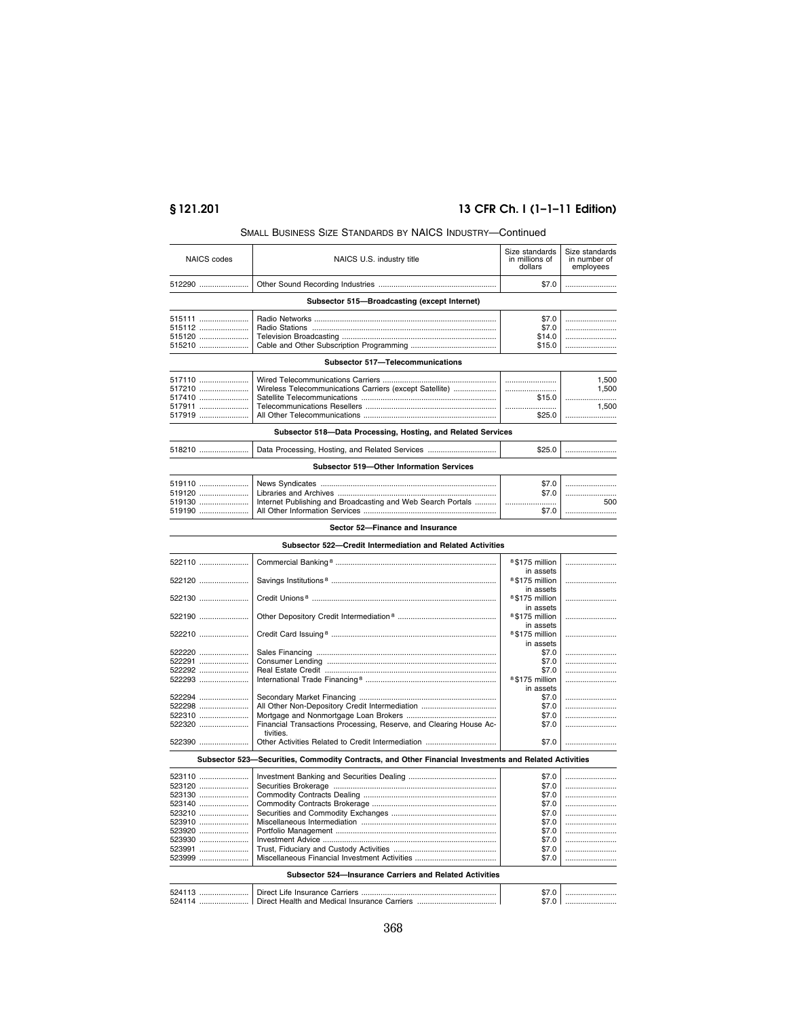# **§ 121.201 13 CFR Ch. I (1–1–11 Edition)**

|                    | וואטעווי טאואנו זים טאואטאווען די הואשייטש באיזיסט                                                    |                                             |                                             |
|--------------------|-------------------------------------------------------------------------------------------------------|---------------------------------------------|---------------------------------------------|
| <b>NAICS</b> codes | NAICS U.S. industry title                                                                             | Size standards<br>in millions of<br>dollars | Size standards<br>in number of<br>employees |
| 512290             |                                                                                                       | \$7.0                                       |                                             |
|                    | Subsector 515-Broadcasting (except Internet)                                                          |                                             |                                             |
|                    |                                                                                                       |                                             |                                             |
| 515111             |                                                                                                       | \$7.0                                       |                                             |
| 515112             |                                                                                                       | \$7.0                                       |                                             |
| 515120             |                                                                                                       | \$14.0                                      |                                             |
| 515210             |                                                                                                       | \$15.0                                      |                                             |
|                    | Subsector 517-Telecommunications                                                                      |                                             |                                             |
| 517110             |                                                                                                       |                                             | 1,500                                       |
| 517210             | Wireless Telecommunications Carriers (except Satellite)                                               |                                             | 1,500                                       |
| 517410             |                                                                                                       | \$15.0                                      |                                             |
| 517911             |                                                                                                       |                                             | 1,500                                       |
| 517919             |                                                                                                       | \$25.0                                      |                                             |
|                    | Subsector 518-Data Processing, Hosting, and Related Services                                          |                                             |                                             |
| 518210             | Data Processing, Hosting, and Related Services                                                        | \$25.0                                      |                                             |
|                    | Subsector 519-Other Information Services                                                              |                                             |                                             |
| 519110             |                                                                                                       | \$7.0                                       |                                             |
| 519120             |                                                                                                       | \$7.0                                       |                                             |
| 519130             | Internet Publishing and Broadcasting and Web Search Portals                                           |                                             | 500                                         |
| 519190             |                                                                                                       | \$7.0                                       |                                             |
|                    |                                                                                                       |                                             |                                             |
|                    | Sector 52-Finance and Insurance                                                                       |                                             |                                             |
|                    | Subsector 522-Credit Intermediation and Related Activities                                            |                                             |                                             |
| 522110             |                                                                                                       | <sup>8</sup> \$175 million<br>in assets     |                                             |
| 522120             |                                                                                                       | <sup>8</sup> \$175 million<br>in assets     |                                             |
| 522130             |                                                                                                       | <sup>8</sup> \$175 million<br>in assets     |                                             |
| 522190             |                                                                                                       | 8\$175 million<br>in assets                 |                                             |
| 522210             |                                                                                                       | <sup>8</sup> \$175 million<br>in assets     |                                             |
| 522220             |                                                                                                       | \$7.0                                       |                                             |
| 522291             |                                                                                                       | \$7.0                                       |                                             |
| 522292             |                                                                                                       | \$7.0                                       |                                             |
| 522293             |                                                                                                       | <sup>8</sup> \$175 million                  |                                             |
|                    |                                                                                                       | in assets                                   |                                             |
| 522294             |                                                                                                       | \$7.0                                       |                                             |
| 522298             | All Other Non-Depository Credit Intermediation                                                        | \$7.0                                       |                                             |
| 522310             |                                                                                                       | \$7.0                                       |                                             |
| 522320             | Financial Transactions Processing, Reserve, and Clearing House Ac-                                    | \$7.0                                       |                                             |
| 522390             | tivities.                                                                                             | \$7.0                                       |                                             |
|                    | Subsector 523–Securities, Commodity Contracts, and Other Financial Investments and Related Activities |                                             |                                             |
| 523110             |                                                                                                       | \$7.0                                       |                                             |
| 523120             |                                                                                                       | \$7.0                                       |                                             |
| 523130             |                                                                                                       |                                             |                                             |
| 523140             |                                                                                                       | \$7.0<br>\$7.0                              |                                             |
|                    |                                                                                                       |                                             |                                             |
| 523210             |                                                                                                       | \$7.0                                       |                                             |
| 523910             |                                                                                                       | \$7.0                                       |                                             |
| 523920             |                                                                                                       | \$7.0                                       |                                             |
| 523930             |                                                                                                       | \$7.0                                       |                                             |
| 523991<br>523999   |                                                                                                       | \$7.0<br>\$7.0                              | <br>                                        |
|                    |                                                                                                       |                                             |                                             |
|                    | Subsector 524-Insurance Carriers and Related Activities                                               |                                             |                                             |
| 524113             |                                                                                                       | \$7.0                                       |                                             |
| 524114             |                                                                                                       | \$7.0 I                                     |                                             |

# SMALL BUSINESS SIZE STANDARDS BY NAICS INDUSTRY—Continued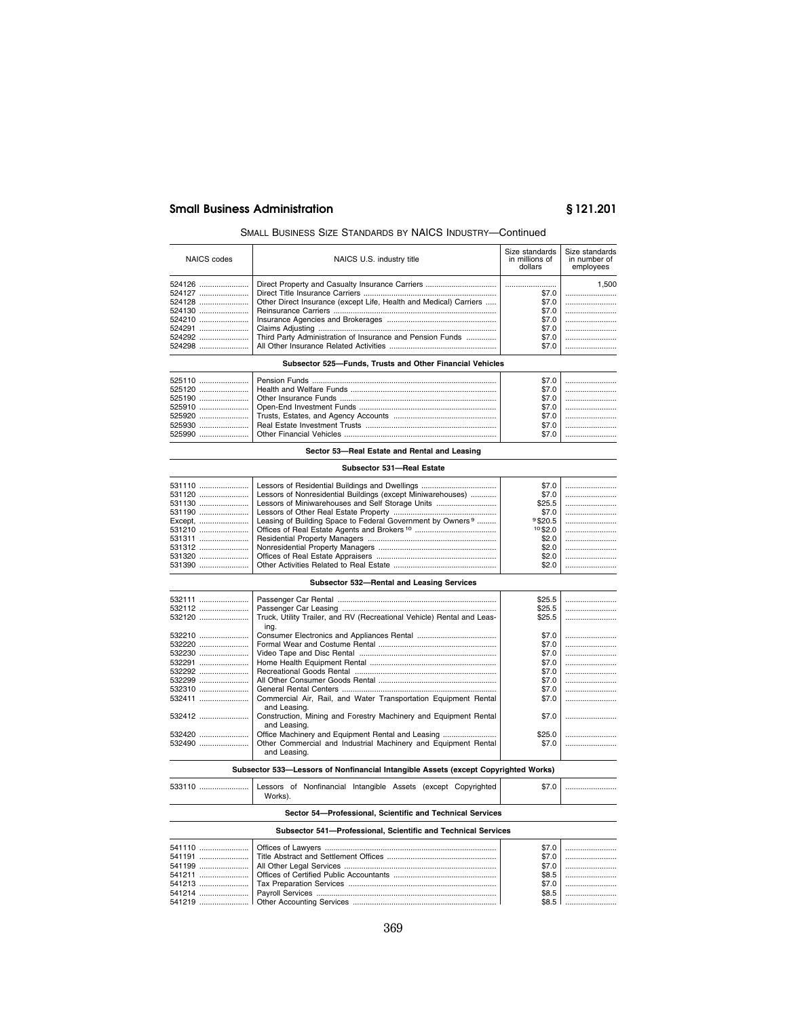## SMALL BUSINESS SIZE STANDARDS BY NAICS INDUSTRY—Continued

| NAICS codes | NAICS U.S. industry title                                         | Size standards<br>in millions of<br>dollars | Size standards<br>in number of<br>employees |
|-------------|-------------------------------------------------------------------|---------------------------------------------|---------------------------------------------|
| 524126      |                                                                   |                                             | 1.500                                       |
|             |                                                                   | \$7.0                                       |                                             |
| 524128      | Other Direct Insurance (except Life, Health and Medical) Carriers | \$7.0                                       |                                             |
|             |                                                                   | \$7.0                                       |                                             |
| 524210      |                                                                   | \$7.0                                       |                                             |
| 524291      |                                                                   | \$7.0                                       |                                             |
|             | Third Party Administration of Insurance and Pension Funds         | \$7.0                                       |                                             |
|             |                                                                   | \$7.0                                       |                                             |

#### **Subsector 525—Funds, Trusts and Other Financial Vehicles**

| 525110 ……………………!Pension Funds ……………………………………………………………………………!<br>525910 ……………………!Open-End Investment Funds …………………………………………………………! | \$7.0 |  |
|-----------------------------------------------------------------------------------------------------------------------------------|-------|--|
|                                                                                                                                   |       |  |
|                                                                                                                                   |       |  |

## **Sector 53—Real Estate and Rental and Leasing**

## **Subsector 531—Real Estate**

| $$7.0$  <br>$$25.5$ |  |
|---------------------|--|
|                     |  |
|                     |  |
|                     |  |
|                     |  |
|                     |  |
| $10$ \$2.0 $\vert$  |  |
|                     |  |
|                     |  |
|                     |  |
|                     |  |

## **Subsector 532—Rental and Leasing Services**

| 532111 |                                                                        | \$25.5 |  |
|--------|------------------------------------------------------------------------|--------|--|
| 532112 |                                                                        | \$25.5 |  |
| 532120 | Truck, Utility Trailer, and RV (Recreational Vehicle) Rental and Leas- | \$25.5 |  |
|        | ing.                                                                   |        |  |
| 532210 |                                                                        | \$7.0  |  |
| 532220 |                                                                        | \$7.0  |  |
| 532230 |                                                                        | \$7.0  |  |
| 532291 |                                                                        | \$7.0  |  |
| 532292 |                                                                        | \$7.0  |  |
|        |                                                                        | \$7.0  |  |
| 532310 |                                                                        | \$7.0  |  |
|        | Commercial Air, Rail, and Water Transportation Equipment Rental        | \$7.0  |  |
|        | and Leasing.                                                           |        |  |
| 532412 | Construction, Mining and Forestry Machinery and Equipment Rental       | \$7.0  |  |
|        | and Leasing.                                                           |        |  |
| 532420 | Office Machinery and Equipment Rental and Leasing                      | \$25.0 |  |
| 532490 | Other Commercial and Industrial Machinery and Equipment Rental         | \$7.0  |  |
|        | and Leasing.                                                           |        |  |
|        |                                                                        |        |  |

## **Subsector 533—Lessors of Nonfinancial Intangible Assets (except Copyrighted Works)**

| 533110  Lessors of Nonfinancial Intangible Assets (except Copyrighted I |         |  |  |  |  |
|-------------------------------------------------------------------------|---------|--|--|--|--|
|                                                                         | Works). |  |  |  |  |

## **Sector 54—Professional, Scientific and Technical Services**

#### **Subsector 541—Professional, Scientific and Technical Services**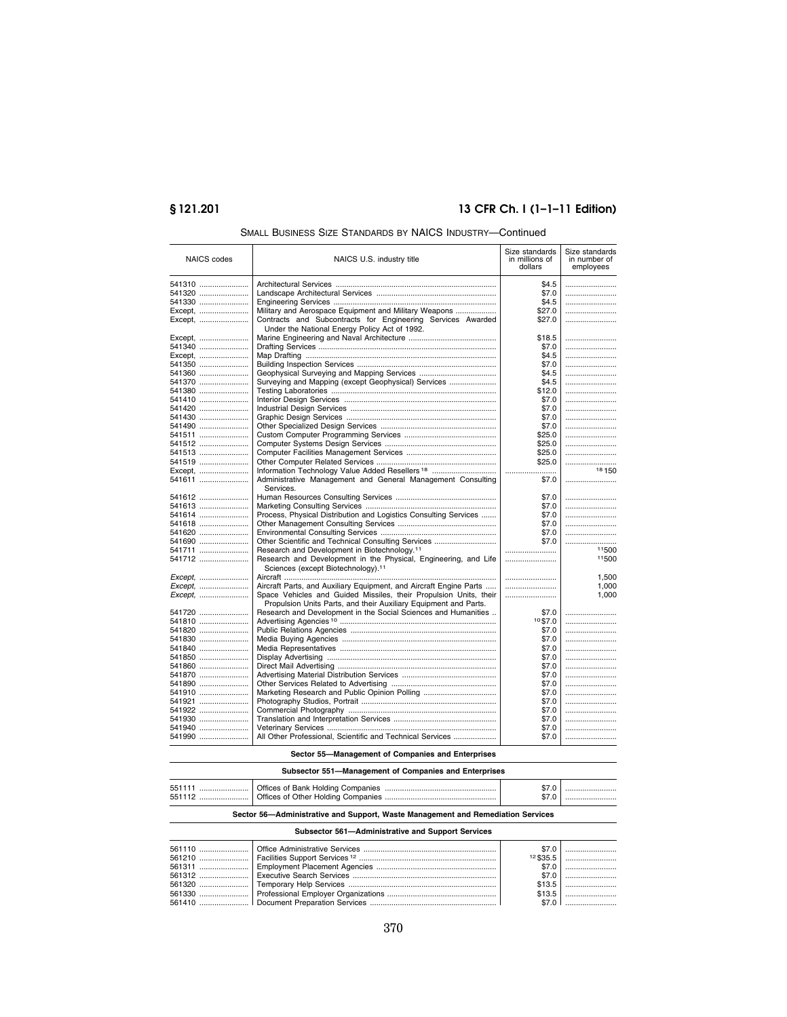# **§ 121.201 13 CFR Ch. I (1–1–11 Edition)**

| <b>NAICS</b> codes | NAICS U.S. industry title                                                                                         | Size standards<br>in millions of<br>dollars | Size standards<br>in number of<br>employees |
|--------------------|-------------------------------------------------------------------------------------------------------------------|---------------------------------------------|---------------------------------------------|
| 541310             |                                                                                                                   | \$4.5                                       |                                             |
| 541320             |                                                                                                                   | \$7.0                                       |                                             |
| 541330             |                                                                                                                   | \$4.5                                       |                                             |
| Except,            | Military and Aerospace Equipment and Military Weapons                                                             | \$27.0                                      |                                             |
| Except,            | Contracts and Subcontracts for Engineering Services Awarded                                                       | \$27.0                                      |                                             |
|                    | Under the National Energy Policy Act of 1992.                                                                     |                                             |                                             |
| Except,            |                                                                                                                   | \$18.5                                      |                                             |
| 541340             |                                                                                                                   | \$7.0                                       |                                             |
| Except,            |                                                                                                                   | \$4.5                                       |                                             |
| 541350             |                                                                                                                   | \$7.0                                       |                                             |
| 541360             |                                                                                                                   | \$4.5                                       |                                             |
| 541370             | Surveying and Mapping (except Geophysical) Services                                                               | \$4.5                                       |                                             |
| 541380             |                                                                                                                   | \$12.0                                      |                                             |
| 541410             |                                                                                                                   | \$7.0                                       |                                             |
| 541420             |                                                                                                                   | \$7.0                                       |                                             |
| 541430             |                                                                                                                   | \$7.0                                       |                                             |
| 541490             |                                                                                                                   | \$7.0                                       |                                             |
| 541511             |                                                                                                                   | \$25.0                                      |                                             |
| 541512             |                                                                                                                   | \$25.0                                      |                                             |
| 541513             |                                                                                                                   | \$25.0                                      |                                             |
| 541519             |                                                                                                                   | \$25.0                                      |                                             |
| Except,            | Information Technology Value Added Resellers <sup>18</sup>                                                        |                                             | 18 150                                      |
| 541611             | Administrative Management and General Management Consulting<br>Services.                                          | \$7.0                                       |                                             |
| 541612             |                                                                                                                   | \$7.0                                       |                                             |
| 541613             |                                                                                                                   | \$7.0                                       |                                             |
| 541614             | Process, Physical Distribution and Logistics Consulting Services                                                  | \$7.0                                       |                                             |
| 541618             |                                                                                                                   | \$7.0                                       |                                             |
| 541620             |                                                                                                                   | \$7.0                                       |                                             |
| 541690             | Other Scientific and Technical Consulting Services                                                                | \$7.0                                       |                                             |
| 541711             | Research and Development in Biotechnology. <sup>11</sup>                                                          |                                             | 11500                                       |
| 541712             | Research and Development in the Physical, Engineering, and Life<br>Sciences (except Biotechnology). <sup>11</sup> |                                             | 11500                                       |
| Except.            |                                                                                                                   |                                             | 1,500                                       |
| Except.            | Aircraft Parts, and Auxiliary Equipment, and Aircraft Engine Parts                                                |                                             | 1,000                                       |
| Except,            | Space Vehicles and Guided Missiles, their Propulsion Units, their                                                 |                                             | 1,000                                       |
|                    | Propulsion Units Parts, and their Auxiliary Equipment and Parts.                                                  |                                             |                                             |
| 541720             | Research and Development in the Social Sciences and Humanities                                                    | \$7.0                                       |                                             |
| 541810             |                                                                                                                   | $10$ \$7.0                                  |                                             |
| 541820             |                                                                                                                   | \$7.0                                       |                                             |
| 541830             |                                                                                                                   | \$7.0                                       |                                             |
| 541840<br>541850   |                                                                                                                   | \$7.0<br>\$7.0                              |                                             |
| $541860$           |                                                                                                                   | \$7.0                                       |                                             |
| 541870             |                                                                                                                   | \$7.0                                       |                                             |
| 541890             |                                                                                                                   | \$7.0                                       |                                             |
| 541910             | Marketing Research and Public Opinion Polling                                                                     | \$7.0                                       |                                             |
| 541921             |                                                                                                                   | \$7.0                                       |                                             |
| 541922             |                                                                                                                   | \$7.0                                       |                                             |
| 541930             |                                                                                                                   | \$7.0                                       |                                             |
| 541940             |                                                                                                                   | \$7.0                                       |                                             |
| 541990             | All Other Professional, Scientific and Technical Services                                                         | \$7.0                                       |                                             |

## SMALL BUSINESS SIZE STANDARDS BY NAICS INDUSTRY—Continued

## **Sector 55—Management of Companies and Enterprises**

## **Subsector 551—Management of Companies and Enterprises**

| 551111<br>551112 |  |  |
|------------------|--|--|
|                  |  |  |

## **Sector 56—Administrative and Support, Waste Management and Remediation Services**

## **Subsector 561—Administrative and Support Services**

|  | \$7.0 |         |
|--|-------|---------|
|  |       |         |
|  |       |         |
|  |       |         |
|  |       | $$13.5$ |
|  |       |         |
|  |       |         |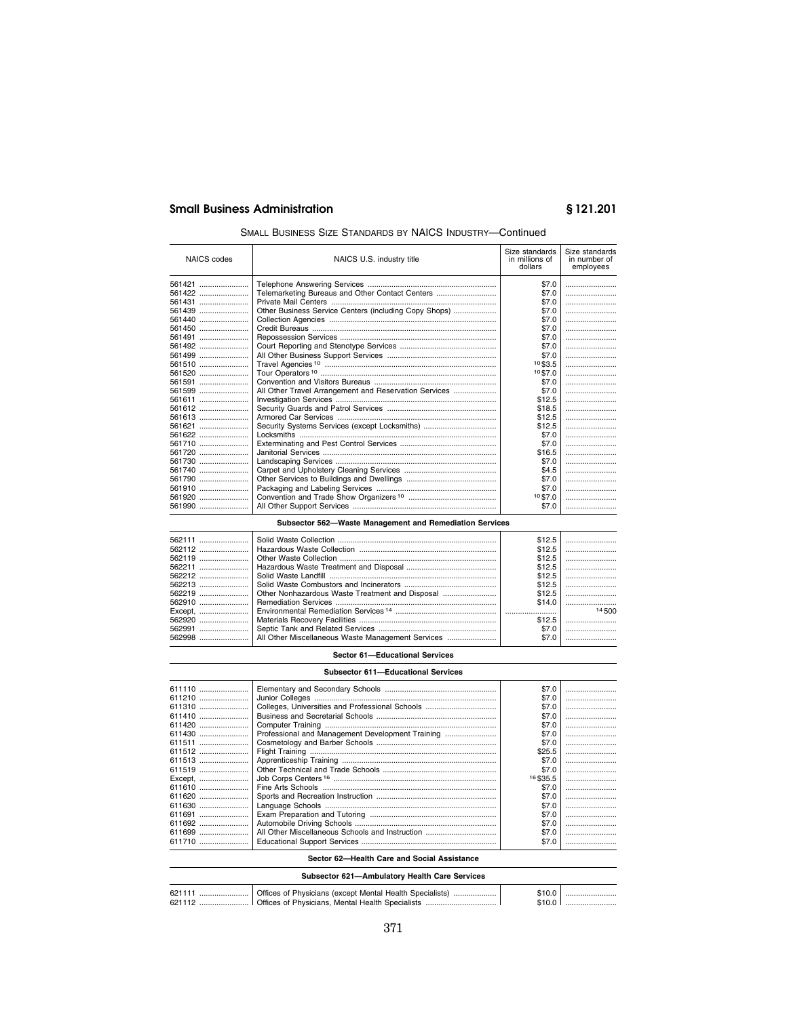# **Small Business Administration**

# §121.201

## SMALL BUSINESS SIZE STANDARDS BY NAICS INDUSTRY-Continued

| <b>NAICS</b> codes | NAICS U.S. industry title                             | Size standards<br>in millions of<br>dollars | Size standards<br>in number of<br>employees |
|--------------------|-------------------------------------------------------|---------------------------------------------|---------------------------------------------|
| 561421             |                                                       | \$7.0                                       |                                             |
| 561422             | Telemarketing Bureaus and Other Contact Centers       | \$7.0                                       |                                             |
| 561431             |                                                       | \$7.0                                       |                                             |
| 561439             | Other Business Service Centers (including Copy Shops) | \$7.0                                       |                                             |
| 561440             |                                                       | \$7.0                                       |                                             |
| 561450             |                                                       | \$7.0                                       |                                             |
| 561491             |                                                       | \$7.0                                       |                                             |
| 561492             |                                                       | \$7.0                                       |                                             |
| 561499             |                                                       | \$7.0                                       |                                             |
| 561510             |                                                       | 10\$3.5                                     |                                             |
| 561520             |                                                       | 10\$7.0                                     |                                             |
| 561591             |                                                       | \$7.0                                       |                                             |
| 561599             | All Other Travel Arrangement and Reservation Services | \$7.0                                       |                                             |
| 561611             |                                                       | \$12.5                                      |                                             |
| 561612             |                                                       | \$18.5                                      |                                             |
| 561613             |                                                       | \$12.5                                      |                                             |
| 561621             | Security Systems Services (except Locksmiths)         | \$12.5                                      |                                             |
| 561622             |                                                       | \$7.0                                       |                                             |
| 561710             |                                                       | \$7.0                                       |                                             |
| 561720             |                                                       | \$16.5                                      |                                             |
| 561730             |                                                       | \$7.0                                       |                                             |
| 561740             |                                                       | \$4.5                                       |                                             |
| 561790             |                                                       | \$7.0                                       |                                             |
| 561910             |                                                       | \$7.0                                       |                                             |
| 561920             |                                                       | 10\$7.0                                     |                                             |
| 561990             |                                                       | \$7.0                                       |                                             |
|                    |                                                       |                                             |                                             |

## Subsector 562-Waste Management and Remediation Services

| 562991 |                                                   | \$12.5<br>\$12.5<br>\$12.5<br>\$12.5<br>\$12.5<br>\$12.5<br>\$12.5<br>\$14.0<br>\$12.5<br>\$7.0 | <br>14500 |
|--------|---------------------------------------------------|-------------------------------------------------------------------------------------------------|-----------|
| 562998 | All Other Miscellaneous Waste Management Services | \$7.0                                                                                           |           |

## Sector 61-Educational Services

| <b>Subsector 611-Educational Services</b> |                                                  |            |  |  |
|-------------------------------------------|--------------------------------------------------|------------|--|--|
| 611110                                    |                                                  | \$7.0      |  |  |
| 611210                                    |                                                  | \$7.0      |  |  |
| 611310                                    | Colleges, Universities and Professional Schools  | \$7.0      |  |  |
| 611410                                    |                                                  | \$7.0      |  |  |
| 611420                                    |                                                  | \$7.0      |  |  |
| 611430                                    | Professional and Management Development Training | \$7.0      |  |  |
| 611511                                    |                                                  | \$7.0      |  |  |
| 611512                                    |                                                  | \$25.5     |  |  |
| 611513                                    |                                                  | \$7.0      |  |  |
| 611519                                    |                                                  | \$7.0      |  |  |
| Except,                                   |                                                  | 16 \$ 35.5 |  |  |
| 611610                                    |                                                  | \$7.0      |  |  |
| 611620                                    |                                                  | \$7.0      |  |  |
| 611630                                    |                                                  | \$7.0      |  |  |
| 611691                                    |                                                  | \$7.0      |  |  |
| 611692                                    |                                                  | \$7.0      |  |  |
| 611699                                    | All Other Miscellaneous Schools and Instruction  | \$7.0      |  |  |
| 611710                                    |                                                  | \$7.0      |  |  |

## Sector 62-Health Care and Social Assistance

| Subsector 621-Ambulatory Health Care Services |  |  |  |  |
|-----------------------------------------------|--|--|--|--|
|                                               |  |  |  |  |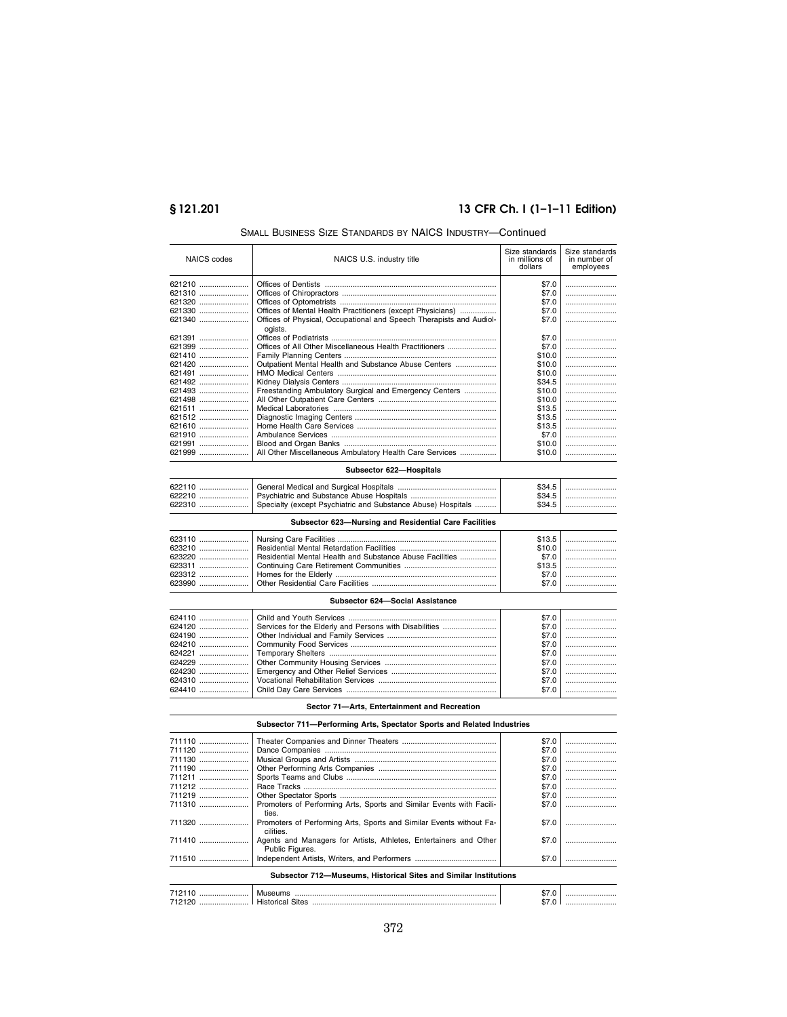# **§ 121.201 13 CFR Ch. I (1–1–11 Edition)**

| <b>NAICS</b> codes | NAICS U.S. industry title                                           | Size standards<br>in millions of<br>dollars | Size standards<br>in number of<br>employees |
|--------------------|---------------------------------------------------------------------|---------------------------------------------|---------------------------------------------|
| 621210             |                                                                     | \$7.0                                       |                                             |
| 621310             |                                                                     | \$7.0                                       |                                             |
| 621320             |                                                                     | \$7.0                                       |                                             |
| 621330             | Offices of Mental Health Practitioners (except Physicians)          | \$7.0                                       |                                             |
| 621340             | Offices of Physical, Occupational and Speech Therapists and Audiol- | \$7.0                                       |                                             |
|                    | ogists.                                                             |                                             |                                             |
| 621391             |                                                                     | \$7.0                                       |                                             |
| 621399             | Offices of All Other Miscellaneous Health Practitioners             | \$7.0                                       |                                             |
| 621410             |                                                                     | \$10.0                                      |                                             |
| 621420             | Outpatient Mental Health and Substance Abuse Centers                | \$10.0                                      |                                             |
| 621491             |                                                                     | \$10.0                                      |                                             |
| 621492             |                                                                     | \$34.5                                      |                                             |
| 621493             | Freestanding Ambulatory Surgical and Emergency Centers              | \$10.0                                      |                                             |
| 621498             |                                                                     | \$10.0                                      |                                             |
| 621511             |                                                                     | \$13.5                                      |                                             |
| 621512             |                                                                     | \$13.5                                      |                                             |
| 621610             |                                                                     | \$13.5                                      |                                             |
| 621910             |                                                                     | \$7.0                                       |                                             |
| 621991             |                                                                     | \$10.0                                      |                                             |
| 621999             | All Other Miscellaneous Ambulatory Health Care Services             | \$10.0                                      |                                             |
|                    | Subsector 622-Hospitals                                             |                                             |                                             |
| 622110             |                                                                     | \$34.5                                      |                                             |
| 622210             |                                                                     | \$34.5                                      |                                             |

## SMALL BUSINESS SIZE STANDARDS BY NAICS INDUSTRY—Continued

| 622310 | Specialty (except Psychiatric and Substance Abuse) Hospitals |  |
|--------|--------------------------------------------------------------|--|
| 622210 |                                                              |  |
| 622110 |                                                              |  |

## **Subsector 623—Nursing and Residential Care Facilities**

| 623220  Residential Mental Health and Substance Abuse Facilities |  |
|------------------------------------------------------------------|--|
|                                                                  |  |

## **Subsector 624—Social Assistance**

|  | $$7.0$  <br>$$7.0$  <br>$$7.0$  <br>$$7.0$ |
|--|--------------------------------------------|
|  | $$7.0$                                     |

## **Sector 71—Arts, Entertainment and Recreation**

|  | Subsector 711-Performing Arts, Spectator Sports and Related Industries |  |
|--|------------------------------------------------------------------------|--|
|  |                                                                        |  |

| 711110 |                                                                                      | \$7.0 |  |
|--------|--------------------------------------------------------------------------------------|-------|--|
| 711120 |                                                                                      | \$7.0 |  |
| 711130 |                                                                                      | \$7.0 |  |
| 711190 |                                                                                      | \$7.0 |  |
| 711211 |                                                                                      | \$7.0 |  |
| 711212 |                                                                                      | \$7.0 |  |
| 711219 |                                                                                      | \$7.0 |  |
| 711310 | Promoters of Performing Arts, Sports and Similar Events with Facili-<br>ties.        | \$7.0 |  |
| 711320 | Promoters of Performing Arts, Sports and Similar Events without Fa-<br>cilities.     | \$7.0 |  |
| 711410 | Agents and Managers for Artists, Athletes, Entertainers and Other<br>Public Figures. | \$7.0 |  |
| 711510 |                                                                                      | \$7.0 |  |
|        | Subsector 712-Museums, Historical Sites and Similar Institutions                     |       |  |
|        |                                                                                      | \$7.0 |  |
|        |                                                                                      |       |  |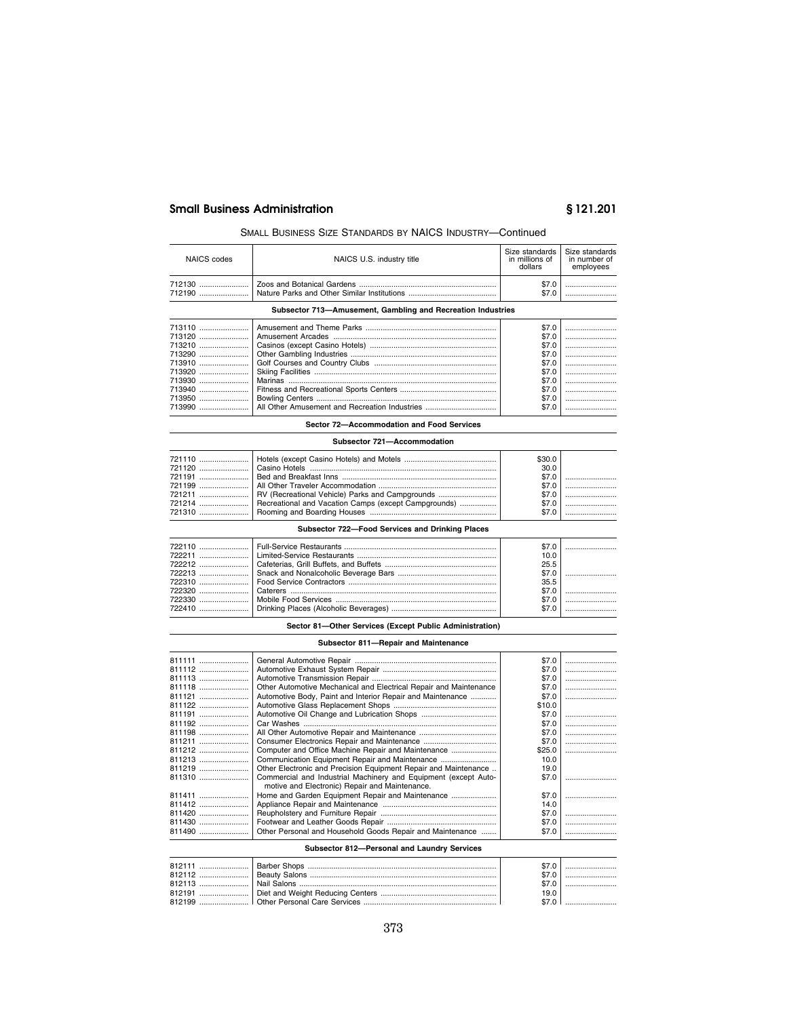## SMALL BUSINESS SIZE STANDARDS BY NAICS INDUSTRY—Continued

| NAICS codes | NAICS U.S. industry title                                   | Size standards<br>in millions of<br>dollars | Size standards<br>in number of<br>employees |
|-------------|-------------------------------------------------------------|---------------------------------------------|---------------------------------------------|
|             |                                                             | \$7.0                                       |                                             |
| 712190      |                                                             | \$7.0                                       |                                             |
|             | Subsector 713-Amusement, Gambling and Recreation Industries |                                             |                                             |
| 713110      |                                                             | \$7.0                                       |                                             |
| 713120      |                                                             | \$7.0                                       |                                             |
| 713210      |                                                             | \$7.0                                       |                                             |
| 713290      |                                                             | \$7.0                                       |                                             |
| 713910      |                                                             | \$7.0                                       |                                             |
| 713920      |                                                             | \$7.0                                       |                                             |
| 713930      |                                                             | \$7.0                                       |                                             |
| 713940      |                                                             | \$7.0                                       |                                             |
| 713950      |                                                             | \$7.0                                       |                                             |
| 713990      | All Other Amusement and Recreation Industries               | \$7.0                                       |                                             |

# **Sector 72—Accommodation and Food Services**

## **Subsector 721—Accommodation**

| 721211   RV (Recreational Vehicle) Parks and Campgrounds<br>721214   Recreational and Vacation Camps (except Campgrounds) | \$30.0<br>30.0 |  |
|---------------------------------------------------------------------------------------------------------------------------|----------------|--|
|                                                                                                                           |                |  |

## **Subsector 722—Food Services and Drinking Places**

| 722110 ……………………!Full-Service Restaurants ………………………………………………………………! | \$7.0 |  |
|--------------------------------------------------------------------|-------|--|
|                                                                    | 10.0  |  |
|                                                                    | 25.5  |  |
|                                                                    |       |  |
|                                                                    | 35.5  |  |
|                                                                    |       |  |
|                                                                    |       |  |
|                                                                    |       |  |

## **Sector 81—Other Services (Except Public Administration)**

## **Subsector 811—Repair and Maintenance**

| 811111 |                                                                   | \$7.0  |  |
|--------|-------------------------------------------------------------------|--------|--|
| 811112 |                                                                   | \$7.0  |  |
| 811113 |                                                                   | \$7.0  |  |
| 811118 | Other Automotive Mechanical and Electrical Repair and Maintenance | \$7.0  |  |
| 811121 | Automotive Body, Paint and Interior Repair and Maintenance        | \$7.0  |  |
| 811122 |                                                                   | \$10.0 |  |
| 811191 |                                                                   | \$7.0  |  |
| 811192 |                                                                   | \$7.0  |  |
| 811198 |                                                                   | \$7.0  |  |
| 811211 |                                                                   | \$7.0  |  |
| 811212 | Computer and Office Machine Repair and Maintenance                | \$25.0 |  |
| 811213 | Communication Equipment Repair and Maintenance                    | 10.0   |  |
| 811219 | Other Electronic and Precision Equipment Repair and Maintenance   | 19.0   |  |
| 811310 | Commercial and Industrial Machinery and Equipment (except Auto-   | \$7.0  |  |
|        | motive and Electronic) Repair and Maintenance.                    |        |  |
| 811411 |                                                                   | \$7.0  |  |
| 811412 |                                                                   | 14.0   |  |
| 811420 |                                                                   | \$7.0  |  |
| 811430 |                                                                   | \$7.0  |  |
| 811490 | Other Personal and Household Goods Repair and Maintenance         | \$7.0  |  |
|        |                                                                   |        |  |

## **Subsector 812—Personal and Laundry Services**

|        | 19.0 |  |
|--------|------|--|
| 812199 |      |  |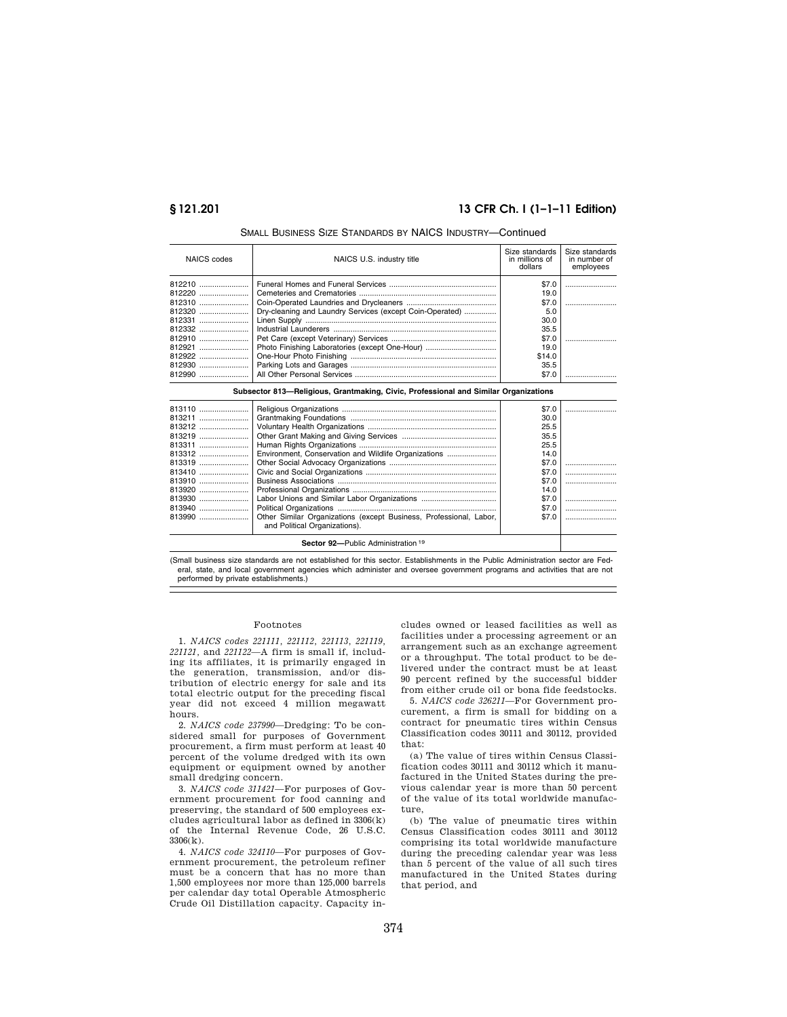## **§ 121.201 13 CFR Ch. I (1–1–11 Edition)**

| NAICS codes                                                                  | NAICS U.S. industry title                                                                                  | Size standards<br>in millions of<br>dollars                                               | Size standards<br>in number of<br>employees |
|------------------------------------------------------------------------------|------------------------------------------------------------------------------------------------------------|-------------------------------------------------------------------------------------------|---------------------------------------------|
| 812220<br>812310<br>812320<br>812331<br>812332<br>812910<br>812921<br>812922 | Dry-cleaning and Laundry Services (except Coin-Operated)<br>Photo Finishing Laboratories (except One-Hour) | \$7.0<br>19.0<br>\$7.0<br>5.0<br>30.0<br>35.5<br>\$7.0<br>19.0<br>\$14.0<br>35.5<br>\$7.0 |                                             |
|                                                                              |                                                                                                            |                                                                                           |                                             |

## SMALL BUSINESS SIZE STANDARDS BY NAICS INDUSTRY—Continued

| Subsector 813—Religious, Grantmaking, Civic, Professional and Similar Organizations |                                                      |       |  |
|-------------------------------------------------------------------------------------|------------------------------------------------------|-------|--|
| 813110                                                                              |                                                      | \$7.0 |  |
|                                                                                     |                                                      | 30.0  |  |
| 813212                                                                              |                                                      | 25.5  |  |
|                                                                                     |                                                      | 35.5  |  |
|                                                                                     |                                                      | 25.5  |  |
| 813312                                                                              | Environment, Conservation and Wildlife Organizations | 14.0  |  |
|                                                                                     |                                                      | \$7.0 |  |
| 813410                                                                              |                                                      | \$7.0 |  |
|                                                                                     |                                                      | \$7.0 |  |
| 813920                                                                              |                                                      | 14.0  |  |
|                                                                                     |                                                      | \$7.0 |  |
|                                                                                     |                                                      | \$7.0 |  |
|                                                                                     |                                                      |       |  |

(Small business size standards are not established for this sector. Establishments in the Public Administration sector are Federal, state, and local government agencies which administer and oversee government programs and activities that are not

**Sector 92-Public Administration 19** 

performed by private establishments.)

#### Footnotes

and Political Organizations).

1. *NAICS codes 221111, 221112, 221113, 221119, 221121,* and *221122—*A firm is small if, including its affiliates, it is primarily engaged in the generation, transmission, and/or distribution of electric energy for sale and its total electric output for the preceding fiscal year did not exceed 4 million megawatt hours.

2. *NAICS code 237990*—Dredging: To be considered small for purposes of Government procurement, a firm must perform at least 40 percent of the volume dredged with its own equipment or equipment owned by another small dredging concern.

3. *NAICS code 311421*—For purposes of Government procurement for food canning and preserving, the standard of 500 employees excludes agricultural labor as defined in 3306(k) of the Internal Revenue Code, 26 U.S.C. 3306(k).

4. *NAICS code 324110*—For purposes of Government procurement, the petroleum refiner must be a concern that has no more than 1,500 employees nor more than 125,000 barrels per calendar day total Operable Atmospheric Crude Oil Distillation capacity. Capacity includes owned or leased facilities as well as facilities under a processing agreement or an arrangement such as an exchange agreement or a throughput. The total product to be delivered under the contract must be at least 90 percent refined by the successful bidder from either crude oil or bona fide feedstocks.

5. *NAICS code 326211*—For Government procurement, a firm is small for bidding on a contract for pneumatic tires within Census Classification codes 30111 and 30112, provided that:

(a) The value of tires within Census Classification codes 30111 and 30112 which it manufactured in the United States during the previous calendar year is more than 50 percent of the value of its total worldwide manufacture,

(b) The value of pneumatic tires within Census Classification codes 30111 and 30112 comprising its total worldwide manufacture during the preceding calendar year was less than 5 percent of the value of all such tires manufactured in the United States during that period, and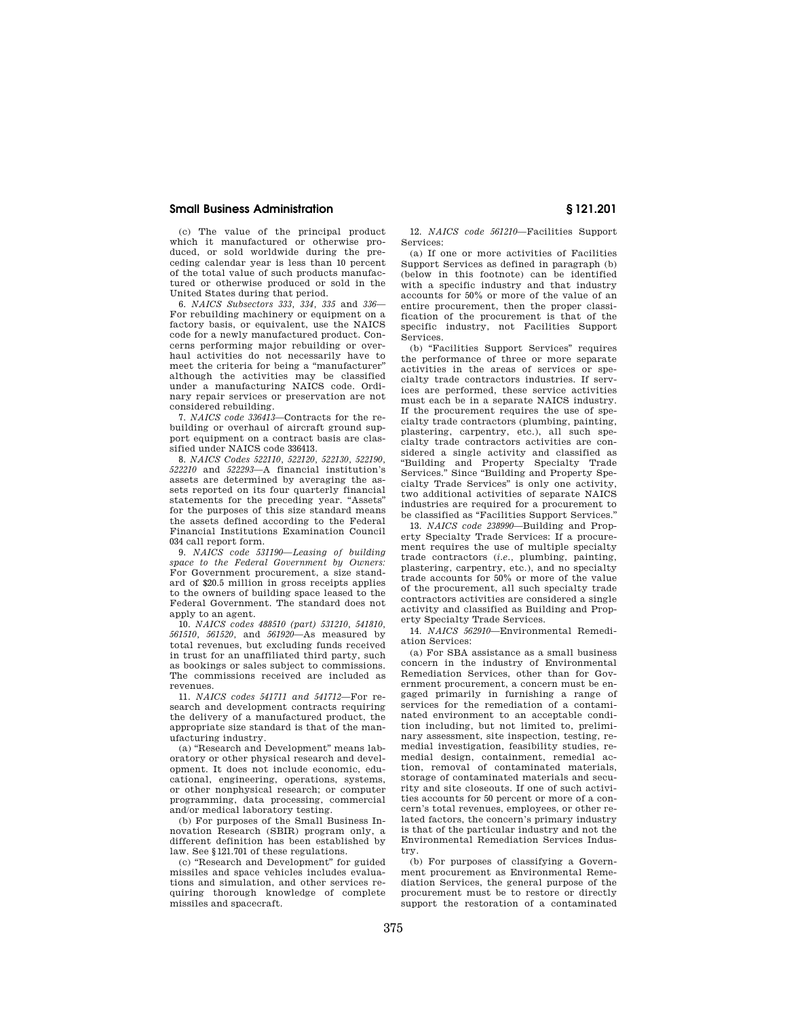(c) The value of the principal product which it manufactured or otherwise produced, or sold worldwide during the preceding calendar year is less than 10 percent of the total value of such products manufactured or otherwise produced or sold in the United States during that period.

6. *NAICS Subsectors 333, 334, 335* and *336*— For rebuilding machinery or equipment on a factory basis, or equivalent, use the NAICS code for a newly manufactured product. Concerns performing major rebuilding or overhaul activities do not necessarily have to meet the criteria for being a ''manufacturer'' although the activities may be classified under a manufacturing NAICS code. Ordinary repair services or preservation are not considered rebuilding.

7. *NAICS code 336413*—Contracts for the rebuilding or overhaul of aircraft ground support equipment on a contract basis are classified under NAICS code 336413.

8. *NAICS Codes 522110, 522120, 522130, 522190, 522210* and *522293*—A financial institution's assets are determined by averaging the assets reported on its four quarterly financial statements for the preceding year. ''Assets'' for the purposes of this size standard means the assets defined according to the Federal Financial Institutions Examination Council 034 call report form.

9. *NAICS code 531190—Leasing of building space to the Federal Government by Owners:*  For Government procurement, a size standard of \$20.5 million in gross receipts applies to the owners of building space leased to the Federal Government. The standard does not apply to an agent.

10. *NAICS codes 488510 (part) 531210, 541810, 561510, 561520,* and *561920*—As measured by total revenues, but excluding funds received in trust for an unaffiliated third party, such as bookings or sales subject to commissions. The commissions received are included as revenues.

11. *NAICS codes 541711 and 541712*—For research and development contracts requiring the delivery of a manufactured product, the appropriate size standard is that of the manufacturing industry.

(a) ''Research and Development'' means laboratory or other physical research and development. It does not include economic, educational, engineering, operations, systems, or other nonphysical research; or computer programming, data processing, commercial and/or medical laboratory testing.

(b) For purposes of the Small Business Innovation Research (SBIR) program only, a different definition has been established by law. See §121.701 of these regulations.

(c) ''Research and Development'' for guided missiles and space vehicles includes evaluations and simulation, and other services requiring thorough knowledge of complete missiles and spacecraft.

12. *NAICS code 561210*—Facilities Support Services:

(a) If one or more activities of Facilities Support Services as defined in paragraph (b) (below in this footnote) can be identified with a specific industry and that industry accounts for 50% or more of the value of an entire procurement, then the proper classification of the procurement is that of the specific industry, not Facilities Support Services.

(b) ''Facilities Support Services'' requires the performance of three or more separate activities in the areas of services or specialty trade contractors industries. If services are performed, these service activities must each be in a separate NAICS industry. If the procurement requires the use of specialty trade contractors (plumbing, painting, plastering, carpentry, etc.), all such specialty trade contractors activities are considered a single activity and classified as ''Building and Property Specialty Trade Services.'' Since ''Building and Property Specialty Trade Services'' is only one activity, two additional activities of separate NAICS industries are required for a procurement to be classified as "Facilities Support Services."

13. *NAICS code 238990*—Building and Property Specialty Trade Services: If a procurement requires the use of multiple specialty trade contractors (*i.e.,* plumbing, painting, plastering, carpentry, etc.), and no specialty trade accounts for 50% or more of the value of the procurement, all such specialty trade contractors activities are considered a single activity and classified as Building and Property Specialty Trade Services.

14. *NAICS 562910*—Environmental Remediation Services:

(a) For SBA assistance as a small business concern in the industry of Environmental Remediation Services, other than for Government procurement, a concern must be engaged primarily in furnishing a range of services for the remediation of a contaminated environment to an acceptable condition including, but not limited to, preliminary assessment, site inspection, testing, remedial investigation, feasibility studies, remedial design, containment, remedial action, removal of contaminated materials, storage of contaminated materials and security and site closeouts. If one of such activities accounts for 50 percent or more of a concern's total revenues, employees, or other related factors, the concern's primary industry is that of the particular industry and not the Environmental Remediation Services Industry.

(b) For purposes of classifying a Government procurement as Environmental Remediation Services, the general purpose of the procurement must be to restore or directly support the restoration of a contaminated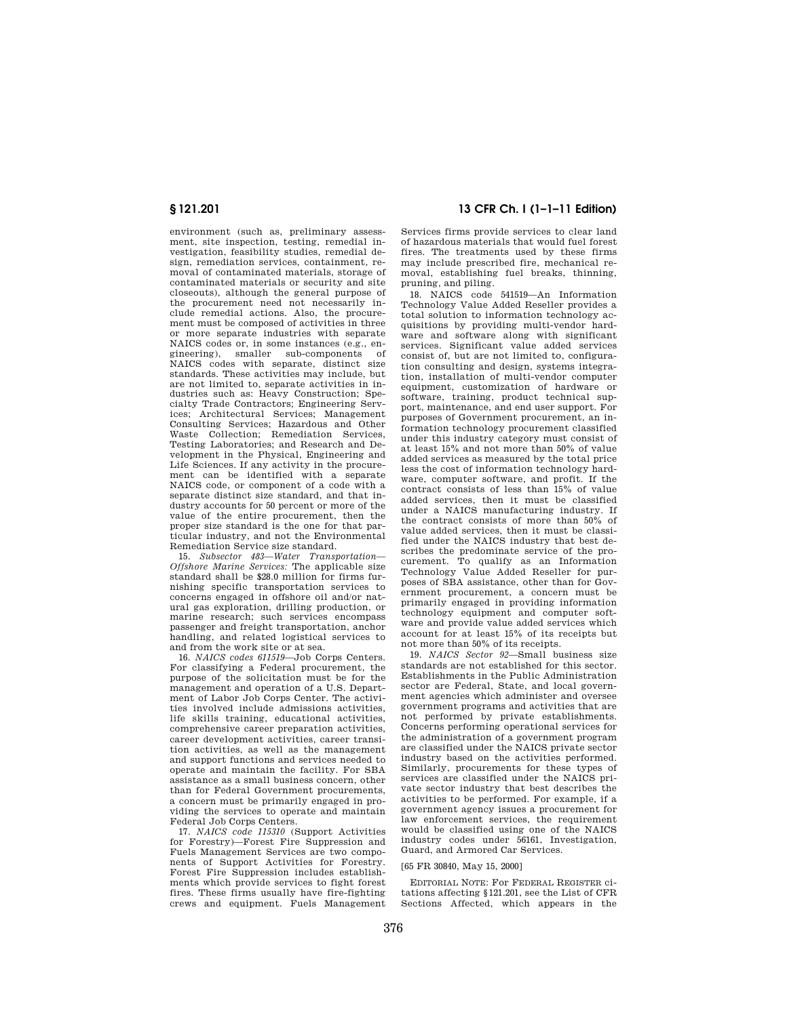environment (such as, preliminary assessment, site inspection, testing, remedial investigation, feasibility studies, remedial design, remediation services, containment, removal of contaminated materials, storage of contaminated materials or security and site closeouts), although the general purpose of the procurement need not necessarily include remedial actions. Also, the procurement must be composed of activities in three or more separate industries with separate NAICS codes or, in some instances (e.g., en-<br>gineering) smaller sub-components of gineering), smaller sub-components NAICS codes with separate, distinct size standards. These activities may include, but are not limited to, separate activities in industries such as: Heavy Construction; Specialty Trade Contractors; Engineering Services; Architectural Services; Management Consulting Services; Hazardous and Other Waste Collection; Remediation Services, Testing Laboratories; and Research and Development in the Physical, Engineering and Life Sciences. If any activity in the procurement can be identified with a separate NAICS code, or component of a code with a separate distinct size standard, and that industry accounts for 50 percent or more of the value of the entire procurement, then the proper size standard is the one for that particular industry, and not the Environmental Remediation Service size standard.

15. *Subsector 483—Water Transportation— Offshore Marine Services:* The applicable size standard shall be \$28.0 million for firms furnishing specific transportation services to concerns engaged in offshore oil and/or natural gas exploration, drilling production, or marine research; such services encompass passenger and freight transportation, anchor handling, and related logistical services to and from the work site or at sea.

16. *NAICS codes 611519*—Job Corps Centers. For classifying a Federal procurement, the purpose of the solicitation must be for the management and operation of a U.S. Department of Labor Job Corps Center. The activities involved include admissions activities, life skills training, educational activities, comprehensive career preparation activities, career development activities, career transition activities, as well as the management and support functions and services needed to operate and maintain the facility. For SBA assistance as a small business concern, other than for Federal Government procurements, a concern must be primarily engaged in providing the services to operate and maintain Federal Job Corps Centers.

17. *NAICS code 115310* (Support Activities for Forestry)—Forest Fire Suppression and Fuels Management Services are two components of Support Activities for Forestry. Forest Fire Suppression includes establishments which provide services to fight forest fires. These firms usually have fire-fighting crews and equipment. Fuels Management

## **§ 121.201 13 CFR Ch. I (1–1–11 Edition)**

Services firms provide services to clear land of hazardous materials that would fuel forest fires. The treatments used by these firms may include prescribed fire, mechanical removal, establishing fuel breaks, thinning, pruning, and piling.

18. NAICS code 541519—An Information Technology Value Added Reseller provides a total solution to information technology acquisitions by providing multi-vendor hardware and software along with significant services. Significant value added services consist of, but are not limited to, configuration consulting and design, systems integration, installation of multi-vendor computer equipment, customization of hardware or software, training, product technical support, maintenance, and end user support. For purposes of Government procurement, an information technology procurement classified under this industry category must consist of at least 15% and not more than 50% of value added services as measured by the total price less the cost of information technology hardware, computer software, and profit. If the contract consists of less than 15% of value added services, then it must be classified under a NAICS manufacturing industry. If the contract consists of more than 50% of value added services, then it must be classified under the NAICS industry that best describes the predominate service of the procurement. To qualify as an Information Technology Value Added Reseller for purposes of SBA assistance, other than for Government procurement, a concern must be primarily engaged in providing information technology equipment and computer software and provide value added services which account for at least 15% of its receipts but not more than 50% of its receipts.

19. *NAICS Sector 92*—Small business size standards are not established for this sector. Establishments in the Public Administration sector are Federal, State, and local government agencies which administer and oversee government programs and activities that are not performed by private establishments. Concerns performing operational services for the administration of a government program are classified under the NAICS private sector industry based on the activities performed. Similarly, procurements for these types of services are classified under the NAICS private sector industry that best describes the activities to be performed. For example, if a government agency issues a procurement for law enforcement services, the requirement would be classified using one of the NAICS industry codes under 56161, Investigation, Guard, and Armored Car Services.

#### [65 FR 30840, May 15, 2000]

EDITORIAL NOTE: For FEDERAL REGISTER citations affecting §121.201, see the List of CFR Sections Affected, which appears in the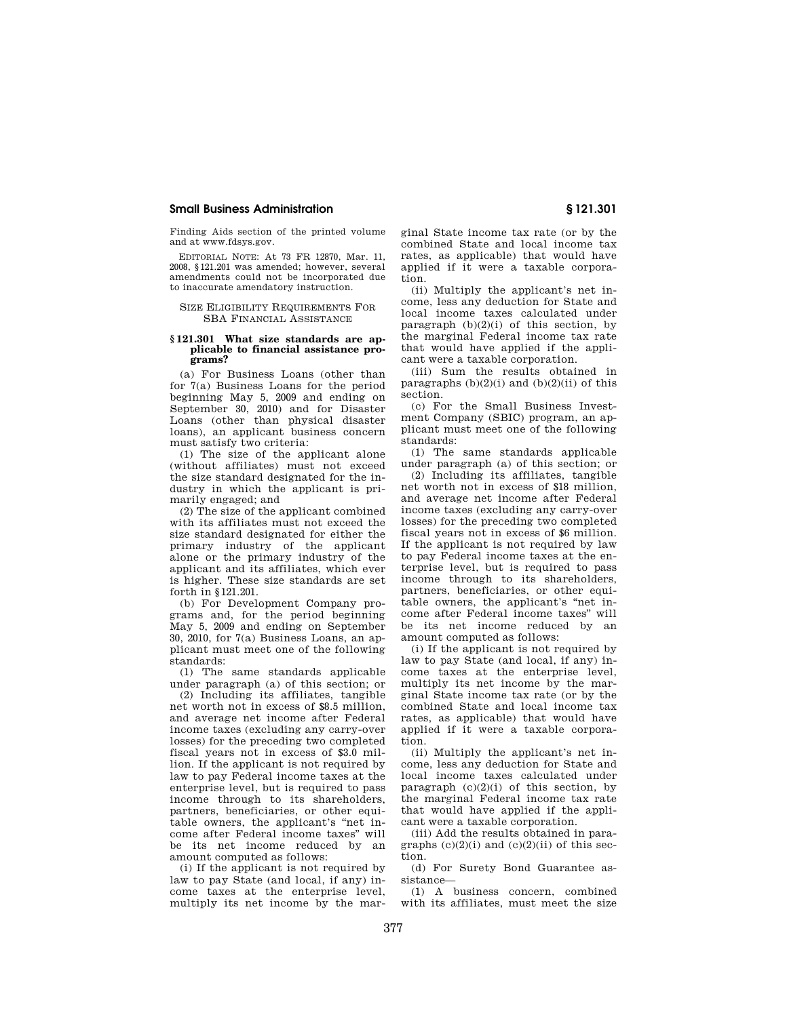Finding Aids section of the printed volume and at www.fdsys.gov.

EDITORIAL NOTE: At 73 FR 12870, Mar. 11, 2008, §121.201 was amended; however, several amendments could not be incorporated due to inaccurate amendatory instruction.

#### SIZE ELIGIBILITY REQUIREMENTS FOR SBA FINANCIAL ASSISTANCE

### **§ 121.301 What size standards are applicable to financial assistance programs?**

(a) For Business Loans (other than for 7(a) Business Loans for the period beginning May 5, 2009 and ending on September 30, 2010) and for Disaster Loans (other than physical disaster loans), an applicant business concern must satisfy two criteria:

(1) The size of the applicant alone (without affiliates) must not exceed the size standard designated for the industry in which the applicant is primarily engaged; and

(2) The size of the applicant combined with its affiliates must not exceed the size standard designated for either the primary industry of the applicant alone or the primary industry of the applicant and its affiliates, which ever is higher. These size standards are set forth in §121.201.

(b) For Development Company programs and, for the period beginning May 5, 2009 and ending on September 30, 2010, for 7(a) Business Loans, an applicant must meet one of the following standards:

(1) The same standards applicable under paragraph (a) of this section; or

(2) Including its affiliates, tangible net worth not in excess of \$8.5 million, and average net income after Federal income taxes (excluding any carry-over losses) for the preceding two completed fiscal years not in excess of \$3.0 million. If the applicant is not required by law to pay Federal income taxes at the enterprise level, but is required to pass income through to its shareholders, partners, beneficiaries, or other equitable owners, the applicant's ''net income after Federal income taxes'' will be its net income reduced by an amount computed as follows:

(i) If the applicant is not required by law to pay State (and local, if any) income taxes at the enterprise level, multiply its net income by the marginal State income tax rate (or by the combined State and local income tax rates, as applicable) that would have applied if it were a taxable corporation.

(ii) Multiply the applicant's net income, less any deduction for State and local income taxes calculated under paragraph  $(b)(2)(i)$  of this section, by the marginal Federal income tax rate that would have applied if the applicant were a taxable corporation.

(iii) Sum the results obtained in paragraphs  $(b)(2)(i)$  and  $(b)(2)(ii)$  of this section.

(c) For the Small Business Investment Company (SBIC) program, an applicant must meet one of the following standards:

(1) The same standards applicable under paragraph (a) of this section; or

(2) Including its affiliates, tangible net worth not in excess of \$18 million, and average net income after Federal income taxes (excluding any carry-over losses) for the preceding two completed fiscal years not in excess of \$6 million. If the applicant is not required by law to pay Federal income taxes at the enterprise level, but is required to pass income through to its shareholders, partners, beneficiaries, or other equitable owners, the applicant's ''net income after Federal income taxes'' will be its net income reduced by an amount computed as follows:

(i) If the applicant is not required by law to pay State (and local, if any) income taxes at the enterprise level, multiply its net income by the marginal State income tax rate (or by the combined State and local income tax rates, as applicable) that would have applied if it were a taxable corporation.

(ii) Multiply the applicant's net income, less any deduction for State and local income taxes calculated under paragraph  $(c)(2)(i)$  of this section, by the marginal Federal income tax rate that would have applied if the applicant were a taxable corporation.

(iii) Add the results obtained in paragraphs  $(c)(2)(i)$  and  $(c)(2)(ii)$  of this section.

(d) For Surety Bond Guarantee assistance—

(1) A business concern, combined with its affiliates, must meet the size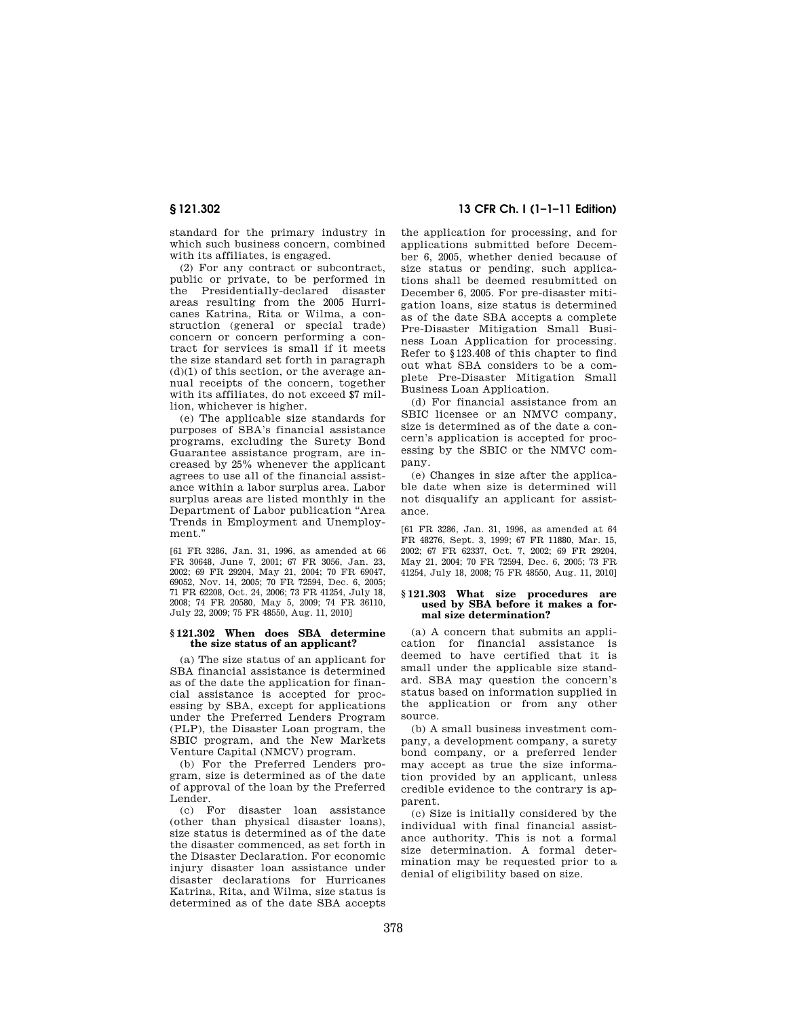standard for the primary industry in which such business concern, combined with its affiliates, is engaged.

(2) For any contract or subcontract, public or private, to be performed in the Presidentially-declared disaster areas resulting from the 2005 Hurricanes Katrina, Rita or Wilma, a construction (general or special trade) concern or concern performing a contract for services is small if it meets the size standard set forth in paragraph  $(d)(1)$  of this section, or the average annual receipts of the concern, together with its affiliates, do not exceed \$7 million, whichever is higher.

(e) The applicable size standards for purposes of SBA's financial assistance programs, excluding the Surety Bond Guarantee assistance program, are increased by 25% whenever the applicant agrees to use all of the financial assistance within a labor surplus area. Labor surplus areas are listed monthly in the Department of Labor publication ''Area Trends in Employment and Unemployment.''

[61 FR 3286, Jan. 31, 1996, as amended at 66 FR 30648, June 7, 2001; 67 FR 3056, Jan. 23, 2002; 69 FR 29204, May 21, 2004; 70 FR 69047, 69052, Nov. 14, 2005; 70 FR 72594, Dec. 6, 2005; 71 FR 62208, Oct. 24, 2006; 73 FR 41254, July 18, 2008; 74 FR 20580, May 5, 2009; 74 FR 36110, July 22, 2009; 75 FR 48550, Aug. 11, 2010]

### **§ 121.302 When does SBA determine the size status of an applicant?**

(a) The size status of an applicant for SBA financial assistance is determined as of the date the application for financial assistance is accepted for processing by SBA, except for applications under the Preferred Lenders Program (PLP), the Disaster Loan program, the SBIC program, and the New Markets Venture Capital (NMCV) program.

(b) For the Preferred Lenders program, size is determined as of the date of approval of the loan by the Preferred Lender.

(c) For disaster loan assistance (other than physical disaster loans), size status is determined as of the date the disaster commenced, as set forth in the Disaster Declaration. For economic injury disaster loan assistance under disaster declarations for Hurricanes Katrina, Rita, and Wilma, size status is determined as of the date SBA accepts

## **§ 121.302 13 CFR Ch. I (1–1–11 Edition)**

the application for processing, and for applications submitted before December 6, 2005, whether denied because of size status or pending, such applications shall be deemed resubmitted on December 6, 2005. For pre-disaster mitigation loans, size status is determined as of the date SBA accepts a complete Pre-Disaster Mitigation Small Business Loan Application for processing. Refer to §123.408 of this chapter to find out what SBA considers to be a complete Pre-Disaster Mitigation Small Business Loan Application.

(d) For financial assistance from an SBIC licensee or an NMVC company, size is determined as of the date a concern's application is accepted for processing by the SBIC or the NMVC company.

(e) Changes in size after the applicable date when size is determined will not disqualify an applicant for assistance.

[61 FR 3286, Jan. 31, 1996, as amended at 64 FR 48276, Sept. 3, 1999; 67 FR 11880, Mar. 15, 2002; 67 FR 62337, Oct. 7, 2002; 69 FR 29204 May 21, 2004; 70 FR 72594, Dec. 6, 2005; 73 FR 41254, July 18, 2008; 75 FR 48550, Aug. 11, 2010]

### **§ 121.303 What size procedures are used by SBA before it makes a formal size determination?**

(a) A concern that submits an application for financial assistance is deemed to have certified that it is small under the applicable size standard. SBA may question the concern's status based on information supplied in the application or from any other source.

(b) A small business investment company, a development company, a surety bond company, or a preferred lender may accept as true the size information provided by an applicant, unless credible evidence to the contrary is apparent.

(c) Size is initially considered by the individual with final financial assistance authority. This is not a formal size determination. A formal determination may be requested prior to a denial of eligibility based on size.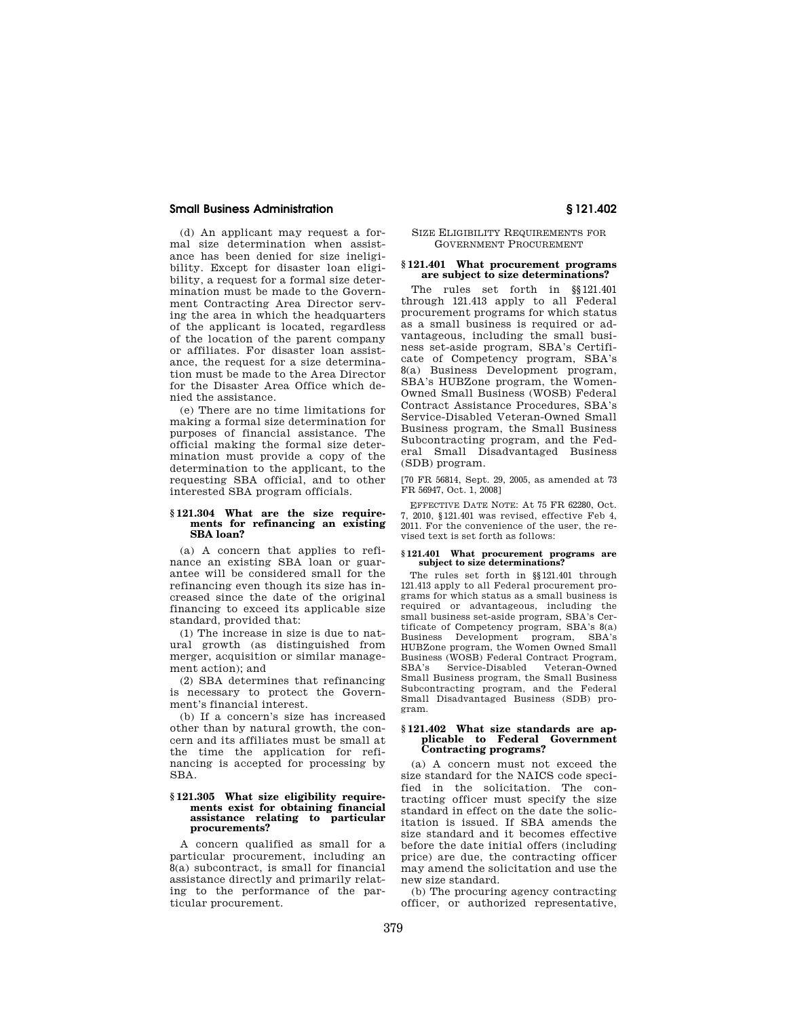(d) An applicant may request a formal size determination when assistance has been denied for size ineligibility. Except for disaster loan eligibility, a request for a formal size determination must be made to the Government Contracting Area Director serving the area in which the headquarters of the applicant is located, regardless of the location of the parent company or affiliates. For disaster loan assistance, the request for a size determination must be made to the Area Director for the Disaster Area Office which denied the assistance.

(e) There are no time limitations for making a formal size determination for purposes of financial assistance. The official making the formal size determination must provide a copy of the determination to the applicant, to the requesting SBA official, and to other interested SBA program officials.

#### **§ 121.304 What are the size requirements for refinancing an existing SBA loan?**

(a) A concern that applies to refinance an existing SBA loan or guarantee will be considered small for the refinancing even though its size has increased since the date of the original financing to exceed its applicable size standard, provided that:

(1) The increase in size is due to natural growth (as distinguished from merger, acquisition or similar management action); and

(2) SBA determines that refinancing is necessary to protect the Government's financial interest.

(b) If a concern's size has increased other than by natural growth, the concern and its affiliates must be small at the time the application for refinancing is accepted for processing by SBA.

### **§ 121.305 What size eligibility requirements exist for obtaining financial assistance relating to particular procurements?**

A concern qualified as small for a particular procurement, including an  $8(a)$  subcontract, is small for financial assistance directly and primarily relating to the performance of the particular procurement.

### SIZE ELIGIBILITY REQUIREMENTS FOR GOVERNMENT PROCUREMENT

## **§ 121.401 What procurement programs are subject to size determinations?**

The rules set forth in §§121.401 through 121.413 apply to all Federal procurement programs for which status as a small business is required or advantageous, including the small business set-aside program, SBA's Certificate of Competency program, SBA's 8(a) Business Development program, SBA's HUBZone program, the Women-Owned Small Business (WOSB) Federal Contract Assistance Procedures, SBA's Service-Disabled Veteran-Owned Small Business program, the Small Business Subcontracting program, and the Federal Small Disadvantaged Business (SDB) program.

[70 FR 56814, Sept. 29, 2005, as amended at 73 FR 56947, Oct. 1, 2008]

EFFECTIVE DATE NOTE: At 75 FR 62280, Oct. 7, 2010, §121.401 was revised, effective Feb 4, 2011. For the convenience of the user, the revised text is set forth as follows:

#### **§ 121.401 What procurement programs are subject to size determinations?**

The rules set forth in §§121.401 through 121.413 apply to all Federal procurement programs for which status as a small business is required or advantageous, including the small business set-aside program, SBA's Certificate of Competency program, SBA's 8(a) Business Development program, SBA's HUBZone program, the Women Owned Small Business (WOSB) Federal Contract Program, SBA's Service-Disabled Veteran-Owned Small Business program, the Small Business Subcontracting program, and the Federal Small Disadvantaged Business (SDB) program.

#### **§ 121.402 What size standards are applicable to Federal Government Contracting programs?**

(a) A concern must not exceed the size standard for the NAICS code specified in the solicitation. The contracting officer must specify the size standard in effect on the date the solicitation is issued. If SBA amends the size standard and it becomes effective before the date initial offers (including price) are due, the contracting officer may amend the solicitation and use the new size standard.

(b) The procuring agency contracting officer, or authorized representative,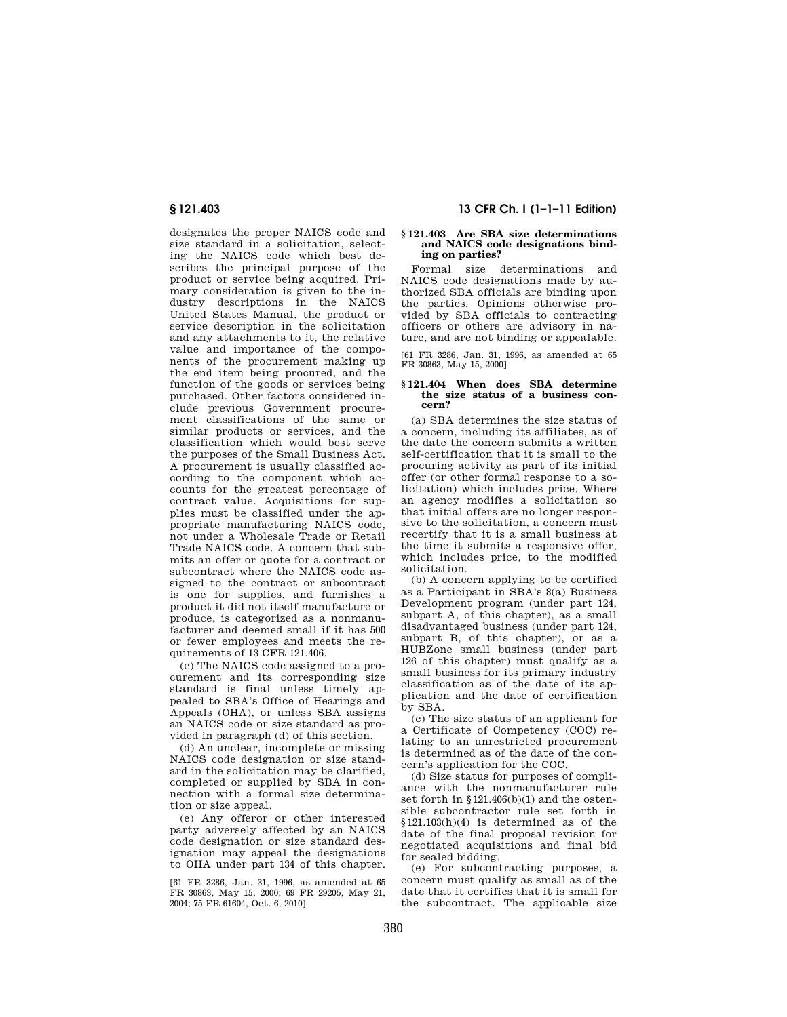designates the proper NAICS code and size standard in a solicitation, selecting the NAICS code which best describes the principal purpose of the product or service being acquired. Primary consideration is given to the industry descriptions in the NAICS United States Manual, the product or service description in the solicitation and any attachments to it, the relative value and importance of the components of the procurement making up the end item being procured, and the function of the goods or services being purchased. Other factors considered include previous Government procurement classifications of the same or similar products or services, and the classification which would best serve the purposes of the Small Business Act. A procurement is usually classified according to the component which accounts for the greatest percentage of contract value. Acquisitions for supplies must be classified under the appropriate manufacturing NAICS code, not under a Wholesale Trade or Retail Trade NAICS code. A concern that submits an offer or quote for a contract or subcontract where the NAICS code assigned to the contract or subcontract is one for supplies, and furnishes a product it did not itself manufacture or produce, is categorized as a nonmanufacturer and deemed small if it has 500 or fewer employees and meets the requirements of 13 CFR 121.406.

(c) The NAICS code assigned to a procurement and its corresponding size standard is final unless timely appealed to SBA's Office of Hearings and Appeals (OHA), or unless SBA assigns an NAICS code or size standard as provided in paragraph (d) of this section.

(d) An unclear, incomplete or missing NAICS code designation or size standard in the solicitation may be clarified, completed or supplied by SBA in connection with a formal size determination or size appeal.

(e) Any offeror or other interested party adversely affected by an NAICS code designation or size standard designation may appeal the designations to OHA under part 134 of this chapter.

[61 FR 3286, Jan. 31, 1996, as amended at 65 FR 30863, May 15, 2000; 69 FR 29205, May 21, 2004; 75 FR 61604, Oct. 6, 2010]

## **§ 121.403 13 CFR Ch. I (1–1–11 Edition)**

# **§ 121.403 Are SBA size determinations and NAICS code designations binding on parties?**

Formal size determinations and NAICS code designations made by authorized SBA officials are binding upon the parties. Opinions otherwise provided by SBA officials to contracting officers or others are advisory in nature, and are not binding or appealable.

[61 FR 3286, Jan. 31, 1996, as amended at 65 FR 30863, May 15, 2000]

#### **§ 121.404 When does SBA determine the size status of a business concern?**

(a) SBA determines the size status of a concern, including its affiliates, as of the date the concern submits a written self-certification that it is small to the procuring activity as part of its initial offer (or other formal response to a solicitation) which includes price. Where an agency modifies a solicitation so that initial offers are no longer responsive to the solicitation, a concern must recertify that it is a small business at the time it submits a responsive offer, which includes price, to the modified solicitation.

(b) A concern applying to be certified as a Participant in SBA's 8(a) Business Development program (under part 124, subpart A, of this chapter), as a small disadvantaged business (under part 124, subpart B, of this chapter), or as a HUBZone small business (under part 126 of this chapter) must qualify as a small business for its primary industry classification as of the date of its application and the date of certification by SBA.

(c) The size status of an applicant for a Certificate of Competency (COC) relating to an unrestricted procurement is determined as of the date of the concern's application for the COC.

(d) Size status for purposes of compliance with the nonmanufacturer rule set forth in §121.406(b)(1) and the ostensible subcontractor rule set forth in §121.103(h)(4) is determined as of the date of the final proposal revision for negotiated acquisitions and final bid for sealed bidding.

(e) For subcontracting purposes, a concern must qualify as small as of the date that it certifies that it is small for the subcontract. The applicable size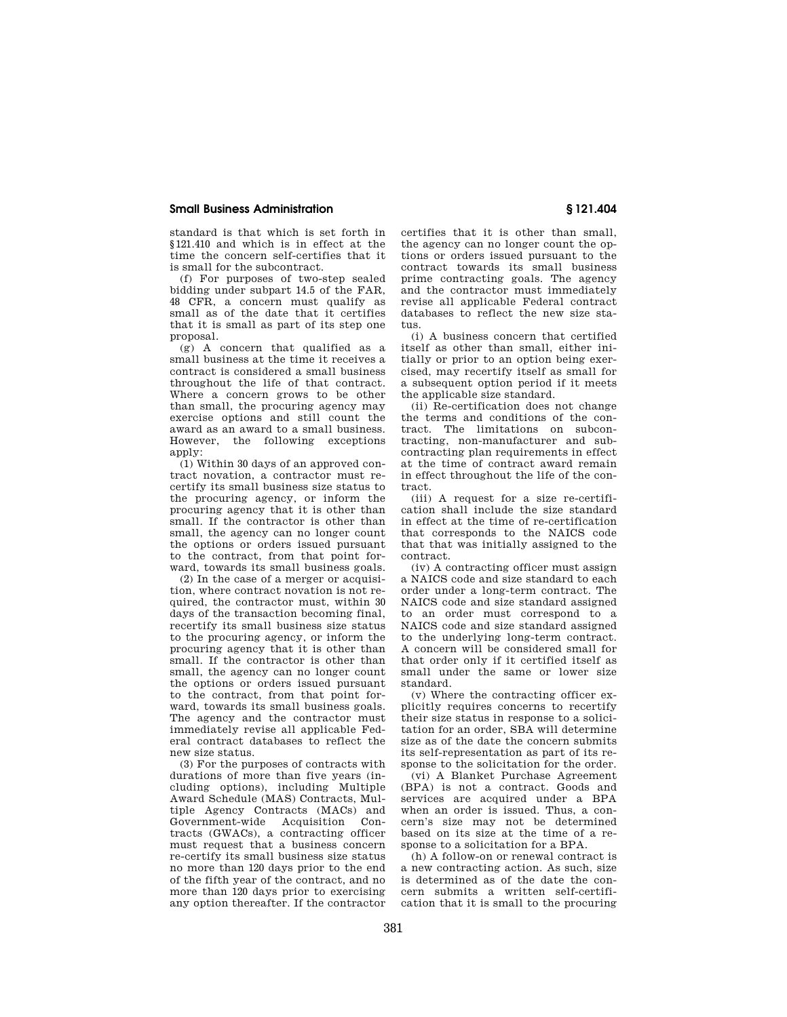standard is that which is set forth in §121.410 and which is in effect at the time the concern self-certifies that it is small for the subcontract.

(f) For purposes of two-step sealed bidding under subpart 14.5 of the FAR, 48 CFR, a concern must qualify as small as of the date that it certifies that it is small as part of its step one proposal.

(g) A concern that qualified as a small business at the time it receives a contract is considered a small business throughout the life of that contract. Where a concern grows to be other than small, the procuring agency may exercise options and still count the award as an award to a small business. However, the following exceptions  $ann$ ly

(1) Within 30 days of an approved contract novation, a contractor must recertify its small business size status to the procuring agency, or inform the procuring agency that it is other than small. If the contractor is other than small, the agency can no longer count the options or orders issued pursuant to the contract, from that point forward, towards its small business goals.

(2) In the case of a merger or acquisition, where contract novation is not required, the contractor must, within 30 days of the transaction becoming final, recertify its small business size status to the procuring agency, or inform the procuring agency that it is other than small. If the contractor is other than small, the agency can no longer count the options or orders issued pursuant to the contract, from that point forward, towards its small business goals. The agency and the contractor must immediately revise all applicable Federal contract databases to reflect the new size status.

(3) For the purposes of contracts with durations of more than five years (including options), including Multiple Award Schedule (MAS) Contracts, Multiple Agency Contracts (MACs) and Government-wide Acquisition Contracts (GWACs), a contracting officer must request that a business concern re-certify its small business size status no more than 120 days prior to the end of the fifth year of the contract, and no more than 120 days prior to exercising any option thereafter. If the contractor certifies that it is other than small, the agency can no longer count the options or orders issued pursuant to the contract towards its small business prime contracting goals. The agency and the contractor must immediately revise all applicable Federal contract databases to reflect the new size status.

(i) A business concern that certified itself as other than small, either initially or prior to an option being exercised, may recertify itself as small for a subsequent option period if it meets the applicable size standard.

(ii) Re-certification does not change the terms and conditions of the contract. The limitations on subcontracting, non-manufacturer and subcontracting plan requirements in effect at the time of contract award remain in effect throughout the life of the contract.

(iii) A request for a size re-certification shall include the size standard in effect at the time of re-certification that corresponds to the NAICS code that that was initially assigned to the contract.

(iv) A contracting officer must assign a NAICS code and size standard to each order under a long-term contract. The NAICS code and size standard assigned to an order must correspond to a NAICS code and size standard assigned to the underlying long-term contract. A concern will be considered small for that order only if it certified itself as small under the same or lower size standard.

(v) Where the contracting officer explicitly requires concerns to recertify their size status in response to a solicitation for an order, SBA will determine size as of the date the concern submits its self-representation as part of its response to the solicitation for the order.

(vi) A Blanket Purchase Agreement (BPA) is not a contract. Goods and services are acquired under a BPA when an order is issued. Thus, a concern's size may not be determined based on its size at the time of a response to a solicitation for a BPA.

(h) A follow-on or renewal contract is a new contracting action. As such, size is determined as of the date the concern submits a written self-certification that it is small to the procuring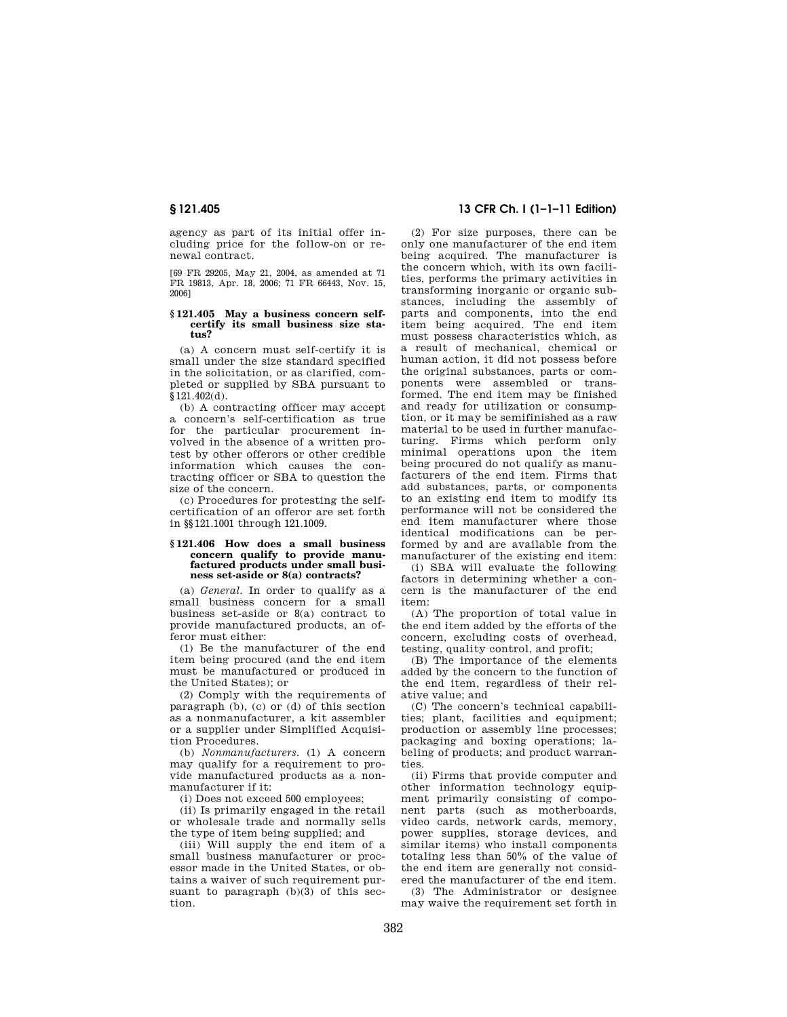agency as part of its initial offer including price for the follow-on or renewal contract.

[69 FR 29205, May 21, 2004, as amended at 71 FR 19813, Apr. 18, 2006; 71 FR 66443, Nov. 15, 2006]

#### **§ 121.405 May a business concern selfcertify its small business size status?**

(a) A concern must self-certify it is small under the size standard specified in the solicitation, or as clarified, completed or supplied by SBA pursuant to §121.402(d).

(b) A contracting officer may accept a concern's self-certification as true for the particular procurement involved in the absence of a written protest by other offerors or other credible information which causes the contracting officer or SBA to question the size of the concern.

(c) Procedures for protesting the selfcertification of an offeror are set forth in §§121.1001 through 121.1009.

#### **§ 121.406 How does a small business concern qualify to provide manufactured products under small business set-aside or 8(a) contracts?**

(a) *General.* In order to qualify as a small business concern for a small business set-aside or 8(a) contract to provide manufactured products, an offeror must either:

(1) Be the manufacturer of the end item being procured (and the end item must be manufactured or produced in the United States); or

(2) Comply with the requirements of paragraph (b), (c) or (d) of this section as a nonmanufacturer, a kit assembler or a supplier under Simplified Acquisition Procedures.

(b) *Nonmanufacturers.* (1) A concern may qualify for a requirement to provide manufactured products as a nonmanufacturer if it:

(i) Does not exceed 500 employees;

(ii) Is primarily engaged in the retail or wholesale trade and normally sells the type of item being supplied; and

(iii) Will supply the end item of a small business manufacturer or processor made in the United States, or obtains a waiver of such requirement pursuant to paragraph (b)(3) of this section.

## **§ 121.405 13 CFR Ch. I (1–1–11 Edition)**

(2) For size purposes, there can be only one manufacturer of the end item being acquired. The manufacturer is the concern which, with its own facilities, performs the primary activities in transforming inorganic or organic substances, including the assembly of parts and components, into the end item being acquired. The end item must possess characteristics which, as a result of mechanical, chemical or human action, it did not possess before the original substances, parts or components were assembled or transformed. The end item may be finished and ready for utilization or consumption, or it may be semifinished as a raw material to be used in further manufacturing. Firms which perform only minimal operations upon the item being procured do not qualify as manufacturers of the end item. Firms that add substances, parts, or components to an existing end item to modify its performance will not be considered the end item manufacturer where those identical modifications can be performed by and are available from the manufacturer of the existing end item:

(i) SBA will evaluate the following factors in determining whether a concern is the manufacturer of the end item:

(A) The proportion of total value in the end item added by the efforts of the concern, excluding costs of overhead, testing, quality control, and profit;

(B) The importance of the elements added by the concern to the function of the end item, regardless of their relative value; and

(C) The concern's technical capabilities; plant, facilities and equipment; production or assembly line processes; packaging and boxing operations; labeling of products; and product warranties.

(ii) Firms that provide computer and other information technology equipment primarily consisting of component parts (such as motherboards, video cards, network cards, memory, power supplies, storage devices, and similar items) who install components totaling less than 50% of the value of the end item are generally not considered the manufacturer of the end item.

(3) The Administrator or designee may waive the requirement set forth in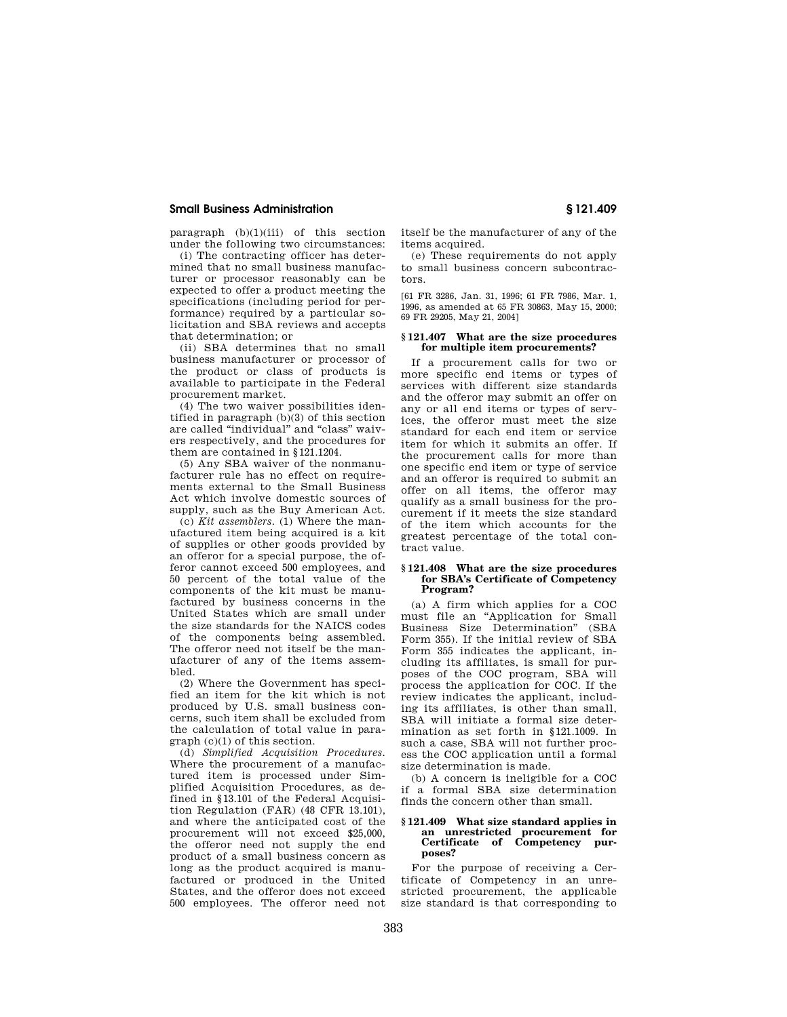paragraph  $(b)(1)(iii)$  of this section under the following two circumstances:

(i) The contracting officer has determined that no small business manufacturer or processor reasonably can be expected to offer a product meeting the specifications (including period for performance) required by a particular solicitation and SBA reviews and accepts that determination; or

(ii) SBA determines that no small business manufacturer or processor of the product or class of products is available to participate in the Federal procurement market.

(4) The two waiver possibilities identified in paragraph (b)(3) of this section are called "individual" and "class" waivers respectively, and the procedures for them are contained in §121.1204.

(5) Any SBA waiver of the nonmanufacturer rule has no effect on requirements external to the Small Business Act which involve domestic sources of supply, such as the Buy American Act.

(c) *Kit assemblers.* (1) Where the manufactured item being acquired is a kit of supplies or other goods provided by an offeror for a special purpose, the offeror cannot exceed 500 employees, and 50 percent of the total value of the components of the kit must be manufactured by business concerns in the United States which are small under the size standards for the NAICS codes of the components being assembled. The offeror need not itself be the manufacturer of any of the items assembled.

(2) Where the Government has specified an item for the kit which is not produced by U.S. small business concerns, such item shall be excluded from the calculation of total value in paragraph (c)(1) of this section.

(d) *Simplified Acquisition Procedures.*  Where the procurement of a manufactured item is processed under Simplified Acquisition Procedures, as defined in §13.101 of the Federal Acquisition Regulation (FAR) (48 CFR 13.101), and where the anticipated cost of the procurement will not exceed \$25,000, the offeror need not supply the end product of a small business concern as long as the product acquired is manufactured or produced in the United States, and the offeror does not exceed 500 employees. The offeror need not itself be the manufacturer of any of the items acquired.

(e) These requirements do not apply to small business concern subcontractors.

[61 FR 3286, Jan. 31, 1996; 61 FR 7986, Mar. 1, 1996, as amended at 65 FR 30863, May 15, 2000; 69 FR 29205, May 21, 2004]

## **§ 121.407 What are the size procedures for multiple item procurements?**

If a procurement calls for two or more specific end items or types of services with different size standards and the offeror may submit an offer on any or all end items or types of services, the offeror must meet the size standard for each end item or service item for which it submits an offer. If the procurement calls for more than one specific end item or type of service and an offeror is required to submit an offer on all items, the offeror may qualify as a small business for the procurement if it meets the size standard of the item which accounts for the greatest percentage of the total contract value.

#### **§ 121.408 What are the size procedures for SBA's Certificate of Competency Program?**

(a) A firm which applies for a COC must file an ''Application for Small Business Size Determination'' (SBA Form 355). If the initial review of SBA Form 355 indicates the applicant, including its affiliates, is small for purposes of the COC program, SBA will process the application for COC. If the review indicates the applicant, including its affiliates, is other than small, SBA will initiate a formal size determination as set forth in §121.1009. In such a case, SBA will not further process the COC application until a formal size determination is made.

(b) A concern is ineligible for a COC if a formal SBA size determination finds the concern other than small.

### **§ 121.409 What size standard applies in an unrestricted procurement for Certificate of Competency purposes?**

For the purpose of receiving a Certificate of Competency in an unrestricted procurement, the applicable size standard is that corresponding to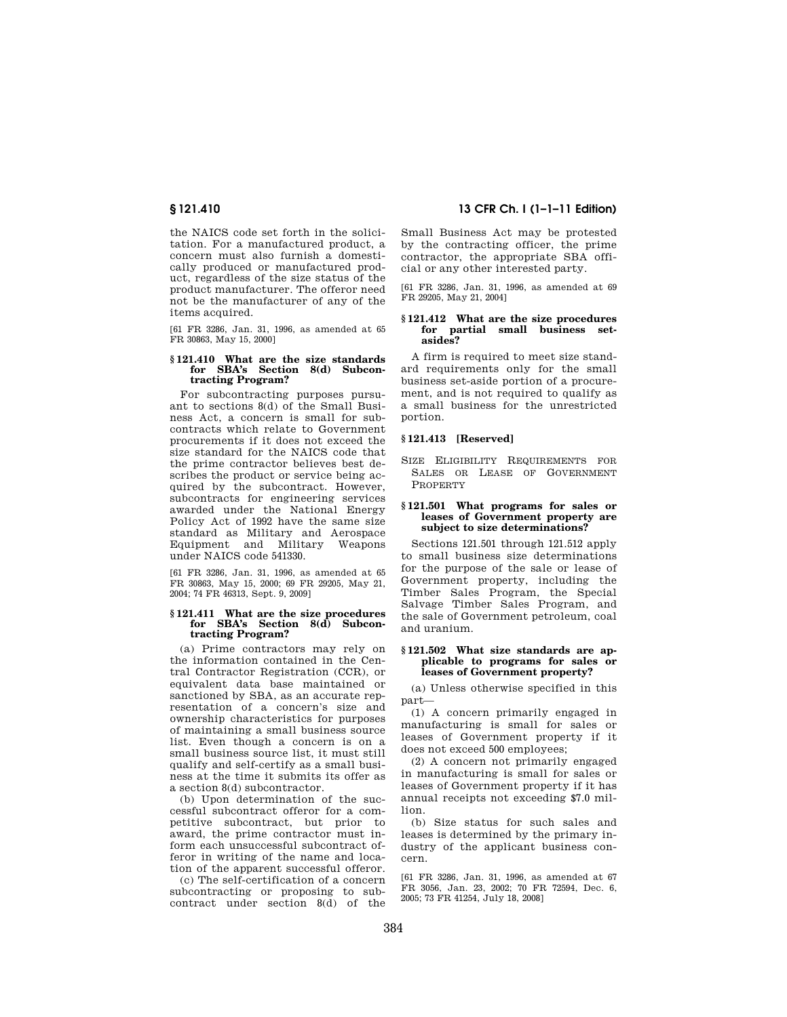the NAICS code set forth in the solicitation. For a manufactured product, a concern must also furnish a domestically produced or manufactured product, regardless of the size status of the product manufacturer. The offeror need not be the manufacturer of any of the items acquired.

[61 FR 3286, Jan. 31, 1996, as amended at 65 FR 30863, May 15, 2000]

## **§ 121.410 What are the size standards for SBA's Section 8(d) Subcontracting Program?**

For subcontracting purposes pursuant to sections 8(d) of the Small Business Act, a concern is small for subcontracts which relate to Government procurements if it does not exceed the size standard for the NAICS code that the prime contractor believes best describes the product or service being acquired by the subcontract. However, subcontracts for engineering services awarded under the National Energy Policy Act of 1992 have the same size standard as Military and Aerospace Equipment and Military Weapons under NAICS code 541330.

[61 FR 3286, Jan. 31, 1996, as amended at 65 FR 30863, May 15, 2000; 69 FR 29205, May 21, 2004; 74 FR 46313, Sept. 9, 2009]

#### **§ 121.411 What are the size procedures for SBA's Section 8(d) Subcontracting Program?**

(a) Prime contractors may rely on the information contained in the Central Contractor Registration (CCR), or equivalent data base maintained or sanctioned by SBA, as an accurate representation of a concern's size and ownership characteristics for purposes of maintaining a small business source list. Even though a concern is on a small business source list, it must still qualify and self-certify as a small business at the time it submits its offer as a section 8(d) subcontractor.

(b) Upon determination of the successful subcontract offeror for a competitive subcontract, but prior to award, the prime contractor must inform each unsuccessful subcontract offeror in writing of the name and location of the apparent successful offeror.

(c) The self-certification of a concern subcontracting or proposing to subcontract under section 8(d) of the

## **§ 121.410 13 CFR Ch. I (1–1–11 Edition)**

Small Business Act may be protested by the contracting officer, the prime contractor, the appropriate SBA official or any other interested party.

[61 FR 3286, Jan. 31, 1996, as amended at 69 FR 29205, May 21, 2004]

### **§ 121.412 What are the size procedures for partial small business setasides?**

A firm is required to meet size standard requirements only for the small business set-aside portion of a procurement, and is not required to qualify as a small business for the unrestricted portion.

## **§ 121.413 [Reserved]**

SIZE ELIGIBILITY REQUIREMENTS FOR SALES OR LEASE OF GOVERNMENT **PROPERTY** 

### **§ 121.501 What programs for sales or leases of Government property are subject to size determinations?**

Sections 121.501 through 121.512 apply to small business size determinations for the purpose of the sale or lease of Government property, including the Timber Sales Program, the Special Salvage Timber Sales Program, and the sale of Government petroleum, coal and uranium.

#### **§ 121.502 What size standards are applicable to programs for sales or leases of Government property?**

(a) Unless otherwise specified in this part—

(1) A concern primarily engaged in manufacturing is small for sales or leases of Government property if it does not exceed 500 employees;

(2) A concern not primarily engaged in manufacturing is small for sales or leases of Government property if it has annual receipts not exceeding \$7.0 million.

(b) Size status for such sales and leases is determined by the primary industry of the applicant business concern.

[61 FR 3286, Jan. 31, 1996, as amended at 67 FR 3056, Jan. 23, 2002; 70 FR 72594, Dec. 6, 2005; 73 FR 41254, July 18, 2008]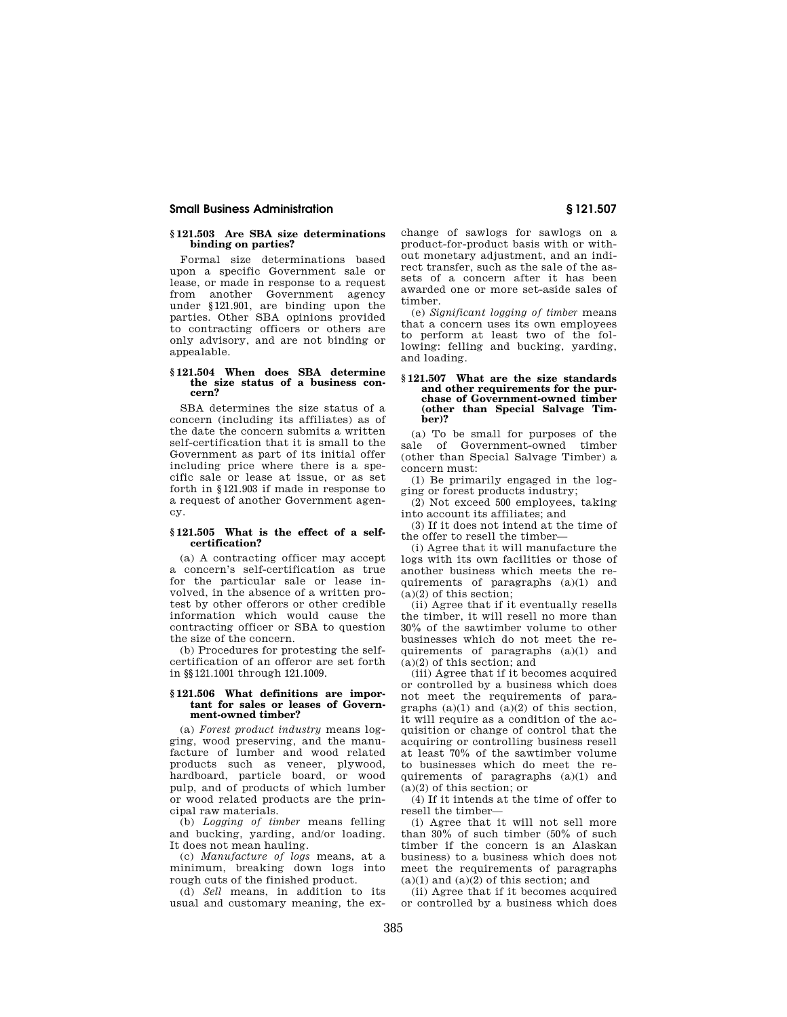## **§ 121.503 Are SBA size determinations binding on parties?**

Formal size determinations based upon a specific Government sale or lease, or made in response to a request from another Government agency under §121.901, are binding upon the parties. Other SBA opinions provided to contracting officers or others are only advisory, and are not binding or appealable.

## **§ 121.504 When does SBA determine the size status of a business concern?**

SBA determines the size status of a concern (including its affiliates) as of the date the concern submits a written self-certification that it is small to the Government as part of its initial offer including price where there is a specific sale or lease at issue, or as set forth in §121.903 if made in response to a request of another Government agency.

### **§ 121.505 What is the effect of a selfcertification?**

(a) A contracting officer may accept a concern's self-certification as true for the particular sale or lease involved, in the absence of a written protest by other offerors or other credible information which would cause the contracting officer or SBA to question the size of the concern.

(b) Procedures for protesting the selfcertification of an offeror are set forth in §§121.1001 through 121.1009.

### **§ 121.506 What definitions are important for sales or leases of Government-owned timber?**

(a) *Forest product industry* means logging, wood preserving, and the manufacture of lumber and wood related products such as veneer, plywood, hardboard, particle board, or wood pulp, and of products of which lumber or wood related products are the principal raw materials.

(b) *Logging of timber* means felling and bucking, yarding, and/or loading. It does not mean hauling.

(c) *Manufacture of logs* means, at a minimum, breaking down logs into rough cuts of the finished product.

(d) *Sell* means, in addition to its usual and customary meaning, the exchange of sawlogs for sawlogs on a product-for-product basis with or without monetary adjustment, and an indirect transfer, such as the sale of the assets of a concern after it has been awarded one or more set-aside sales of timber.

(e) *Significant logging of timber* means that a concern uses its own employees to perform at least two of the following: felling and bucking, yarding, and loading.

#### **§ 121.507 What are the size standards and other requirements for the purchase of Government-owned timber (other than Special Salvage Timber)?**

(a) To be small for purposes of the sale of Government-owned timber (other than Special Salvage Timber) a concern must:

(1) Be primarily engaged in the logging or forest products industry;

(2) Not exceed 500 employees, taking into account its affiliates; and

(3) If it does not intend at the time of the offer to resell the timber—

(i) Agree that it will manufacture the logs with its own facilities or those of another business which meets the requirements of paragraphs (a)(1) and  $(a)(2)$  of this section;

(ii) Agree that if it eventually resells the timber, it will resell no more than 30% of the sawtimber volume to other businesses which do not meet the requirements of paragraphs (a)(1) and  $(a)(2)$  of this section; and

(iii) Agree that if it becomes acquired or controlled by a business which does not meet the requirements of paragraphs  $(a)(1)$  and  $(a)(2)$  of this section, it will require as a condition of the acquisition or change of control that the acquiring or controlling business resell at least 70% of the sawtimber volume to businesses which do meet the requirements of paragraphs (a)(1) and  $(a)(2)$  of this section; or

(4) If it intends at the time of offer to resell the timber—

(i) Agree that it will not sell more than 30% of such timber (50% of such timber if the concern is an Alaskan business) to a business which does not meet the requirements of paragraphs  $(a)(1)$  and  $(a)(2)$  of this section; and

(ii) Agree that if it becomes acquired or controlled by a business which does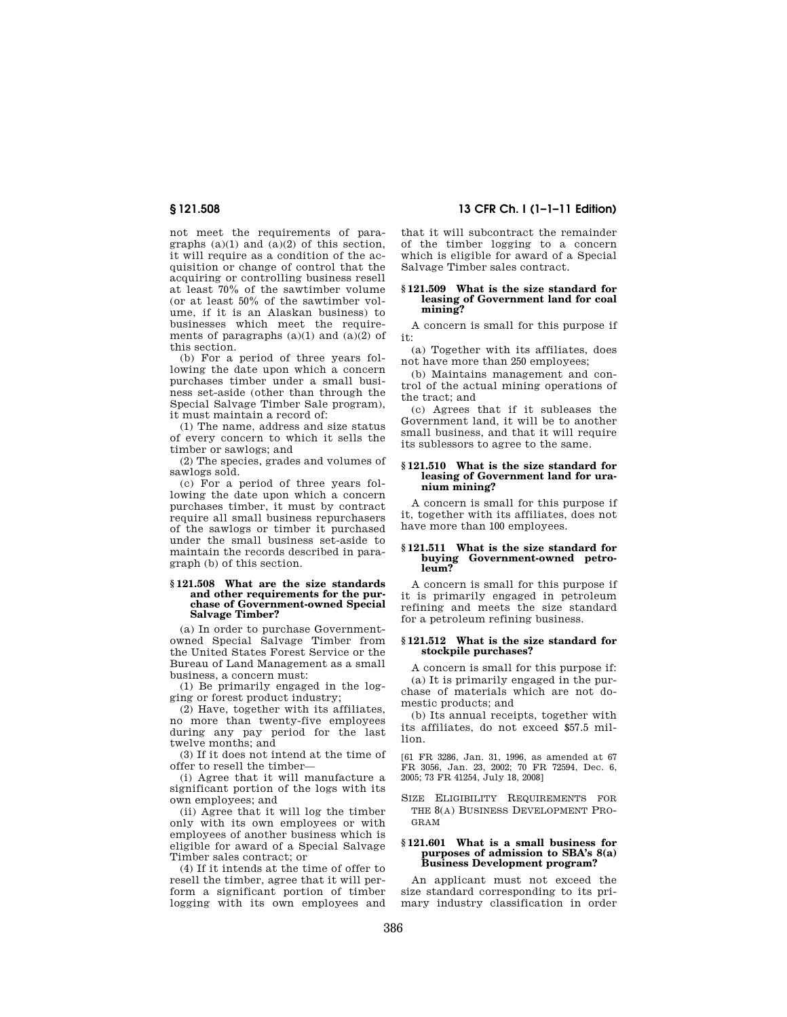not meet the requirements of paragraphs  $(a)(1)$  and  $(a)(2)$  of this section, it will require as a condition of the acquisition or change of control that the acquiring or controlling business resell at least 70% of the sawtimber volume (or at least 50% of the sawtimber volume, if it is an Alaskan business) to businesses which meet the requirements of paragraphs  $(a)(1)$  and  $(a)(2)$  of this section.

(b) For a period of three years following the date upon which a concern purchases timber under a small business set-aside (other than through the Special Salvage Timber Sale program), it must maintain a record of:

(1) The name, address and size status of every concern to which it sells the timber or sawlogs; and

(2) The species, grades and volumes of sawlogs sold.

(c) For a period of three years following the date upon which a concern purchases timber, it must by contract require all small business repurchasers of the sawlogs or timber it purchased under the small business set-aside to maintain the records described in paragraph (b) of this section.

#### **§ 121.508 What are the size standards and other requirements for the purchase of Government-owned Special Salvage Timber?**

(a) In order to purchase Governmentowned Special Salvage Timber from the United States Forest Service or the Bureau of Land Management as a small business, a concern must:

(1) Be primarily engaged in the logging or forest product industry;

(2) Have, together with its affiliates, no more than twenty-five employees during any pay period for the last twelve months; and

(3) If it does not intend at the time of offer to resell the timber—

(i) Agree that it will manufacture a significant portion of the logs with its own employees; and

(ii) Agree that it will log the timber only with its own employees or with employees of another business which is eligible for award of a Special Salvage Timber sales contract; or

(4) If it intends at the time of offer to resell the timber, agree that it will perform a significant portion of timber logging with its own employees and

**§ 121.508 13 CFR Ch. I (1–1–11 Edition)** 

that it will subcontract the remainder of the timber logging to a concern which is eligible for award of a Special Salvage Timber sales contract.

#### **§ 121.509 What is the size standard for leasing of Government land for coal mining?**

A concern is small for this purpose if it:

(a) Together with its affiliates, does not have more than 250 employees;

(b) Maintains management and control of the actual mining operations of the tract; and

(c) Agrees that if it subleases the Government land, it will be to another small business, and that it will require its sublessors to agree to the same.

#### **§ 121.510 What is the size standard for leasing of Government land for uranium mining?**

A concern is small for this purpose if it, together with its affiliates, does not have more than 100 employees.

#### **§ 121.511 What is the size standard for buying Government-owned petroleum?**

A concern is small for this purpose if it is primarily engaged in petroleum refining and meets the size standard for a petroleum refining business.

## **§ 121.512 What is the size standard for stockpile purchases?**

A concern is small for this purpose if: (a) It is primarily engaged in the purchase of materials which are not domestic products; and

(b) Its annual receipts, together with its affiliates, do not exceed \$57.5 million.

[61 FR 3286, Jan. 31, 1996, as amended at 67 FR 3056, Jan. 23, 2002; 70 FR 72594, Dec. 6, 2005; 73 FR 41254, July 18, 2008]

SIZE ELIGIBILITY REQUIREMENTS FOR THE 8(A) BUSINESS DEVELOPMENT PRO-GRAM

# **§ 121.601 What is a small business for purposes of admission to SBA's 8(a) Business Development program?**

An applicant must not exceed the size standard corresponding to its primary industry classification in order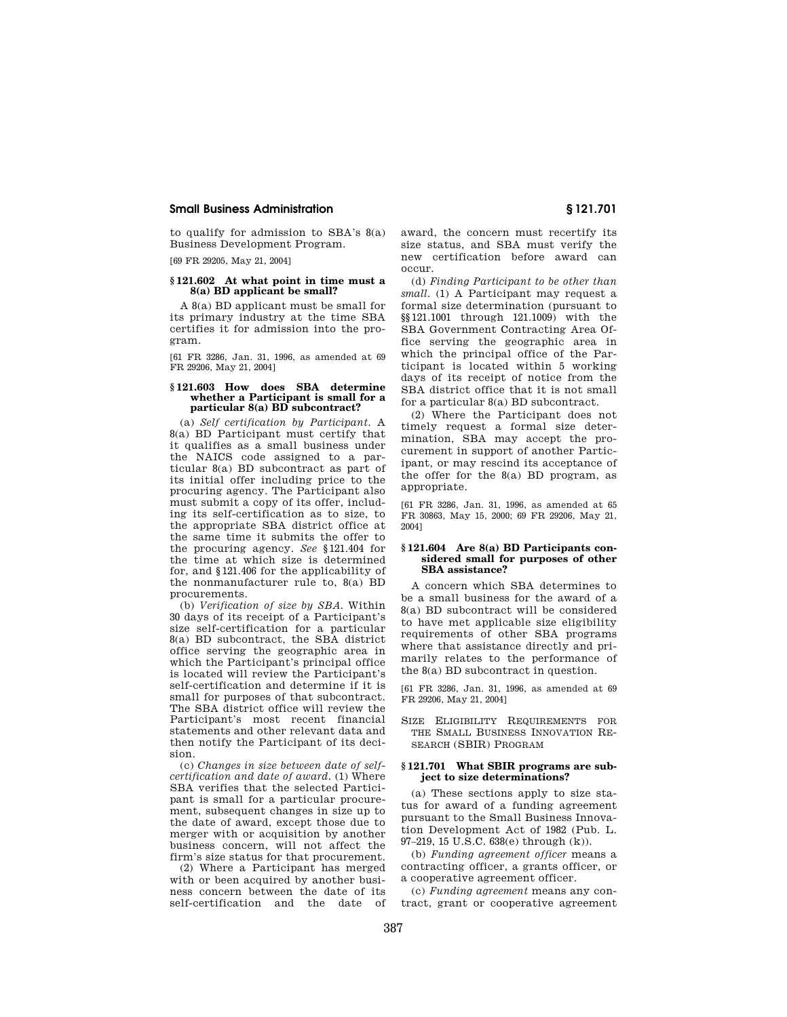to qualify for admission to SBA's  $8(a)$ Business Development Program.

[69 FR 29205, May 21, 2004]

## **§ 121.602 At what point in time must a 8(a) BD applicant be small?**

A 8(a) BD applicant must be small for its primary industry at the time SBA certifies it for admission into the program.

[61 FR 3286, Jan. 31, 1996, as amended at 69 FR 29206, May 21, 2004]

# **§ 121.603 How does SBA determine whether a Participant is small for a particular 8(a) BD subcontract?**

(a) *Self certification by Participant.* A 8(a) BD Participant must certify that it qualifies as a small business under the NAICS code assigned to a particular 8(a) BD subcontract as part of its initial offer including price to the procuring agency. The Participant also must submit a copy of its offer, including its self-certification as to size, to the appropriate SBA district office at the same time it submits the offer to the procuring agency. *See* §121.404 for the time at which size is determined for, and §121.406 for the applicability of the nonmanufacturer rule to, 8(a) BD procurements.

(b) *Verification of size by SBA.* Within 30 days of its receipt of a Participant's size self-certification for a particular 8(a) BD subcontract, the SBA district office serving the geographic area in which the Participant's principal office is located will review the Participant's self-certification and determine if it is small for purposes of that subcontract. The SBA district office will review the Participant's most recent financial statements and other relevant data and then notify the Participant of its decision.

(c) *Changes in size between date of selfcertification and date of award.* (1) Where SBA verifies that the selected Participant is small for a particular procurement, subsequent changes in size up to the date of award, except those due to merger with or acquisition by another business concern, will not affect the firm's size status for that procurement.

(2) Where a Participant has merged with or been acquired by another business concern between the date of its<br>self-certification and the date of self-certification and the date

award, the concern must recertify its size status, and SBA must verify the new certification before award can occur.

(d) *Finding Participant to be other than small.* (1) A Participant may request a formal size determination (pursuant to §§121.1001 through 121.1009) with the SBA Government Contracting Area Office serving the geographic area in which the principal office of the Participant is located within 5 working days of its receipt of notice from the SBA district office that it is not small for a particular 8(a) BD subcontract.

(2) Where the Participant does not timely request a formal size determination, SBA may accept the procurement in support of another Participant, or may rescind its acceptance of the offer for the  $8(a)$  BD program, as appropriate.

[61 FR 3286, Jan. 31, 1996, as amended at 65 FR 30863, May 15, 2000; 69 FR 29206, May 21, 2004]

## **§ 121.604 Are 8(a) BD Participants considered small for purposes of other SBA assistance?**

A concern which SBA determines to be a small business for the award of a 8(a) BD subcontract will be considered to have met applicable size eligibility requirements of other SBA programs where that assistance directly and primarily relates to the performance of the 8(a) BD subcontract in question.

[61 FR 3286, Jan. 31, 1996, as amended at 69 FR 29206, May 21, 2004]

SIZE ELIGIBILITY REQUIREMENTS FOR THE SMALL BUSINESS INNOVATION RE-SEARCH (SBIR) PROGRAM

## **§ 121.701 What SBIR programs are subject to size determinations?**

(a) These sections apply to size status for award of a funding agreement pursuant to the Small Business Innovation Development Act of 1982 (Pub. L. 97–219, 15 U.S.C. 638(e) through (k)).

(b) *Funding agreement officer* means a contracting officer, a grants officer, or a cooperative agreement officer.

(c) *Funding agreement* means any contract, grant or cooperative agreement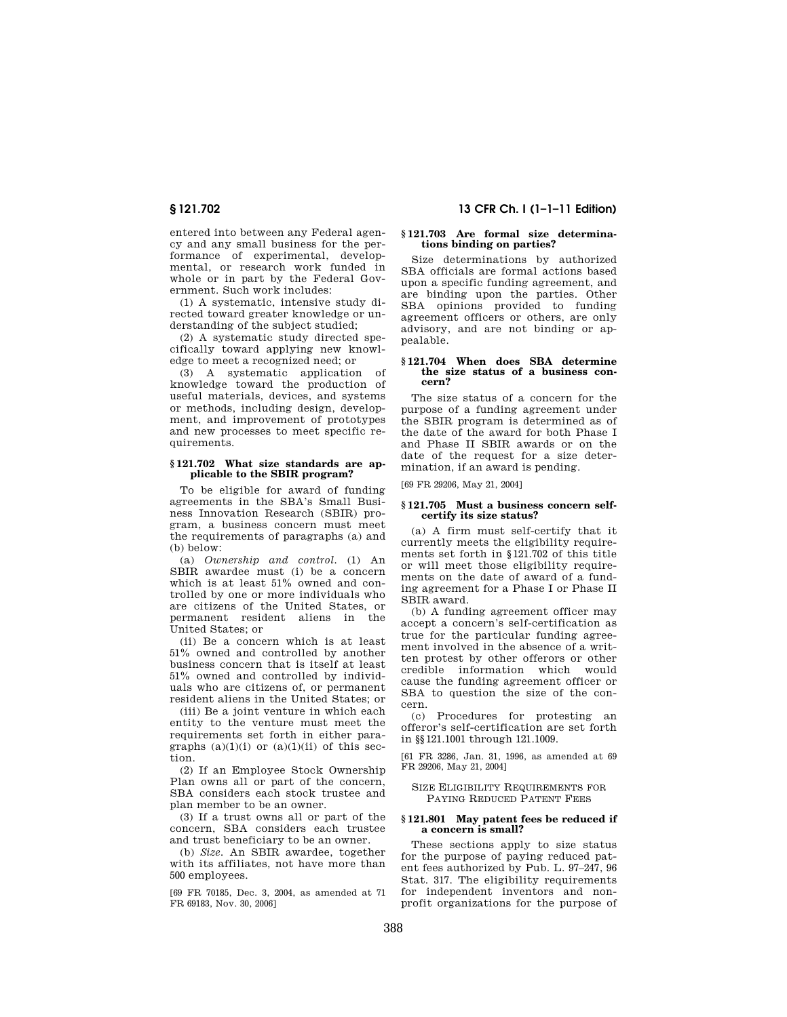entered into between any Federal agency and any small business for the performance of experimental, developmental, or research work funded in whole or in part by the Federal Government. Such work includes:

(1) A systematic, intensive study directed toward greater knowledge or understanding of the subject studied;

(2) A systematic study directed specifically toward applying new knowledge to meet a recognized need; or

(3) A systematic application of knowledge toward the production of useful materials, devices, and systems or methods, including design, development, and improvement of prototypes and new processes to meet specific requirements.

## **§ 121.702 What size standards are applicable to the SBIR program?**

To be eligible for award of funding agreements in the SBA's Small Business Innovation Research (SBIR) program, a business concern must meet the requirements of paragraphs (a) and (b) below:

(a) *Ownership and control.* (1) An SBIR awardee must (i) be a concern which is at least 51% owned and controlled by one or more individuals who are citizens of the United States, or permanent resident aliens in the United States; or

(ii) Be a concern which is at least 51% owned and controlled by another business concern that is itself at least 51% owned and controlled by individuals who are citizens of, or permanent resident aliens in the United States; or

(iii) Be a joint venture in which each entity to the venture must meet the requirements set forth in either paragraphs  $(a)(1)(i)$  or  $(a)(1)(ii)$  of this section.

(2) If an Employee Stock Ownership Plan owns all or part of the concern, SBA considers each stock trustee and plan member to be an owner.

(3) If a trust owns all or part of the concern, SBA considers each trustee and trust beneficiary to be an owner.

(b) *Size.* An SBIR awardee, together with its affiliates, not have more than 500 employees.

[69 FR 70185, Dec. 3, 2004, as amended at 71 FR 69183, Nov. 30, 2006]

## **§ 121.702 13 CFR Ch. I (1–1–11 Edition)**

## **§ 121.703 Are formal size determinations binding on parties?**

Size determinations by authorized SBA officials are formal actions based upon a specific funding agreement, and are binding upon the parties. Other SBA opinions provided to funding agreement officers or others, are only advisory, and are not binding or appealable.

### **§ 121.704 When does SBA determine the size status of a business concern?**

The size status of a concern for the purpose of a funding agreement under the SBIR program is determined as of the date of the award for both Phase I and Phase II SBIR awards or on the date of the request for a size determination, if an award is pending.

[69 FR 29206, May 21, 2004]

#### **§ 121.705 Must a business concern selfcertify its size status?**

(a) A firm must self-certify that it currently meets the eligibility requirements set forth in §121.702 of this title or will meet those eligibility requirements on the date of award of a funding agreement for a Phase I or Phase II SBIR award.

(b) A funding agreement officer may accept a concern's self-certification as true for the particular funding agreement involved in the absence of a written protest by other offerors or other credible information which would cause the funding agreement officer or SBA to question the size of the concern.

(c) Procedures for protesting an offeror's self-certification are set forth in §§121.1001 through 121.1009.

[61 FR 3286, Jan. 31, 1996, as amended at 69 FR 29206, May 21, 2004]

SIZE ELIGIBILITY REQUIREMENTS FOR PAYING REDUCED PATENT FEES

#### **§ 121.801 May patent fees be reduced if a concern is small?**

These sections apply to size status for the purpose of paying reduced patent fees authorized by Pub. L. 97–247, 96 Stat. 317. The eligibility requirements for independent inventors and nonprofit organizations for the purpose of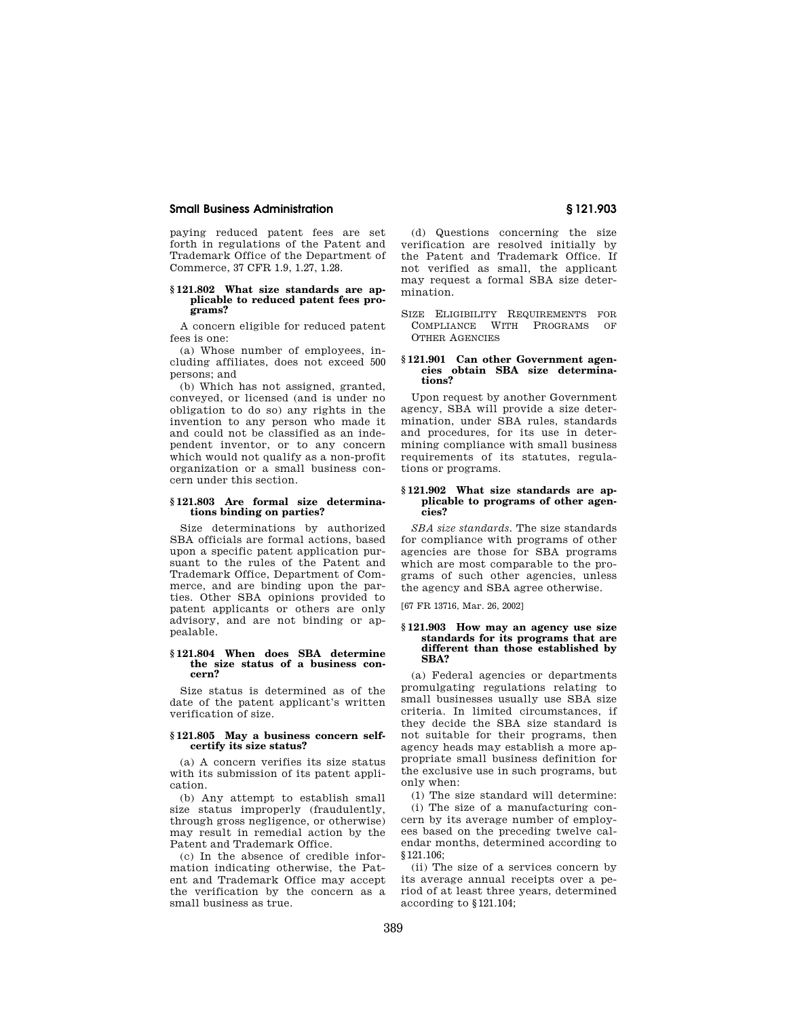paying reduced patent fees are set forth in regulations of the Patent and Trademark Office of the Department of Commerce, 37 CFR 1.9, 1.27, 1.28.

### **§ 121.802 What size standards are applicable to reduced patent fees programs?**

A concern eligible for reduced patent fees is one:

(a) Whose number of employees, including affiliates, does not exceed 500 persons; and

(b) Which has not assigned, granted, conveyed, or licensed (and is under no obligation to do so) any rights in the invention to any person who made it and could not be classified as an independent inventor, or to any concern which would not qualify as a non-profit organization or a small business concern under this section.

#### **§ 121.803 Are formal size determinations binding on parties?**

Size determinations by authorized SBA officials are formal actions, based upon a specific patent application pursuant to the rules of the Patent and Trademark Office, Department of Commerce, and are binding upon the parties. Other SBA opinions provided to patent applicants or others are only advisory, and are not binding or appealable.

#### **§ 121.804 When does SBA determine the size status of a business concern?**

Size status is determined as of the date of the patent applicant's written verification of size.

### **§ 121.805 May a business concern selfcertify its size status?**

(a) A concern verifies its size status with its submission of its patent application.

(b) Any attempt to establish small size status improperly (fraudulently, through gross negligence, or otherwise) may result in remedial action by the Patent and Trademark Office.

(c) In the absence of credible information indicating otherwise, the Patent and Trademark Office may accept the verification by the concern as a small business as true.

(d) Questions concerning the size verification are resolved initially by the Patent and Trademark Office. If not verified as small, the applicant may request a formal SBA size determination.

SIZE ELIGIBILITY REQUIREMENTS FOR COMPLIANCE WITH PROGRAMS OF OTHER AGENCIES

## **§ 121.901 Can other Government agencies obtain SBA size determinations?**

Upon request by another Government agency, SBA will provide a size determination, under SBA rules, standards and procedures, for its use in determining compliance with small business requirements of its statutes, regulations or programs.

#### **§ 121.902 What size standards are applicable to programs of other agencies?**

*SBA size standards.* The size standards for compliance with programs of other agencies are those for SBA programs which are most comparable to the programs of such other agencies, unless the agency and SBA agree otherwise.

[67 FR 13716, Mar. 26, 2002]

#### **§ 121.903 How may an agency use size standards for its programs that are different than those established by SBA?**

(a) Federal agencies or departments promulgating regulations relating to small businesses usually use SBA size criteria. In limited circumstances, if they decide the SBA size standard is not suitable for their programs, then agency heads may establish a more appropriate small business definition for the exclusive use in such programs, but only when:

(1) The size standard will determine:

(i) The size of a manufacturing concern by its average number of employees based on the preceding twelve calendar months, determined according to §121.106;

(ii) The size of a services concern by its average annual receipts over a period of at least three years, determined according to §121.104;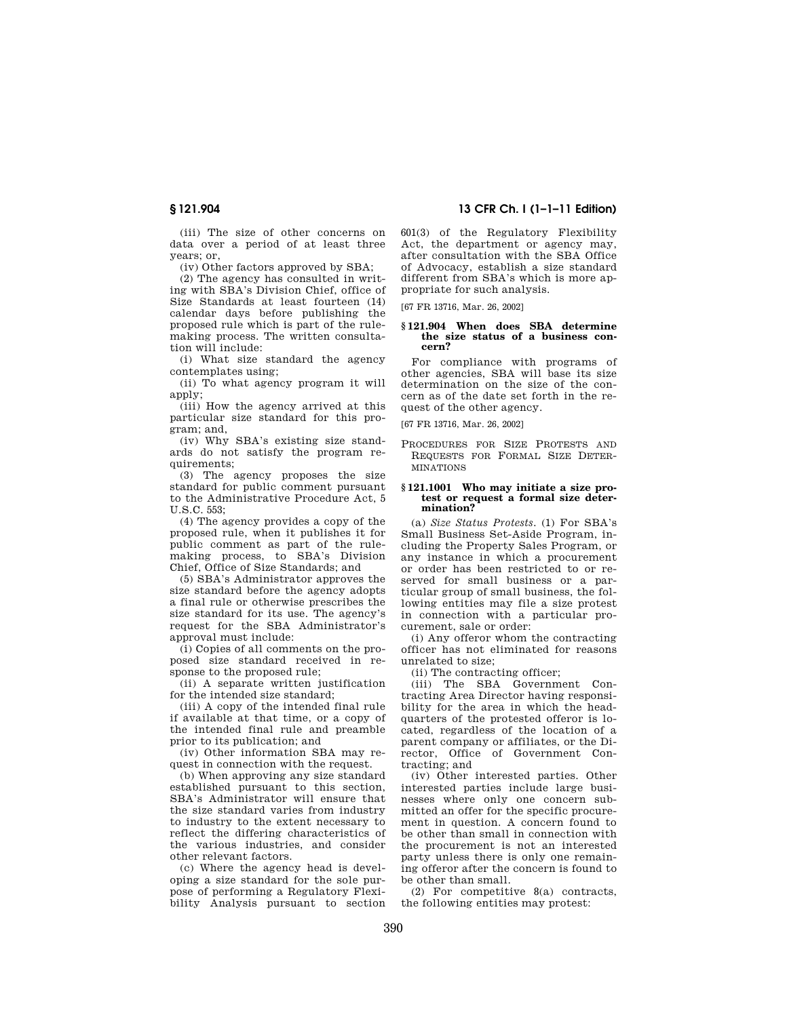(iii) The size of other concerns on data over a period of at least three years; or,

(iv) Other factors approved by SBA;

(2) The agency has consulted in writing with SBA's Division Chief, office of Size Standards at least fourteen (14) calendar days before publishing the proposed rule which is part of the rulemaking process. The written consultation will include:

(i) What size standard the agency contemplates using;

(ii) To what agency program it will apply;

(iii) How the agency arrived at this particular size standard for this program; and,

(iv) Why SBA's existing size standards do not satisfy the program requirements;

(3) The agency proposes the size standard for public comment pursuant to the Administrative Procedure Act, 5  $U.S.C. 553$ 

(4) The agency provides a copy of the proposed rule, when it publishes it for public comment as part of the rule-.<br>making process, to SBA's Division Chief, Office of Size Standards; and

(5) SBA's Administrator approves the size standard before the agency adopts a final rule or otherwise prescribes the size standard for its use. The agency's request for the SBA Administrator's approval must include:

(i) Copies of all comments on the proposed size standard received in response to the proposed rule;

(ii) A separate written justification for the intended size standard;

(iii) A copy of the intended final rule if available at that time, or a copy of the intended final rule and preamble prior to its publication; and

(iv) Other information SBA may request in connection with the request.

(b) When approving any size standard established pursuant to this section, SBA's Administrator will ensure that the size standard varies from industry to industry to the extent necessary to reflect the differing characteristics of the various industries, and consider other relevant factors.

(c) Where the agency head is developing a size standard for the sole purpose of performing a Regulatory Flexibility Analysis pursuant to section

**§ 121.904 13 CFR Ch. I (1–1–11 Edition)** 

601(3) of the Regulatory Flexibility Act, the department or agency may, after consultation with the SBA Office of Advocacy, establish a size standard different from SBA's which is more appropriate for such analysis.

[67 FR 13716, Mar. 26, 2002]

# **§ 121.904 When does SBA determine the size status of a business concern?**

For compliance with programs of other agencies, SBA will base its size determination on the size of the concern as of the date set forth in the request of the other agency.

[67 FR 13716, Mar. 26, 2002]

PROCEDURES FOR SIZE PROTESTS AND REQUESTS FOR FORMAL SIZE DETER-MINATIONS

#### **§ 121.1001 Who may initiate a size protest or request a formal size determination?**

(a) *Size Status Protests.* (1) For SBA's Small Business Set-Aside Program, including the Property Sales Program, or any instance in which a procurement or order has been restricted to or reserved for small business or a particular group of small business, the following entities may file a size protest in connection with a particular procurement, sale or order:

(i) Any offeror whom the contracting officer has not eliminated for reasons unrelated to size;

(ii) The contracting officer;

(iii) The SBA Government Contracting Area Director having responsibility for the area in which the headquarters of the protested offeror is located, regardless of the location of a parent company or affiliates, or the Director, Office of Government Contracting; and

(iv) Other interested parties. Other interested parties include large businesses where only one concern submitted an offer for the specific procurement in question. A concern found to be other than small in connection with the procurement is not an interested party unless there is only one remaining offeror after the concern is found to be other than small.

(2) For competitive 8(a) contracts, the following entities may protest: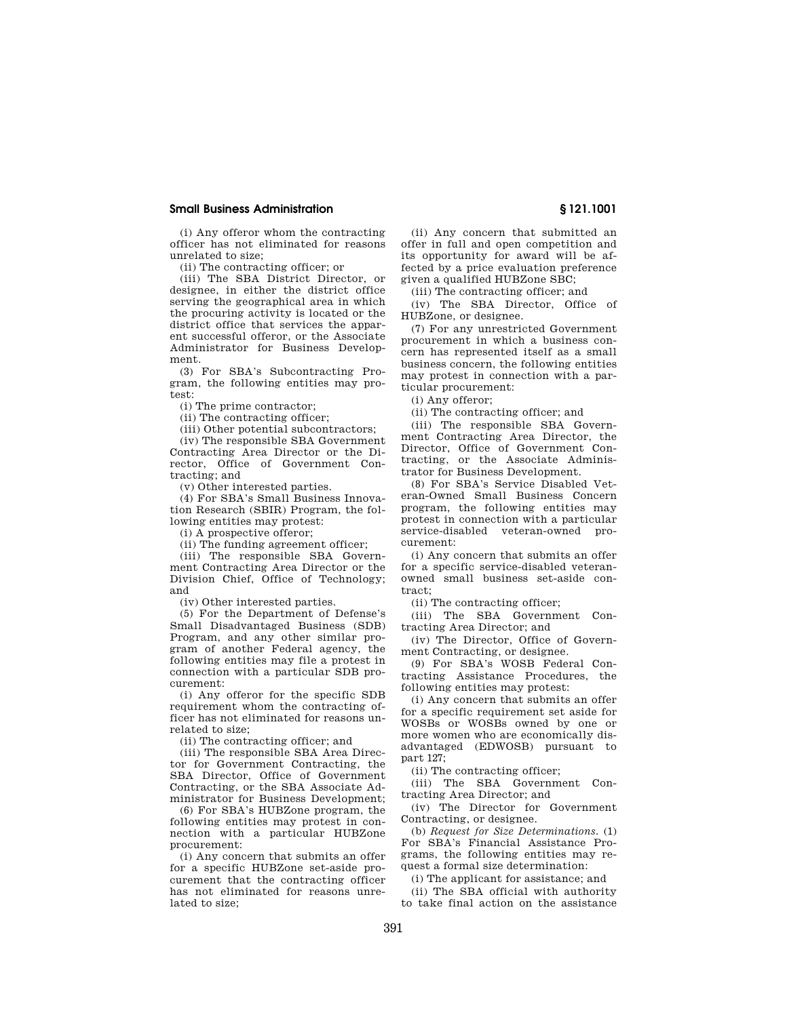(i) Any offeror whom the contracting officer has not eliminated for reasons unrelated to size;

(ii) The contracting officer; or

(iii) The SBA District Director, or designee, in either the district office serving the geographical area in which the procuring activity is located or the district office that services the apparent successful offeror, or the Associate Administrator for Business Development.

(3) For SBA's Subcontracting Program, the following entities may protest:

(i) The prime contractor;

(ii) The contracting officer;

(iii) Other potential subcontractors;

(iv) The responsible SBA Government Contracting Area Director or the Director, Office of Government Contracting; and

(v) Other interested parties.

(4) For SBA's Small Business Innovation Research (SBIR) Program, the following entities may protest:

(i) A prospective offeror;

(ii) The funding agreement officer;

(iii) The responsible SBA Government Contracting Area Director or the Division Chief, Office of Technology; and

(iv) Other interested parties.

(5) For the Department of Defense's Small Disadvantaged Business (SDB) Program, and any other similar program of another Federal agency, the following entities may file a protest in connection with a particular SDB procurement:

(i) Any offeror for the specific SDB requirement whom the contracting officer has not eliminated for reasons unrelated to size;

(ii) The contracting officer; and

(iii) The responsible SBA Area Director for Government Contracting, the SBA Director, Office of Government Contracting, or the SBA Associate Administrator for Business Development;

(6) For SBA's HUBZone program, the following entities may protest in connection with a particular HUBZone procurement:

(i) Any concern that submits an offer for a specific HUBZone set-aside procurement that the contracting officer has not eliminated for reasons unrelated to size;

(ii) Any concern that submitted an offer in full and open competition and its opportunity for award will be affected by a price evaluation preference given a qualified HUBZone SBC;

(iii) The contracting officer; and

(iv) The SBA Director, Office of HUBZone, or designee.

(7) For any unrestricted Government procurement in which a business concern has represented itself as a small business concern, the following entities may protest in connection with a particular procurement:

(i) Any offeror;

(ii) The contracting officer; and

(iii) The responsible SBA Government Contracting Area Director, the Director, Office of Government Contracting, or the Associate Administrator for Business Development.

(8) For SBA's Service Disabled Veteran-Owned Small Business Concern program, the following entities may protest in connection with a particular service-disabled veteran-owned procurement:

(i) Any concern that submits an offer for a specific service-disabled veteranowned small business set-aside contract;

(ii) The contracting officer;

(iii) The SBA Government Contracting Area Director; and

(iv) The Director, Office of Government Contracting, or designee.

(9) For SBA's WOSB Federal Contracting Assistance Procedures, the following entities may protest:

(i) Any concern that submits an offer for a specific requirement set aside for WOSBs or WOSBs owned by one or more women who are economically disadvantaged (EDWOSB) pursuant to part 127;

(ii) The contracting officer;

(iii) The SBA Government Contracting Area Director; and

(iv) The Director for Government Contracting, or designee.

(b) *Request for Size Determinations.* (1) For SBA's Financial Assistance Programs, the following entities may request a formal size determination:

(i) The applicant for assistance; and

(ii) The SBA official with authority to take final action on the assistance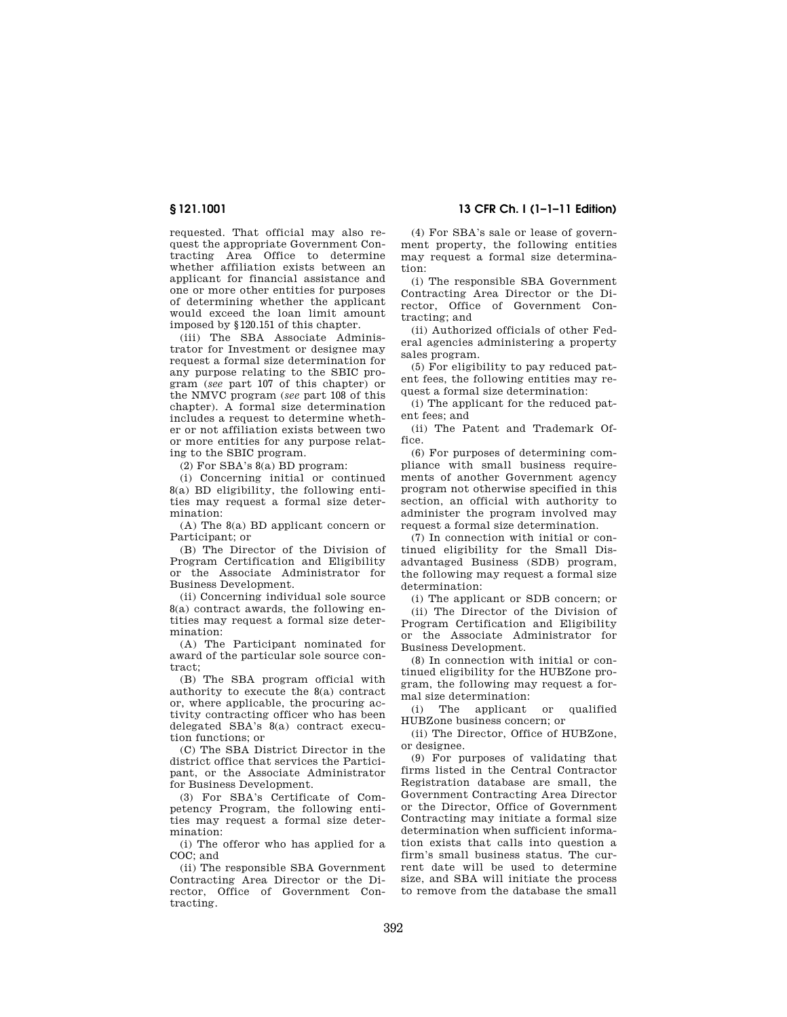requested. That official may also request the appropriate Government Contracting Area Office to determine whether affiliation exists between an applicant for financial assistance and one or more other entities for purposes of determining whether the applicant would exceed the loan limit amount imposed by §120.151 of this chapter.

(iii) The SBA Associate Administrator for Investment or designee may request a formal size determination for any purpose relating to the SBIC program (*see* part 107 of this chapter) or the NMVC program (*see* part 108 of this chapter). A formal size determination includes a request to determine whether or not affiliation exists between two or more entities for any purpose relating to the SBIC program.

(2) For SBA's 8(a) BD program:

(i) Concerning initial or continued 8(a) BD eligibility, the following entities may request a formal size determination:

(A) The 8(a) BD applicant concern or Participant; or

(B) The Director of the Division of Program Certification and Eligibility or the Associate Administrator for Business Development.

(ii) Concerning individual sole source 8(a) contract awards, the following entities may request a formal size determination:

(A) The Participant nominated for award of the particular sole source contract;

(B) The SBA program official with authority to execute the 8(a) contract or, where applicable, the procuring activity contracting officer who has been delegated SBA's 8(a) contract execution functions; or

(C) The SBA District Director in the district office that services the Participant, or the Associate Administrator for Business Development.

(3) For SBA's Certificate of Competency Program, the following entities may request a formal size determination:

(i) The offeror who has applied for a COC; and

(ii) The responsible SBA Government Contracting Area Director or the Director, Office of Government Contracting.

**§ 121.1001 13 CFR Ch. I (1–1–11 Edition)** 

(4) For SBA's sale or lease of government property, the following entities may request a formal size determination:

(i) The responsible SBA Government Contracting Area Director or the Director, Office of Government Contracting; and

(ii) Authorized officials of other Federal agencies administering a property sales program.

(5) For eligibility to pay reduced patent fees, the following entities may request a formal size determination:

(i) The applicant for the reduced patent fees; and

(ii) The Patent and Trademark Office.

(6) For purposes of determining compliance with small business requirements of another Government agency program not otherwise specified in this section, an official with authority to administer the program involved may request a formal size determination.

(7) In connection with initial or continued eligibility for the Small Disadvantaged Business (SDB) program, the following may request a formal size determination:

(i) The applicant or SDB concern; or (ii) The Director of the Division of Program Certification and Eligibility or the Associate Administrator for Business Development.

(8) In connection with initial or continued eligibility for the HUBZone program, the following may request a formal size determination:

(i) The applicant or qualified HUBZone business concern; or

(ii) The Director, Office of HUBZone, or designee.

(9) For purposes of validating that firms listed in the Central Contractor Registration database are small, the Government Contracting Area Director or the Director, Office of Government Contracting may initiate a formal size determination when sufficient information exists that calls into question a firm's small business status. The current date will be used to determine size, and SBA will initiate the process to remove from the database the small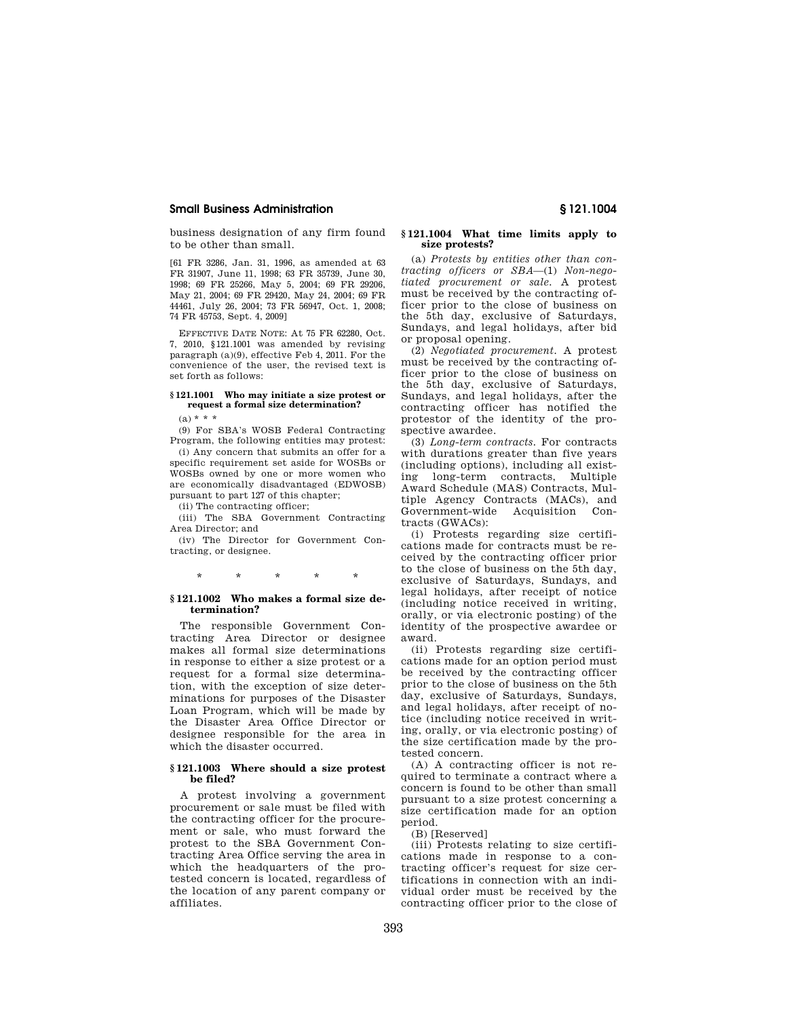business designation of any firm found to be other than small.

[61 FR 3286, Jan. 31, 1996, as amended at 63 FR 31907, June 11, 1998; 63 FR 35739, June 30, 1998; 69 FR 25266, May 5, 2004; 69 FR 29206, May 21, 2004; 69 FR 29420, May 24, 2004; 69 FR 44461, July 26, 2004; 73 FR 56947, Oct. 1, 2008; 74 FR 45753, Sept. 4, 2009]

EFFECTIVE DATE NOTE: At 75 FR 62280, Oct. 7, 2010, §121.1001 was amended by revising paragraph (a)(9), effective Feb 4, 2011. For the convenience of the user, the revised text is set forth as follows:

### **§ 121.1001 Who may initiate a size protest or request a formal size determination?**

 $(a) * * * *$ 

(9) For SBA's WOSB Federal Contracting Program, the following entities may protest:

(i) Any concern that submits an offer for a specific requirement set aside for WOSBs or WOSBs owned by one or more women who are economically disadvantaged (EDWOSB) pursuant to part 127 of this chapter;

(ii) The contracting officer;

(iii) The SBA Government Contracting Area Director; and

(iv) The Director for Government Contracting, or designee.

\* \* \* \* \*

## **§ 121.1002 Who makes a formal size determination?**

The responsible Government Contracting Area Director or designee makes all formal size determinations in response to either a size protest or a request for a formal size determination, with the exception of size determinations for purposes of the Disaster Loan Program, which will be made by the Disaster Area Office Director or designee responsible for the area in which the disaster occurred.

## **§ 121.1003 Where should a size protest be filed?**

A protest involving a government procurement or sale must be filed with the contracting officer for the procurement or sale, who must forward the protest to the SBA Government Contracting Area Office serving the area in which the headquarters of the protested concern is located, regardless of the location of any parent company or affiliates.

## **§ 121.1004 What time limits apply to size protests?**

(a) *Protests by entities other than contracting officers or SBA*—(1) *Non-negotiated procurement or sale.* A protest must be received by the contracting officer prior to the close of business on the 5th day, exclusive of Saturdays, Sundays, and legal holidays, after bid or proposal opening.

(2) *Negotiated procurement.* A protest must be received by the contracting officer prior to the close of business on the 5th day, exclusive of Saturdays, Sundays, and legal holidays, after the contracting officer has notified the protestor of the identity of the prospective awardee.

(3) *Long-term contracts.* For contracts with durations greater than five years (including options), including all existing long-term contracts, Multiple Award Schedule (MAS) Contracts, Multiple Agency Contracts (MACs), and Government-wide Acquisition Contracts (GWACs):

(i) Protests regarding size certifications made for contracts must be received by the contracting officer prior to the close of business on the 5th day, exclusive of Saturdays, Sundays, and legal holidays, after receipt of notice (including notice received in writing, orally, or via electronic posting) of the identity of the prospective awardee or award.

(ii) Protests regarding size certifications made for an option period must be received by the contracting officer prior to the close of business on the 5th day, exclusive of Saturdays, Sundays, and legal holidays, after receipt of notice (including notice received in writing, orally, or via electronic posting) of the size certification made by the protested concern.

(A) A contracting officer is not required to terminate a contract where a concern is found to be other than small pursuant to a size protest concerning a size certification made for an option period.

(B) [Reserved]

(iii) Protests relating to size certifications made in response to a contracting officer's request for size certifications in connection with an individual order must be received by the contracting officer prior to the close of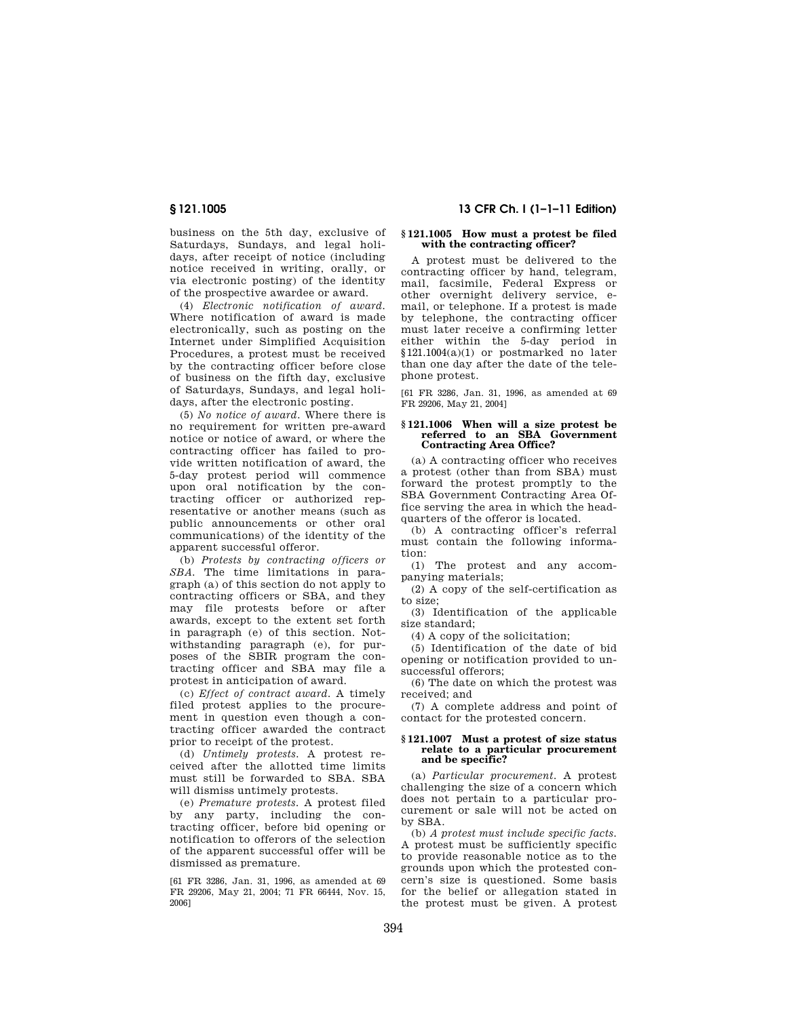business on the 5th day, exclusive of Saturdays, Sundays, and legal holidays, after receipt of notice (including notice received in writing, orally, or via electronic posting) of the identity of the prospective awardee or award.

(4) *Electronic notification of award.*  Where notification of award is made electronically, such as posting on the Internet under Simplified Acquisition Procedures, a protest must be received by the contracting officer before close of business on the fifth day, exclusive of Saturdays, Sundays, and legal holidays, after the electronic posting.

(5) *No notice of award.* Where there is no requirement for written pre-award notice or notice of award, or where the contracting officer has failed to provide written notification of award, the 5-day protest period will commence upon oral notification by the contracting officer or authorized representative or another means (such as public announcements or other oral communications) of the identity of the apparent successful offeror.

(b) *Protests by contracting officers or SBA.* The time limitations in paragraph (a) of this section do not apply to contracting officers or SBA, and they may file protests before or after awards, except to the extent set forth in paragraph (e) of this section. Notwithstanding paragraph (e), for purposes of the SBIR program the contracting officer and SBA may file a protest in anticipation of award.

(c) *Effect of contract award.* A timely filed protest applies to the procurement in question even though a contracting officer awarded the contract prior to receipt of the protest.

(d) *Untimely protests.* A protest received after the allotted time limits must still be forwarded to SBA. SBA will dismiss untimely protests.

(e) *Premature protests.* A protest filed by any party, including the contracting officer, before bid opening or notification to offerors of the selection of the apparent successful offer will be dismissed as premature.

[61 FR 3286, Jan. 31, 1996, as amended at 69 FR 29206, May 21, 2004; 71 FR 66444, Nov. 15, 2006]

## **§ 121.1005 13 CFR Ch. I (1–1–11 Edition)**

## **§ 121.1005 How must a protest be filed with the contracting officer?**

A protest must be delivered to the contracting officer by hand, telegram, mail, facsimile, Federal Express or other overnight delivery service, email, or telephone. If a protest is made by telephone, the contracting officer must later receive a confirming letter either within the 5-day period in §121.1004(a)(1) or postmarked no later than one day after the date of the telephone protest.

[61 FR 3286, Jan. 31, 1996, as amended at 69 FR 29206, May 21, 2004]

### **§ 121.1006 When will a size protest be referred to an SBA Government Contracting Area Office?**

(a) A contracting officer who receives a protest (other than from SBA) must forward the protest promptly to the SBA Government Contracting Area Office serving the area in which the headquarters of the offeror is located.

(b) A contracting officer's referral must contain the following information:

(1) The protest and any accompanying materials;

(2) A copy of the self-certification as to size;

(3) Identification of the applicable size standard;

(4) A copy of the solicitation;

(5) Identification of the date of bid opening or notification provided to unsuccessful offerors;

(6) The date on which the protest was received; and

(7) A complete address and point of contact for the protested concern.

### **§ 121.1007 Must a protest of size status relate to a particular procurement and be specific?**

(a) *Particular procurement.* A protest challenging the size of a concern which does not pertain to a particular procurement or sale will not be acted on by SBA.

(b) *A protest must include specific facts.*  A protest must be sufficiently specific to provide reasonable notice as to the grounds upon which the protested concern's size is questioned. Some basis for the belief or allegation stated in the protest must be given. A protest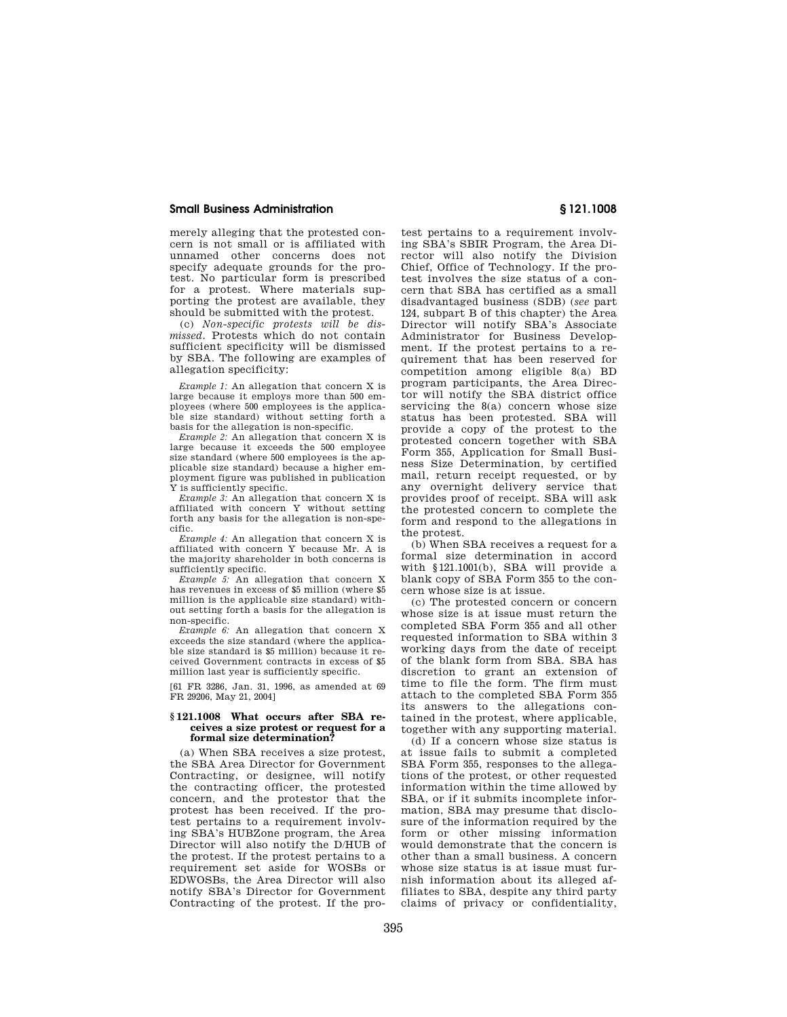merely alleging that the protested concern is not small or is affiliated with unnamed other concerns does not specify adequate grounds for the protest. No particular form is prescribed for a protest. Where materials supporting the protest are available, they should be submitted with the protest.

(c) *Non-specific protests will be dismissed.* Protests which do not contain sufficient specificity will be dismissed by SBA. The following are examples of allegation specificity:

*Example 1:* An allegation that concern X is large because it employs more than 500 employees (where 500 employees is the applicable size standard) without setting forth a basis for the allegation is non-specific.

*Example 2:* An allegation that concern X is large because it exceeds the 500 employee size standard (where 500 employees is the applicable size standard) because a higher employment figure was published in publication Y is sufficiently specific.

*Example 3:* An allegation that concern X is affiliated with concern Y without setting forth any basis for the allegation is non-specific.

*Example 4:* An allegation that concern X is affiliated with concern Y because Mr. A is the majority shareholder in both concerns is sufficiently specific.

*Example 5:* An allegation that concern X has revenues in excess of \$5 million (where \$5 million is the applicable size standard) without setting forth a basis for the allegation is non-specific.

*Example 6:* An allegation that concern X exceeds the size standard (where the applicable size standard is \$5 million) because it received Government contracts in excess of \$5 million last year is sufficiently specific.

[61 FR 3286, Jan. 31, 1996, as amended at 69 FR 29206, May 21, 2004]

### **§ 121.1008 What occurs after SBA receives a size protest or request for a formal size determination?**

(a) When SBA receives a size protest, the SBA Area Director for Government Contracting, or designee, will notify the contracting officer, the protested concern, and the protestor that the protest has been received. If the protest pertains to a requirement involving SBA's HUBZone program, the Area Director will also notify the D/HUB of the protest. If the protest pertains to a requirement set aside for WOSBs or EDWOSBs, the Area Director will also notify SBA's Director for Government Contracting of the protest. If the pro-

test pertains to a requirement involving SBA's SBIR Program, the Area Director will also notify the Division Chief, Office of Technology. If the protest involves the size status of a concern that SBA has certified as a small disadvantaged business (SDB) (*see* part 124, subpart B of this chapter) the Area Director will notify SBA's Associate Administrator for Business Development. If the protest pertains to a requirement that has been reserved for competition among eligible 8(a) BD program participants, the Area Director will notify the SBA district office servicing the  $8(a)$  concern whose size status has been protested. SBA will provide a copy of the protest to the protested concern together with SBA Form 355, Application for Small Business Size Determination, by certified mail, return receipt requested, or by any overnight delivery service that provides proof of receipt. SBA will ask the protested concern to complete the form and respond to the allegations in the protest.

(b) When SBA receives a request for a formal size determination in accord with §121.1001(b), SBA will provide a blank copy of SBA Form 355 to the concern whose size is at issue.

(c) The protested concern or concern whose size is at issue must return the completed SBA Form 355 and all other requested information to SBA within 3 working days from the date of receipt of the blank form from SBA. SBA has discretion to grant an extension of time to file the form. The firm must attach to the completed SBA Form 355 its answers to the allegations contained in the protest, where applicable, together with any supporting material.

(d) If a concern whose size status is at issue fails to submit a completed SBA Form 355, responses to the allegations of the protest, or other requested information within the time allowed by SBA, or if it submits incomplete information, SBA may presume that disclosure of the information required by the form or other missing information would demonstrate that the concern is other than a small business. A concern whose size status is at issue must furnish information about its alleged affiliates to SBA, despite any third party claims of privacy or confidentiality,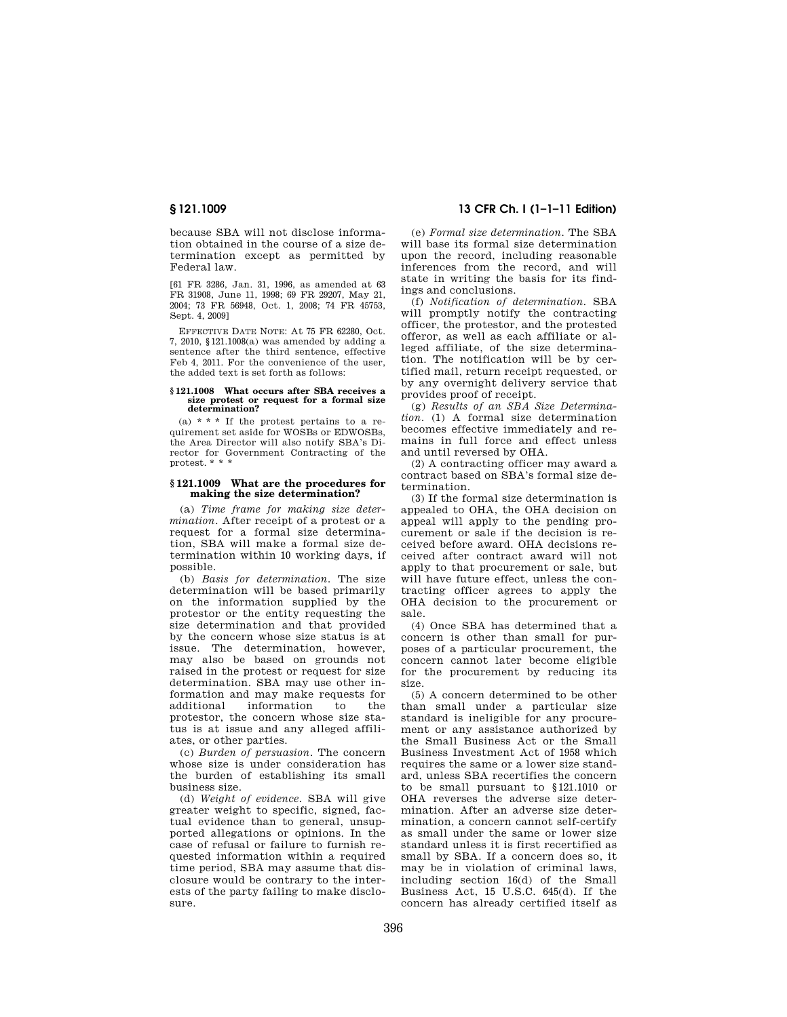because SBA will not disclose information obtained in the course of a size determination except as permitted by Federal law.

[61 FR 3286, Jan. 31, 1996, as amended at 63 FR 31908, June 11, 1998; 69 FR 29207, May 21, 2004; 73 FR 56948, Oct. 1, 2008; 74 FR 45753, Sept. 4, 2009]

EFFECTIVE DATE NOTE: At 75 FR 62280, Oct. 7, 2010, §121.1008(a) was amended by adding a sentence after the third sentence, effective Feb 4, 2011. For the convenience of the user, the added text is set forth as follows:

#### **§ 121.1008 What occurs after SBA receives a size protest or request for a formal size determination?**

(a)  $* * *$  If the protest pertains to a requirement set aside for WOSBs or EDWOSBs, the Area Director will also notify SBA's Director for Government Contracting of the protest. \* \* \*

#### **§ 121.1009 What are the procedures for making the size determination?**

(a) *Time frame for making size determination.* After receipt of a protest or a request for a formal size determination, SBA will make a formal size determination within 10 working days, if possible.

(b) *Basis for determination.* The size determination will be based primarily on the information supplied by the protestor or the entity requesting the size determination and that provided by the concern whose size status is at issue. The determination, however, may also be based on grounds not raised in the protest or request for size determination. SBA may use other information and may make requests for additional information to the protestor, the concern whose size status is at issue and any alleged affiliates, or other parties.

(c) *Burden of persuasion.* The concern whose size is under consideration has the burden of establishing its small business size.

(d) *Weight of evidence.* SBA will give greater weight to specific, signed, factual evidence than to general, unsupported allegations or opinions. In the case of refusal or failure to furnish requested information within a required time period, SBA may assume that disclosure would be contrary to the interests of the party failing to make disclosure.

## **§ 121.1009 13 CFR Ch. I (1–1–11 Edition)**

(e) *Formal size determination.* The SBA will base its formal size determination upon the record, including reasonable inferences from the record, and will state in writing the basis for its findings and conclusions.

(f) *Notification of determination.* SBA will promptly notify the contracting officer, the protestor, and the protested offeror, as well as each affiliate or alleged affiliate, of the size determination. The notification will be by certified mail, return receipt requested, or by any overnight delivery service that provides proof of receipt.

(g) *Results of an SBA Size Determination.* (1) A formal size determination becomes effective immediately and remains in full force and effect unless and until reversed by OHA.

(2) A contracting officer may award a contract based on SBA's formal size determination.

(3) If the formal size determination is appealed to OHA, the OHA decision on appeal will apply to the pending procurement or sale if the decision is received before award. OHA decisions received after contract award will not apply to that procurement or sale, but will have future effect, unless the contracting officer agrees to apply the OHA decision to the procurement or sale.

(4) Once SBA has determined that a concern is other than small for purposes of a particular procurement, the concern cannot later become eligible for the procurement by reducing its size.

(5) A concern determined to be other than small under a particular size standard is ineligible for any procurement or any assistance authorized by the Small Business Act or the Small Business Investment Act of 1958 which requires the same or a lower size standard, unless SBA recertifies the concern to be small pursuant to §121.1010 or OHA reverses the adverse size determination. After an adverse size determination, a concern cannot self-certify as small under the same or lower size standard unless it is first recertified as small by SBA. If a concern does so, it may be in violation of criminal laws, including section 16(d) of the Small Business Act, 15 U.S.C. 645(d). If the concern has already certified itself as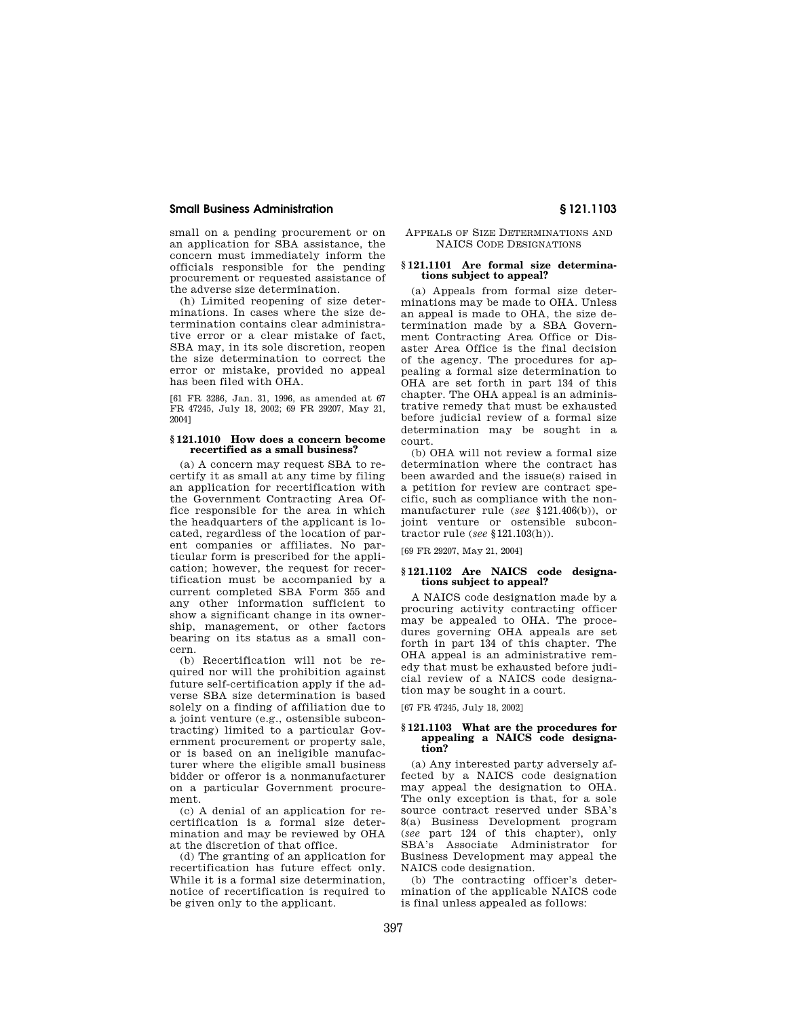small on a pending procurement or on an application for SBA assistance, the concern must immediately inform the officials responsible for the pending procurement or requested assistance of the adverse size determination.

(h) Limited reopening of size determinations. In cases where the size determination contains clear administrative error or a clear mistake of fact, SBA may, in its sole discretion, reopen the size determination to correct the error or mistake, provided no appeal has been filed with OHA.

[61 FR 3286, Jan. 31, 1996, as amended at 67 FR 47245, July 18, 2002; 69 FR 29207, May 21, 2004]

#### **§ 121.1010 How does a concern become recertified as a small business?**

(a) A concern may request SBA to recertify it as small at any time by filing an application for recertification with the Government Contracting Area Office responsible for the area in which the headquarters of the applicant is located, regardless of the location of parent companies or affiliates. No particular form is prescribed for the application; however, the request for recertification must be accompanied by a current completed SBA Form 355 and any other information sufficient to show a significant change in its ownership, management, or other factors bearing on its status as a small concern.

(b) Recertification will not be required nor will the prohibition against future self-certification apply if the adverse SBA size determination is based solely on a finding of affiliation due to a joint venture (e.g., ostensible subcontracting) limited to a particular Government procurement or property sale, or is based on an ineligible manufacturer where the eligible small business bidder or offeror is a nonmanufacturer on a particular Government procurement.

(c) A denial of an application for recertification is a formal size determination and may be reviewed by OHA at the discretion of that office.

(d) The granting of an application for recertification has future effect only. While it is a formal size determination, notice of recertification is required to be given only to the applicant.

## APPEALS OF SIZE DETERMINATIONS AND NAICS CODE DESIGNATIONS

## **§ 121.1101 Are formal size determinations subject to appeal?**

(a) Appeals from formal size determinations may be made to OHA. Unless an appeal is made to OHA, the size determination made by a SBA Government Contracting Area Office or Disaster Area Office is the final decision of the agency. The procedures for appealing a formal size determination to OHA are set forth in part 134 of this chapter. The OHA appeal is an administrative remedy that must be exhausted before judicial review of a formal size determination may be sought in a court.

(b) OHA will not review a formal size determination where the contract has been awarded and the issue(s) raised in a petition for review are contract specific, such as compliance with the nonmanufacturer rule (*see* §121.406(b)), or joint venture or ostensible subcontractor rule (*see* §121.103(h)).

[69 FR 29207, May 21, 2004]

## **§ 121.1102 Are NAICS code designations subject to appeal?**

A NAICS code designation made by a procuring activity contracting officer may be appealed to OHA. The procedures governing OHA appeals are set forth in part 134 of this chapter. The OHA appeal is an administrative remedy that must be exhausted before judicial review of a NAICS code designation may be sought in a court.

[67 FR 47245, July 18, 2002]

## **§ 121.1103 What are the procedures for appealing a NAICS code designation?**

(a) Any interested party adversely affected by a NAICS code designation may appeal the designation to OHA. The only exception is that, for a sole source contract reserved under SBA's 8(a) Business Development program (*see* part 124 of this chapter), only SBA's Associate Administrator for Business Development may appeal the NAICS code designation.

(b) The contracting officer's determination of the applicable NAICS code is final unless appealed as follows: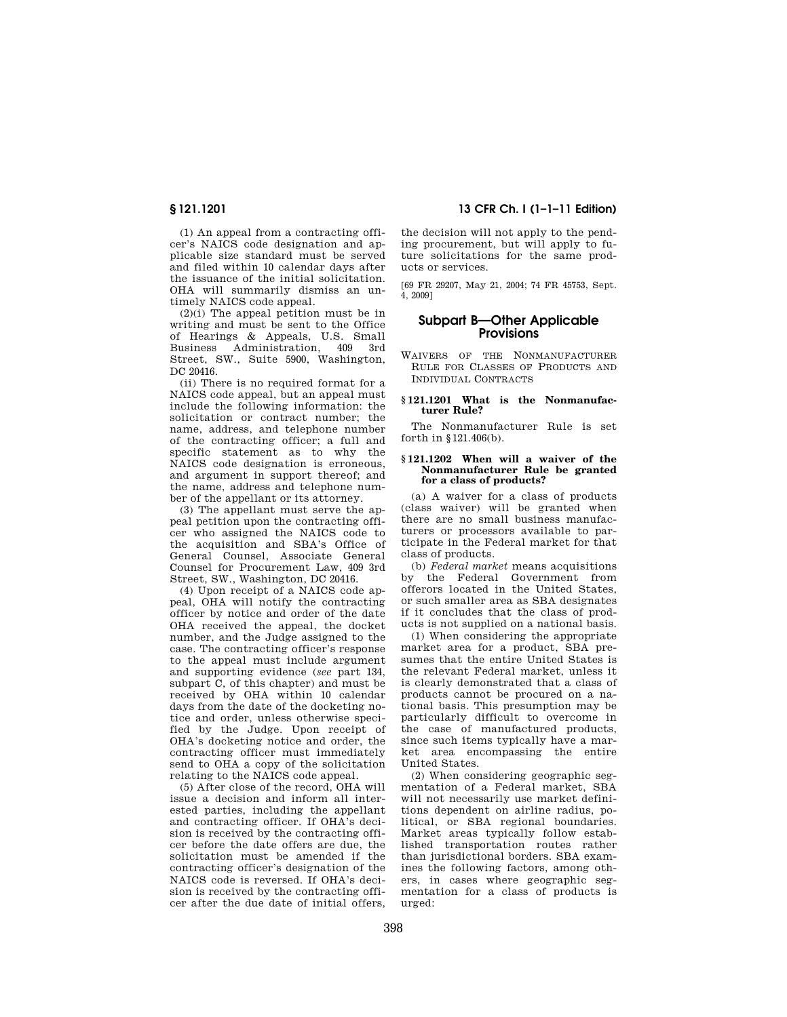(1) An appeal from a contracting officer's NAICS code designation and applicable size standard must be served and filed within 10 calendar days after the issuance of the initial solicitation. OHA will summarily dismiss an untimely NAICS code appeal.

(2)(i) The appeal petition must be in writing and must be sent to the Office of Hearings & Appeals, U.S. Small Business Administration, 409 3rd Street, SW., Suite 5900, Washington, DC 20416.

(ii) There is no required format for a NAICS code appeal, but an appeal must include the following information: the solicitation or contract number; the name, address, and telephone number of the contracting officer; a full and specific statement as to why the NAICS code designation is erroneous, and argument in support thereof; and the name, address and telephone number of the appellant or its attorney.

(3) The appellant must serve the appeal petition upon the contracting officer who assigned the NAICS code to the acquisition and SBA's Office of General Counsel, Associate General Counsel for Procurement Law, 409 3rd Street, SW., Washington, DC 20416.

(4) Upon receipt of a NAICS code appeal, OHA will notify the contracting officer by notice and order of the date OHA received the appeal, the docket number, and the Judge assigned to the case. The contracting officer's response to the appeal must include argument and supporting evidence (*see* part 134, subpart C, of this chapter) and must be received by OHA within 10 calendar days from the date of the docketing notice and order, unless otherwise specified by the Judge. Upon receipt of OHA's docketing notice and order, the contracting officer must immediately send to OHA a copy of the solicitation relating to the NAICS code appeal.

(5) After close of the record, OHA will issue a decision and inform all interested parties, including the appellant and contracting officer. If OHA's decision is received by the contracting officer before the date offers are due, the solicitation must be amended if the contracting officer's designation of the NAICS code is reversed. If OHA's decision is received by the contracting officer after the due date of initial offers,

## **§ 121.1201 13 CFR Ch. I (1–1–11 Edition)**

the decision will not apply to the pending procurement, but will apply to future solicitations for the same products or services.

[69 FR 29207, May 21, 2004; 74 FR 45753, Sept. 4, 2009]

## **Subpart B—Other Applicable Provisions**

WAIVERS OF THE NONMANUFACTURER RULE FOR CLASSES OF PRODUCTS AND INDIVIDUAL CONTRACTS

## **§ 121.1201 What is the Nonmanufacturer Rule?**

The Nonmanufacturer Rule is set forth in §121.406(b).

#### **§ 121.1202 When will a waiver of the Nonmanufacturer Rule be granted for a class of products?**

(a) A waiver for a class of products (class waiver) will be granted when there are no small business manufacturers or processors available to participate in the Federal market for that class of products.

(b) *Federal market* means acquisitions by the Federal Government from offerors located in the United States, or such smaller area as SBA designates if it concludes that the class of products is not supplied on a national basis.

(1) When considering the appropriate market area for a product, SBA presumes that the entire United States is the relevant Federal market, unless it is clearly demonstrated that a class of products cannot be procured on a national basis. This presumption may be particularly difficult to overcome in the case of manufactured products, since such items typically have a market area encompassing the entire United States.

(2) When considering geographic segmentation of a Federal market, SBA will not necessarily use market definitions dependent on airline radius, political, or SBA regional boundaries. Market areas typically follow established transportation routes rather than jurisdictional borders. SBA examines the following factors, among others, in cases where geographic segmentation for a class of products is urged: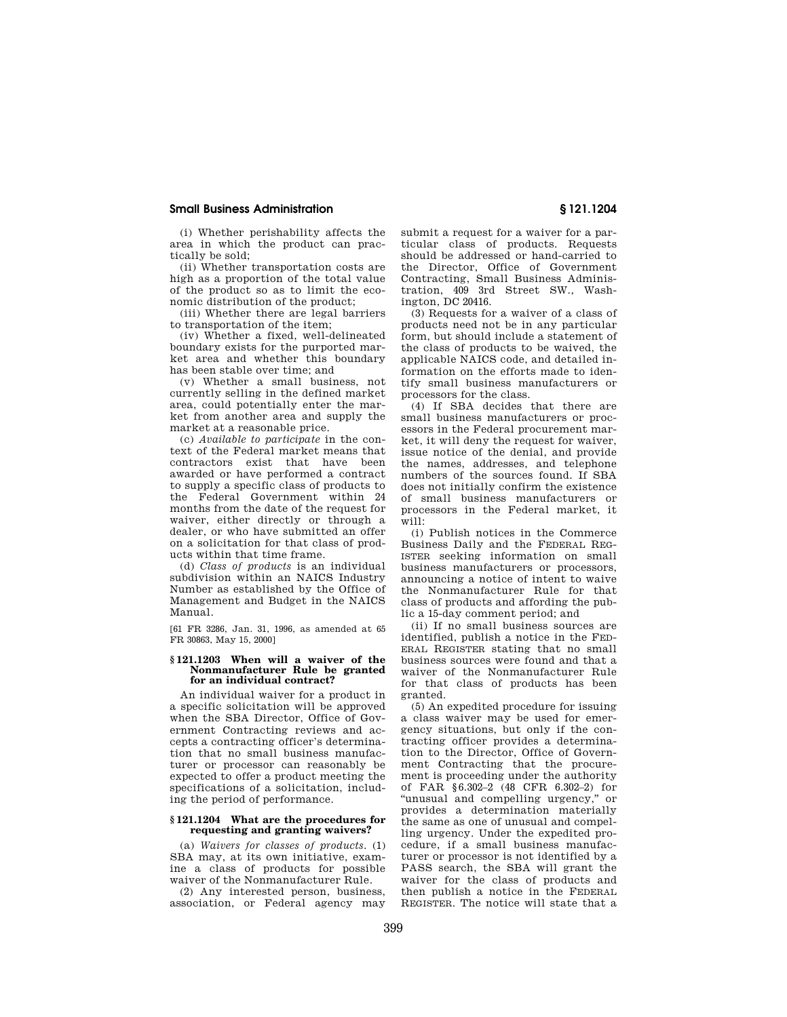(i) Whether perishability affects the area in which the product can practically be sold;

(ii) Whether transportation costs are high as a proportion of the total value of the product so as to limit the economic distribution of the product;

(iii) Whether there are legal barriers to transportation of the item;

(iv) Whether a fixed, well-delineated boundary exists for the purported market area and whether this boundary has been stable over time; and

(v) Whether a small business, not currently selling in the defined market area, could potentially enter the market from another area and supply the market at a reasonable price.

(c) *Available to participate* in the context of the Federal market means that contractors exist that have been awarded or have performed a contract to supply a specific class of products to the Federal Government within 24 months from the date of the request for waiver, either directly or through a dealer, or who have submitted an offer on a solicitation for that class of products within that time frame.

(d) *Class of products* is an individual subdivision within an NAICS Industry Number as established by the Office of Management and Budget in the NAICS Manual.

[61 FR 3286, Jan. 31, 1996, as amended at 65 FR 30863, May 15, 2000]

#### **§ 121.1203 When will a waiver of the Nonmanufacturer Rule be granted for an individual contract?**

An individual waiver for a product in a specific solicitation will be approved when the SBA Director, Office of Government Contracting reviews and accepts a contracting officer's determination that no small business manufacturer or processor can reasonably be expected to offer a product meeting the specifications of a solicitation, including the period of performance.

## **§ 121.1204 What are the procedures for requesting and granting waivers?**

(a) *Waivers for classes of products.* (1) SBA may, at its own initiative, examine a class of products for possible waiver of the Nonmanufacturer Rule.

(2) Any interested person, business, association, or Federal agency may submit a request for a waiver for a particular class of products. Requests should be addressed or hand-carried to the Director, Office of Government Contracting, Small Business Administration, 409 3rd Street SW., Washington, DC 20416.

(3) Requests for a waiver of a class of products need not be in any particular form, but should include a statement of the class of products to be waived, the applicable NAICS code, and detailed information on the efforts made to identify small business manufacturers or processors for the class.

(4) If SBA decides that there are small business manufacturers or processors in the Federal procurement market, it will deny the request for waiver, issue notice of the denial, and provide the names, addresses, and telephone numbers of the sources found. If SBA does not initially confirm the existence of small business manufacturers or processors in the Federal market, it  $\overline{w}$ ill $\cdot$ 

(i) Publish notices in the Commerce Business Daily and the FEDERAL REG-ISTER seeking information on small business manufacturers or processors, announcing a notice of intent to waive the Nonmanufacturer Rule for that class of products and affording the public a 15-day comment period; and

(ii) If no small business sources are identified, publish a notice in the FED-ERAL REGISTER stating that no small business sources were found and that a waiver of the Nonmanufacturer Rule for that class of products has been granted.

(5) An expedited procedure for issuing a class waiver may be used for emergency situations, but only if the contracting officer provides a determination to the Director, Office of Government Contracting that the procurement is proceeding under the authority of FAR §6.302–2 (48 CFR 6.302–2) for ''unusual and compelling urgency,'' or provides a determination materially the same as one of unusual and compelling urgency. Under the expedited procedure, if a small business manufacturer or processor is not identified by a PASS search, the SBA will grant the waiver for the class of products and then publish a notice in the FEDERAL REGISTER. The notice will state that a